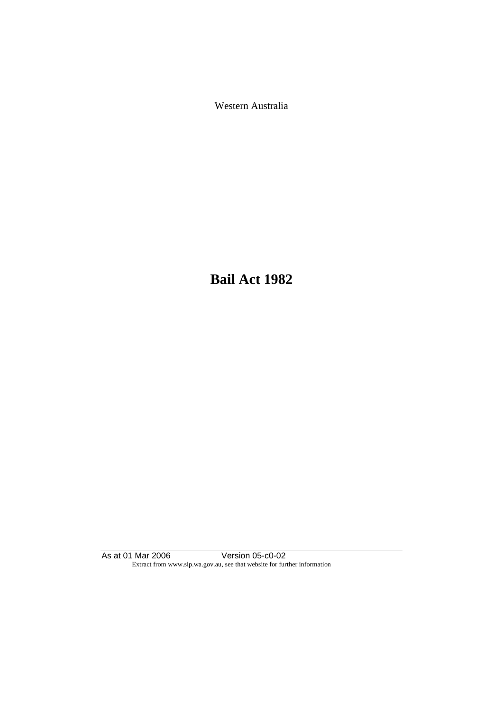Western Australia

**Bail Act 1982**

As at 01 Mar 2006 Version 05-c0-02 Extract from www.slp.wa.gov.au, see that website for further information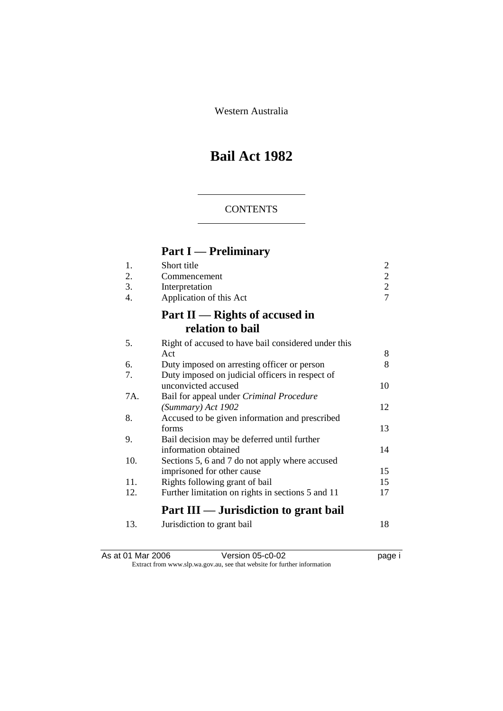Western Australia

# **Bail Act 1982**

## **CONTENTS**

# **Part I — Preliminary**

| 1.  | Short title                                         | 2              |
|-----|-----------------------------------------------------|----------------|
| 2.  | Commencement                                        | $\overline{c}$ |
| 3.  | Interpretation                                      | $\overline{c}$ |
| 4.  | Application of this Act                             | $\overline{7}$ |
|     | Part $II$ — Rights of accused in                    |                |
|     | relation to bail                                    |                |
| 5.  | Right of accused to have bail considered under this |                |
|     | Act                                                 | 8              |
| 6.  | Duty imposed on arresting officer or person         | 8              |
| 7.  | Duty imposed on judicial officers in respect of     |                |
|     | unconvicted accused                                 | 10             |
| 7A. | Bail for appeal under Criminal Procedure            |                |
|     | (Summary) Act 1902                                  | 12             |
| 8.  | Accused to be given information and prescribed      |                |
|     | forms                                               | 13             |
| 9.  | Bail decision may be deferred until further         |                |
|     | information obtained                                | 14             |
| 10. | Sections 5, 6 and 7 do not apply where accused      |                |
|     | imprisoned for other cause                          | 15             |
| 11. | Rights following grant of bail                      | 15             |
| 12. | Further limitation on rights in sections 5 and 11   | 17             |
|     | Part III — Jurisdiction to grant bail               |                |
| 13. | Jurisdiction to grant bail                          | 18             |

| As at 01 Mar 2006 | Version 05-c0-02                                                         | page i |
|-------------------|--------------------------------------------------------------------------|--------|
|                   | Extract from www.slp.wa.gov.au, see that website for further information |        |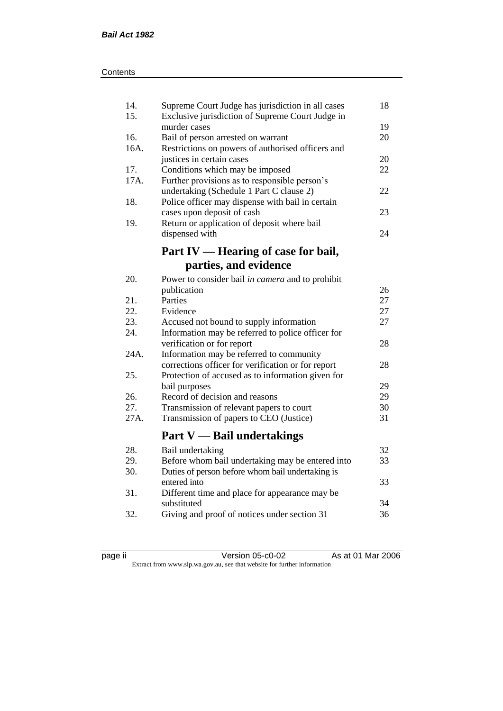| 14.<br>15. | Supreme Court Judge has jurisdiction in all cases<br>Exclusive jurisdiction of Supreme Court Judge in | 18 |
|------------|-------------------------------------------------------------------------------------------------------|----|
|            | murder cases                                                                                          | 19 |
| 16.        | Bail of person arrested on warrant                                                                    | 20 |
| 16A.       | Restrictions on powers of authorised officers and                                                     |    |
|            | justices in certain cases                                                                             | 20 |
| 17.        | Conditions which may be imposed                                                                       | 22 |
| 17A.       | Further provisions as to responsible person's                                                         |    |
|            | undertaking (Schedule 1 Part C clause 2)                                                              | 22 |
| 18.        | Police officer may dispense with bail in certain                                                      |    |
|            | cases upon deposit of cash                                                                            | 23 |
| 19.        | Return or application of deposit where bail                                                           |    |
|            | dispensed with                                                                                        | 24 |
|            |                                                                                                       |    |
|            | Part IV — Hearing of case for bail,                                                                   |    |
|            | parties, and evidence                                                                                 |    |
| 20.        | Power to consider bail in camera and to prohibit                                                      |    |
|            | publication                                                                                           | 26 |
| 21.        | Parties                                                                                               | 27 |
| 22.        | Evidence                                                                                              | 27 |
| 23.        | Accused not bound to supply information                                                               | 27 |
| 24.        | Information may be referred to police officer for                                                     |    |
|            | verification or for report                                                                            | 28 |
| 24A.       | Information may be referred to community                                                              |    |
|            | corrections officer for verification or for report                                                    | 28 |
| 25.        | Protection of accused as to information given for                                                     |    |
|            | bail purposes                                                                                         | 29 |
| 26.        | Record of decision and reasons                                                                        | 29 |
| 27.        | Transmission of relevant papers to court                                                              | 30 |
| 27A.       | Transmission of papers to CEO (Justice)                                                               | 31 |
|            |                                                                                                       |    |
|            | <b>Part V</b> — Bail undertakings                                                                     |    |
| 28.        | Bail undertaking                                                                                      | 32 |
| 29.        | Before whom bail undertaking may be entered into                                                      | 33 |
| 30.        | Duties of person before whom bail undertaking is                                                      |    |
|            | entered into                                                                                          | 33 |
| 31.        | Different time and place for appearance may be                                                        |    |
|            | substituted                                                                                           | 34 |
| 32.        | Giving and proof of notices under section 31                                                          | 36 |
|            |                                                                                                       |    |

| ∽ |  |
|---|--|
|   |  |
|   |  |

page ii Version 05-c0-02 As at 01 Mar 2006 Extract from www.slp.wa.gov.au, see that website for further information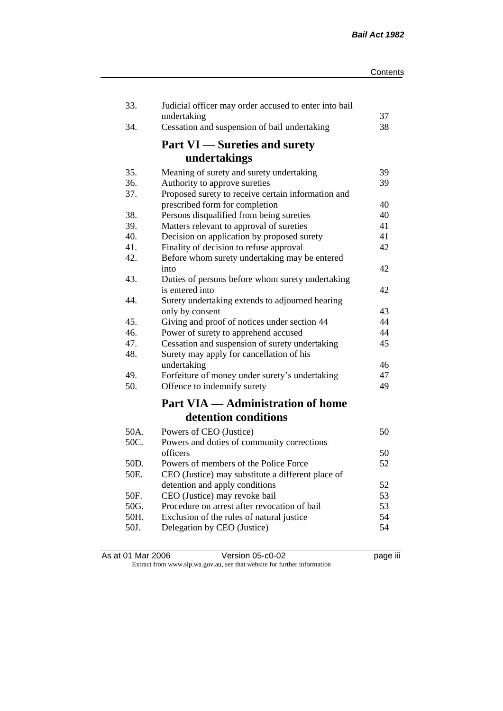| 33.  | Judicial officer may order accused to enter into bail<br>undertaking | 37 |
|------|----------------------------------------------------------------------|----|
| 34.  | Cessation and suspension of bail undertaking                         | 38 |
|      | <b>Part VI</b> — Sureties and surety                                 |    |
|      | undertakings                                                         |    |
| 35.  | Meaning of surety and surety undertaking                             | 39 |
| 36.  | Authority to approve sureties                                        | 39 |
| 37.  | Proposed surety to receive certain information and                   |    |
|      | prescribed form for completion                                       | 40 |
| 38.  | Persons disqualified from being sureties                             | 40 |
| 39.  | Matters relevant to approval of sureties                             | 41 |
| 40.  | Decision on application by proposed surety                           | 41 |
| 41.  | Finality of decision to refuse approval                              | 42 |
| 42.  | Before whom surety undertaking may be entered                        | 42 |
| 43.  | into                                                                 |    |
|      | Duties of persons before whom surety undertaking<br>is entered into  | 42 |
| 44.  | Surety undertaking extends to adjourned hearing                      |    |
|      | only by consent                                                      | 43 |
| 45.  | Giving and proof of notices under section 44                         | 44 |
| 46.  | Power of surety to apprehend accused                                 | 44 |
| 47.  | Cessation and suspension of surety undertaking                       | 45 |
| 48.  | Surety may apply for cancellation of his                             |    |
|      | undertaking                                                          | 46 |
| 49.  | Forfeiture of money under surety's undertaking                       | 47 |
| 50.  | Offence to indemnify surety                                          | 49 |
|      | <b>Part VIA — Administration of home</b>                             |    |
|      | detention conditions                                                 |    |
| 50A. | Powers of CEO (Justice)                                              | 50 |
| 50C. | Powers and duties of community corrections                           |    |
|      | officers                                                             | 50 |
| 50D. | Powers of members of the Police Force                                | 52 |
| 50E. | CEO (Justice) may substitute a different place of                    |    |
|      | detention and apply conditions                                       | 52 |
| 50F. | CEO (Justice) may revoke bail                                        | 53 |
| 50G. | Procedure on arrest after revocation of bail                         | 53 |
| 50H. | Exclusion of the rules of natural justice                            | 54 |
| 50J. | Delegation by CEO (Justice)                                          | 54 |
|      |                                                                      |    |

| As at 01 Mar 2006 | Version 05-c0-02                                                         | <br>page III |
|-------------------|--------------------------------------------------------------------------|--------------|
|                   | Extract from www.slp.wa.gov.au, see that website for further information |              |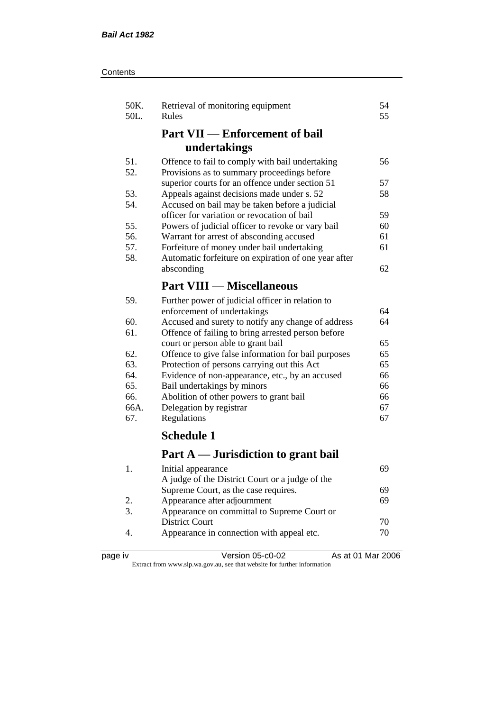| Contents |
|----------|
|----------|

| 50K.<br>50L.     | Retrieval of monitoring equipment<br>Rules           | 54<br>55 |
|------------------|------------------------------------------------------|----------|
|                  | <b>Part VII — Enforcement of bail</b>                |          |
|                  | undertakings                                         |          |
| 51.              | Offence to fail to comply with bail undertaking      | 56       |
| 52.              | Provisions as to summary proceedings before          |          |
|                  | superior courts for an offence under section 51      | 57       |
| 53.              | Appeals against decisions made under s. 52           | 58       |
| 54.              | Accused on bail may be taken before a judicial       |          |
|                  | officer for variation or revocation of bail          | 59       |
| 55.              | Powers of judicial officer to revoke or vary bail    | 60       |
| 56.              | Warrant for arrest of absconding accused             | 61       |
| 57.              | Forfeiture of money under bail undertaking           | 61       |
| 58.              | Automatic forfeiture on expiration of one year after |          |
|                  | absconding                                           | 62       |
|                  | <b>Part VIII — Miscellaneous</b>                     |          |
| 59.              | Further power of judicial officer in relation to     |          |
|                  | enforcement of undertakings                          | 64       |
| 60.              | Accused and surety to notify any change of address   | 64       |
| 61.              | Offence of failing to bring arrested person before   |          |
|                  | court or person able to grant bail                   | 65       |
| 62.              | Offence to give false information for bail purposes  | 65       |
| 63.              | Protection of persons carrying out this Act          | 65       |
| 64.              | Evidence of non-appearance, etc., by an accused      | 66       |
| 65.              | Bail undertakings by minors                          | 66       |
| 66.              | Abolition of other powers to grant bail              | 66       |
| 66A.             | Delegation by registrar                              | 67       |
| 67.              | Regulations                                          | 67       |
|                  | <b>Schedule 1</b>                                    |          |
|                  | Part A — Jurisdiction to grant bail                  |          |
| 1.               | Initial appearance                                   | 69       |
|                  | A judge of the District Court or a judge of the      |          |
|                  | Supreme Court, as the case requires.                 | 69       |
| 2.               | Appearance after adjournment                         | 69       |
| $\overline{3}$ . | Appearance on committal to Supreme Court or          |          |
|                  | <b>District Court</b>                                | 70       |
|                  |                                                      |          |

4. Appearance in connection with appeal etc.  $70$ 

|  | ıО<br>⋍<br>∺ |  |
|--|--------------|--|
|--|--------------|--|

page iv Version 05-c0-02 As at 01 Mar 2006 Extract from www.slp.wa.gov.au, see that website for further information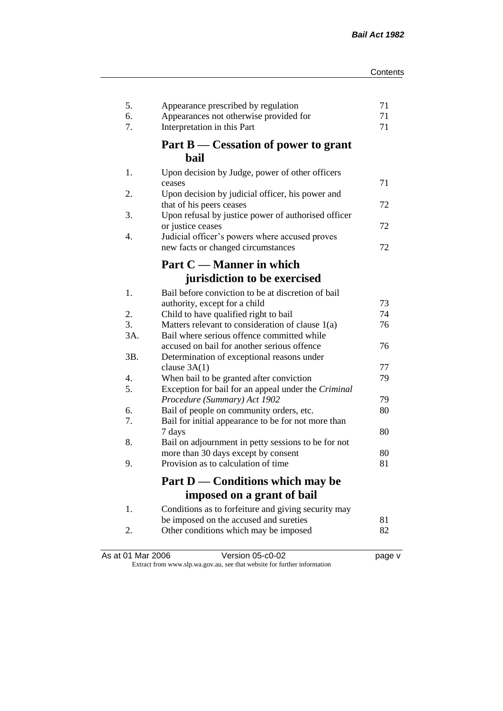| 5.<br>6.<br>7. | Appearance prescribed by regulation<br>Appearances not otherwise provided for<br>Interpretation in this Part | 71<br>71<br>71 |
|----------------|--------------------------------------------------------------------------------------------------------------|----------------|
|                | Part B — Cessation of power to grant<br>bail                                                                 |                |
| 1.             | Upon decision by Judge, power of other officers<br>ceases                                                    | 71             |
| 2.             | Upon decision by judicial officer, his power and<br>that of his peers ceases                                 | 72             |
| 3.             | Upon refusal by justice power of authorised officer<br>or justice ceases                                     | 72             |
| 4.             | Judicial officer's powers where accused proves<br>new facts or changed circumstances                         | 72             |
|                | Part C — Manner in which                                                                                     |                |
|                | jurisdiction to be exercised                                                                                 |                |
| 1.             | Bail before conviction to be at discretion of bail<br>authority, except for a child                          | 73             |
| 2.             | Child to have qualified right to bail                                                                        | 74             |
| 3.             | Matters relevant to consideration of clause 1(a)                                                             | 76             |
| 3A.            | Bail where serious offence committed while                                                                   |                |
|                | accused on bail for another serious offence                                                                  | 76             |
| 3B.            | Determination of exceptional reasons under                                                                   |                |
|                | clause $3A(1)$                                                                                               | 77             |
| 4.             | When bail to be granted after conviction                                                                     | 79             |
| 5.             | Exception for bail for an appeal under the Criminal<br>Procedure (Summary) Act 1902                          | 79             |
| 6.             | Bail of people on community orders, etc.                                                                     | 80             |
| 7.             | Bail for initial appearance to be for not more than                                                          |                |
|                | 7 days                                                                                                       | 80             |
| 8.             | Bail on adjournment in petty sessions to be for not                                                          |                |
|                | more than 30 days except by consent                                                                          | 80             |
| 9.             | Provision as to calculation of time                                                                          | 81             |
|                | Part D — Conditions which may be                                                                             |                |
|                | imposed on a grant of bail                                                                                   |                |
| 1.             | Conditions as to forfeiture and giving security may                                                          |                |
|                | be imposed on the accused and sureties                                                                       | 81             |
| 2.             | Other conditions which may be imposed                                                                        | 82             |
|                |                                                                                                              |                |

| As at 01 Mar 2006 | Version 05-c0-02                                                         | page v |
|-------------------|--------------------------------------------------------------------------|--------|
|                   | Extract from www.slp.wa.gov.au, see that website for further information |        |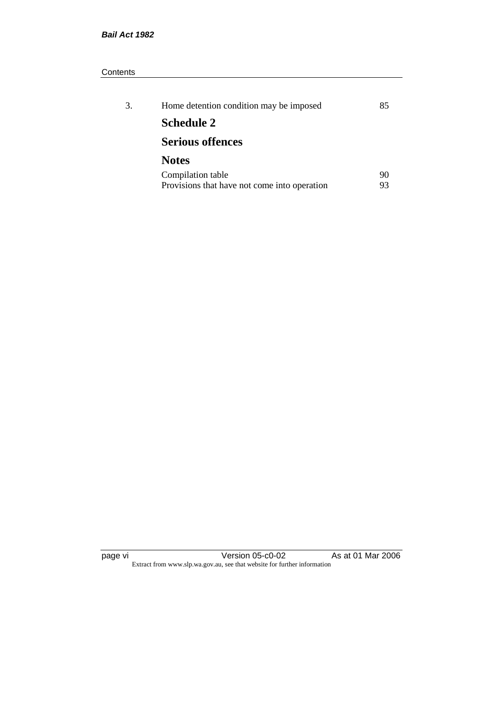#### **Contents**

| 3. | Home detention condition may be imposed      | 85 |
|----|----------------------------------------------|----|
|    | <b>Schedule 2</b>                            |    |
|    | <b>Serious offences</b>                      |    |
|    | <b>Notes</b>                                 |    |
|    | Compilation table                            | 90 |
|    | Provisions that have not come into operation |    |

page vi Version 05-c0-02 As at 01 Mar 2006 Extract from www.slp.wa.gov.au, see that website for further information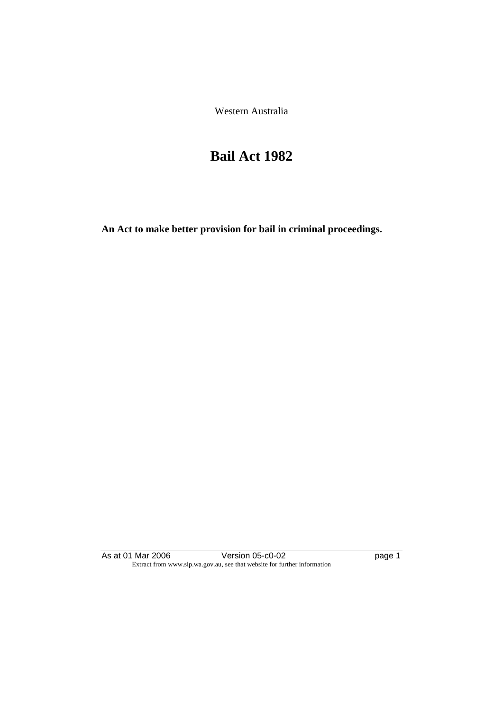Western Australia

# **Bail Act 1982**

**An Act to make better provision for bail in criminal proceedings.** 

As at 01 Mar 2006 **Version 05-c0-02 Page 1** Page 1 Extract from www.slp.wa.gov.au, see that website for further information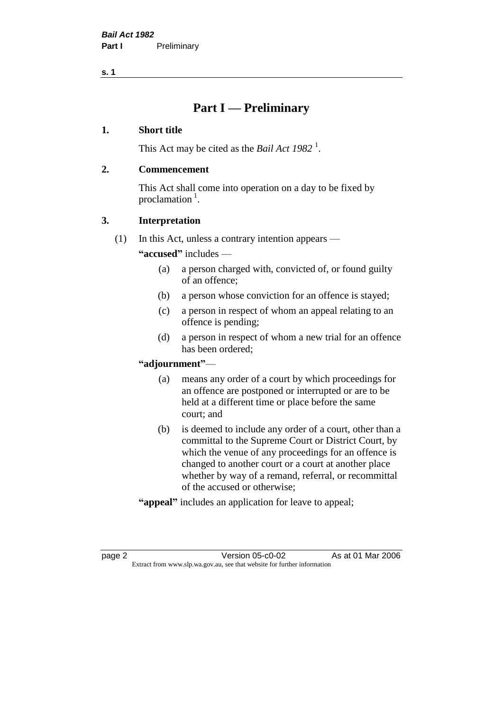# **Part I — Preliminary**

#### **1. Short title**

This Act may be cited as the *Bail Act* 1982<sup>1</sup>.

#### **2. Commencement**

This Act shall come into operation on a day to be fixed by proclamation  $<sup>1</sup>$ .</sup>

## **3. Interpretation**

(1) In this Act, unless a contrary intention appears —

**"accused"** includes —

- (a) a person charged with, convicted of, or found guilty of an offence;
- (b) a person whose conviction for an offence is stayed;
- (c) a person in respect of whom an appeal relating to an offence is pending;
- (d) a person in respect of whom a new trial for an offence has been ordered;

#### **"adjournment"**—

- (a) means any order of a court by which proceedings for an offence are postponed or interrupted or are to be held at a different time or place before the same court; and
- (b) is deemed to include any order of a court, other than a committal to the Supreme Court or District Court, by which the venue of any proceedings for an offence is changed to another court or a court at another place whether by way of a remand, referral, or recommittal of the accused or otherwise;
- **"appeal"** includes an application for leave to appeal;

page 2 Version 05-c0-02 As at 01 Mar 2006 Extract from www.slp.wa.gov.au, see that website for further information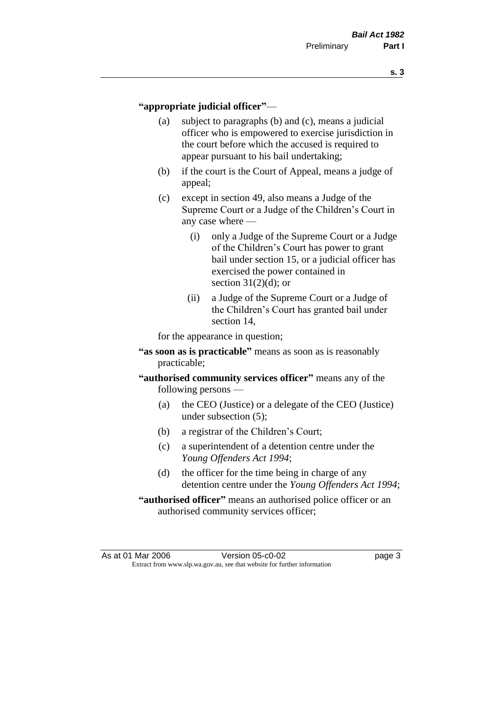#### **"appropriate judicial officer"**—

- (a) subject to paragraphs (b) and (c), means a judicial officer who is empowered to exercise jurisdiction in the court before which the accused is required to appear pursuant to his bail undertaking;
- (b) if the court is the Court of Appeal, means a judge of appeal;
- (c) except in section 49, also means a Judge of the Supreme Court or a Judge of the Children's Court in any case where —
	- (i) only a Judge of the Supreme Court or a Judge of the Children's Court has power to grant bail under section 15, or a judicial officer has exercised the power contained in section  $31(2)(d)$ ; or
	- (ii) a Judge of the Supreme Court or a Judge of the Children's Court has granted bail under section 14,

for the appearance in question;

- **"as soon as is practicable"** means as soon as is reasonably practicable;
- **"authorised community services officer"** means any of the following persons —
	- (a) the CEO (Justice) or a delegate of the CEO (Justice) under subsection (5);
	- (b) a registrar of the Children's Court;
	- (c) a superintendent of a detention centre under the *Young Offenders Act 1994*;
	- (d) the officer for the time being in charge of any detention centre under the *Young Offenders Act 1994*;
- **"authorised officer"** means an authorised police officer or an authorised community services officer;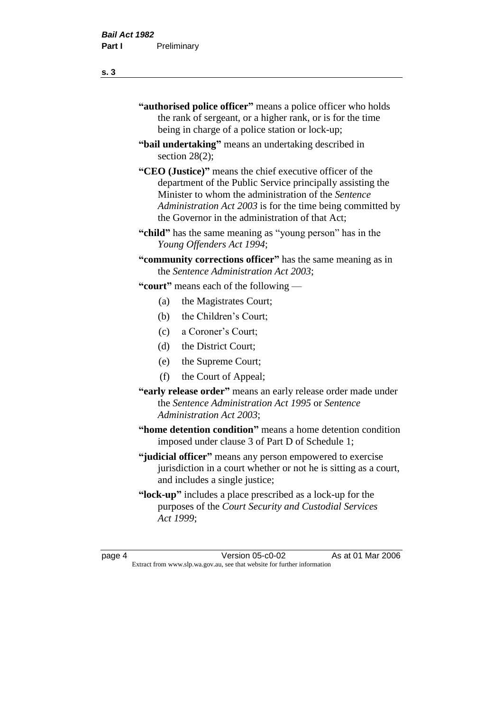| "authorised police officer" means a police officer who holds |
|--------------------------------------------------------------|
| the rank of sergeant, or a higher rank, or is for the time   |
| being in charge of a police station or lock-up;              |

- **"bail undertaking"** means an undertaking described in section 28(2);
- **"CEO (Justice)"** means the chief executive officer of the department of the Public Service principally assisting the Minister to whom the administration of the *Sentence Administration Act 2003* is for the time being committed by the Governor in the administration of that Act;
- **"child"** has the same meaning as "young person" has in the *Young Offenders Act 1994*;
- **"community corrections officer"** has the same meaning as in the *Sentence Administration Act 2003*;

**"court"** means each of the following —

- (a) the Magistrates Court;
- (b) the Children's Court;
- (c) a Coroner's Court;
- (d) the District Court;
- (e) the Supreme Court;
- (f) the Court of Appeal;
- **"early release order"** means an early release order made under the *Sentence Administration Act 1995* or *Sentence Administration Act 2003*;
- **"home detention condition"** means a home detention condition imposed under clause 3 of Part D of Schedule 1;
- **"judicial officer"** means any person empowered to exercise jurisdiction in a court whether or not he is sitting as a court, and includes a single justice;
- **"lock-up"** includes a place prescribed as a lock-up for the purposes of the *Court Security and Custodial Services Act 1999*;

page 4 Version 05-c0-02 As at 01 Mar 2006 Extract from www.slp.wa.gov.au, see that website for further information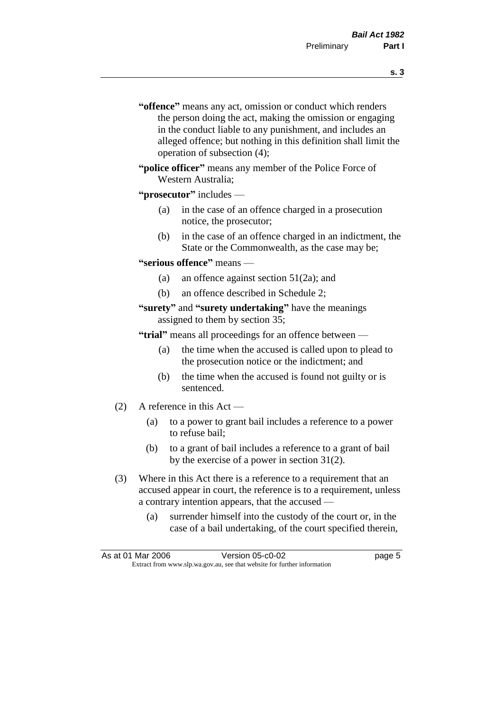- **s. 3**
- **"offence"** means any act, omission or conduct which renders the person doing the act, making the omission or engaging in the conduct liable to any punishment, and includes an alleged offence; but nothing in this definition shall limit the operation of subsection (4);
- **"police officer"** means any member of the Police Force of Western Australia;

#### **"prosecutor"** includes —

- (a) in the case of an offence charged in a prosecution notice, the prosecutor;
- (b) in the case of an offence charged in an indictment, the State or the Commonwealth, as the case may be;

#### **"serious offence"** means —

- (a) an offence against section 51(2a); and
- (b) an offence described in Schedule 2;

#### **"surety"** and **"surety undertaking"** have the meanings assigned to them by section 35;

**"trial"** means all proceedings for an offence between —

- (a) the time when the accused is called upon to plead to the prosecution notice or the indictment; and
- (b) the time when the accused is found not guilty or is sentenced.
- (2) A reference in this Act
	- (a) to a power to grant bail includes a reference to a power to refuse bail;
	- (b) to a grant of bail includes a reference to a grant of bail by the exercise of a power in section 31(2).
- (3) Where in this Act there is a reference to a requirement that an accused appear in court, the reference is to a requirement, unless a contrary intention appears, that the accused —
	- (a) surrender himself into the custody of the court or, in the case of a bail undertaking, of the court specified therein,

|                                                                          | As at 01 Mar 2006 | Version 05-c0-02 | page 5 |
|--------------------------------------------------------------------------|-------------------|------------------|--------|
| Extract from www.slp.wa.gov.au, see that website for further information |                   |                  |        |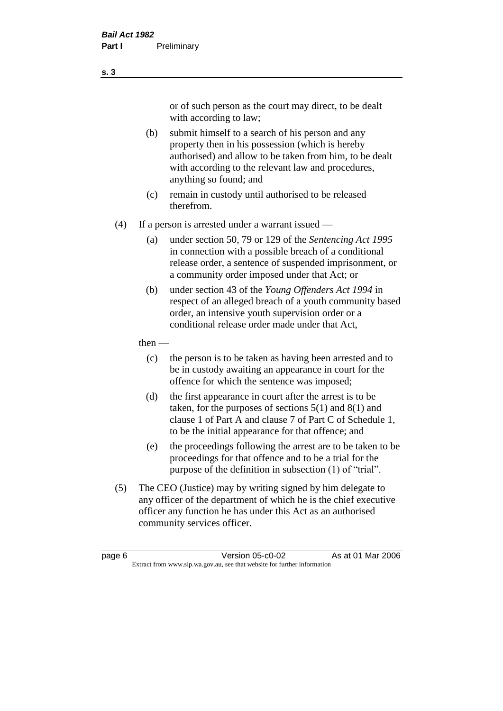or of such person as the court may direct, to be dealt with according to law;

(b) submit himself to a search of his person and any property then in his possession (which is hereby authorised) and allow to be taken from him, to be dealt with according to the relevant law and procedures, anything so found; and

- (c) remain in custody until authorised to be released therefrom.
- (4) If a person is arrested under a warrant issued
	- (a) under section 50, 79 or 129 of the *Sentencing Act 1995* in connection with a possible breach of a conditional release order, a sentence of suspended imprisonment, or a community order imposed under that Act; or
	- (b) under section 43 of the *Young Offenders Act 1994* in respect of an alleged breach of a youth community based order, an intensive youth supervision order or a conditional release order made under that Act,

#### then —

- (c) the person is to be taken as having been arrested and to be in custody awaiting an appearance in court for the offence for which the sentence was imposed;
- (d) the first appearance in court after the arrest is to be taken, for the purposes of sections  $5(1)$  and  $8(1)$  and clause 1 of Part A and clause 7 of Part C of Schedule 1, to be the initial appearance for that offence; and
- (e) the proceedings following the arrest are to be taken to be proceedings for that offence and to be a trial for the purpose of the definition in subsection (1) of "trial".
- (5) The CEO (Justice) may by writing signed by him delegate to any officer of the department of which he is the chief executive officer any function he has under this Act as an authorised community services officer.

#### **s. 3**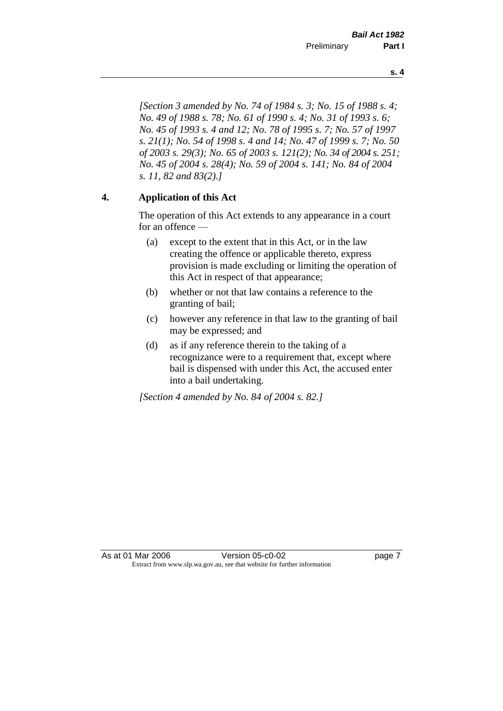*[Section 3 amended by No. 74 of 1984 s. 3; No. 15 of 1988 s. 4; No. 49 of 1988 s. 78; No. 61 of 1990 s. 4; No. 31 of 1993 s. 6; No. 45 of 1993 s. 4 and 12; No. 78 of 1995 s. 7; No. 57 of 1997 s. 21(1); No. 54 of 1998 s. 4 and 14; No. 47 of 1999 s. 7; No. 50 of 2003 s. 29(3); No. 65 of 2003 s. 121(2); No. 34 of 2004 s. 251; No. 45 of 2004 s. 28(4); No. 59 of 2004 s. 141; No. 84 of 2004 s. 11, 82 and 83(2).]* 

## **4. Application of this Act**

The operation of this Act extends to any appearance in a court for an offence —

- (a) except to the extent that in this Act, or in the law creating the offence or applicable thereto, express provision is made excluding or limiting the operation of this Act in respect of that appearance;
- (b) whether or not that law contains a reference to the granting of bail;
- (c) however any reference in that law to the granting of bail may be expressed; and
- (d) as if any reference therein to the taking of a recognizance were to a requirement that, except where bail is dispensed with under this Act, the accused enter into a bail undertaking.

*[Section 4 amended by No. 84 of 2004 s. 82.]*

**s. 4**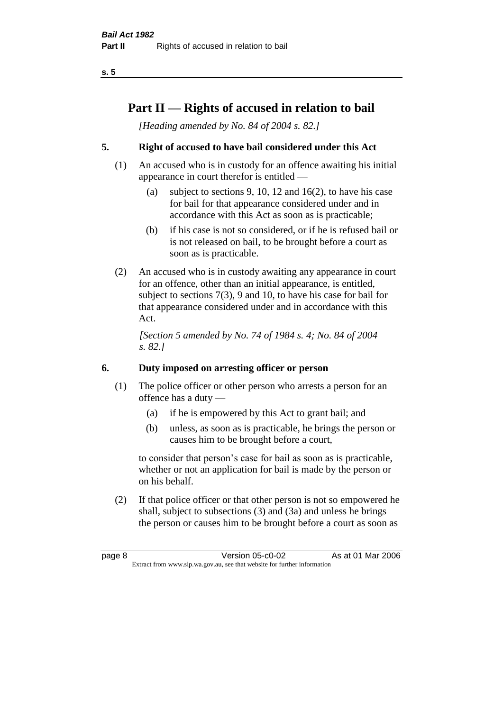# **Part II — Rights of accused in relation to bail**

*[Heading amended by No. 84 of 2004 s. 82.]* 

## **5. Right of accused to have bail considered under this Act**

- (1) An accused who is in custody for an offence awaiting his initial appearance in court therefor is entitled —
	- (a) subject to sections 9, 10, 12 and 16(2), to have his case for bail for that appearance considered under and in accordance with this Act as soon as is practicable;
	- (b) if his case is not so considered, or if he is refused bail or is not released on bail, to be brought before a court as soon as is practicable.
- (2) An accused who is in custody awaiting any appearance in court for an offence, other than an initial appearance, is entitled, subject to sections 7(3), 9 and 10, to have his case for bail for that appearance considered under and in accordance with this Act.

*[Section 5 amended by No. 74 of 1984 s. 4; No. 84 of 2004 s. 82.]* 

## **6. Duty imposed on arresting officer or person**

- (1) The police officer or other person who arrests a person for an offence has a duty —
	- (a) if he is empowered by this Act to grant bail; and
	- (b) unless, as soon as is practicable, he brings the person or causes him to be brought before a court,

to consider that person's case for bail as soon as is practicable, whether or not an application for bail is made by the person or on his behalf.

(2) If that police officer or that other person is not so empowered he shall, subject to subsections (3) and (3a) and unless he brings the person or causes him to be brought before a court as soon as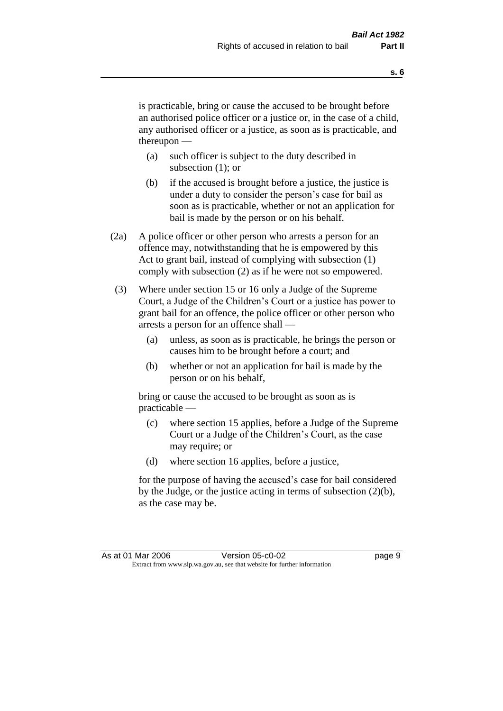is practicable, bring or cause the accused to be brought before an authorised police officer or a justice or, in the case of a child, any authorised officer or a justice, as soon as is practicable, and thereupon —

- (a) such officer is subject to the duty described in subsection (1); or
- (b) if the accused is brought before a justice, the justice is under a duty to consider the person's case for bail as soon as is practicable, whether or not an application for bail is made by the person or on his behalf.
- (2a) A police officer or other person who arrests a person for an offence may, notwithstanding that he is empowered by this Act to grant bail, instead of complying with subsection (1) comply with subsection (2) as if he were not so empowered.
- (3) Where under section 15 or 16 only a Judge of the Supreme Court, a Judge of the Children's Court or a justice has power to grant bail for an offence, the police officer or other person who arrests a person for an offence shall —
	- (a) unless, as soon as is practicable, he brings the person or causes him to be brought before a court; and
	- (b) whether or not an application for bail is made by the person or on his behalf,

bring or cause the accused to be brought as soon as is practicable —

- (c) where section 15 applies, before a Judge of the Supreme Court or a Judge of the Children's Court, as the case may require; or
- (d) where section 16 applies, before a justice,

for the purpose of having the accused's case for bail considered by the Judge, or the justice acting in terms of subsection (2)(b), as the case may be.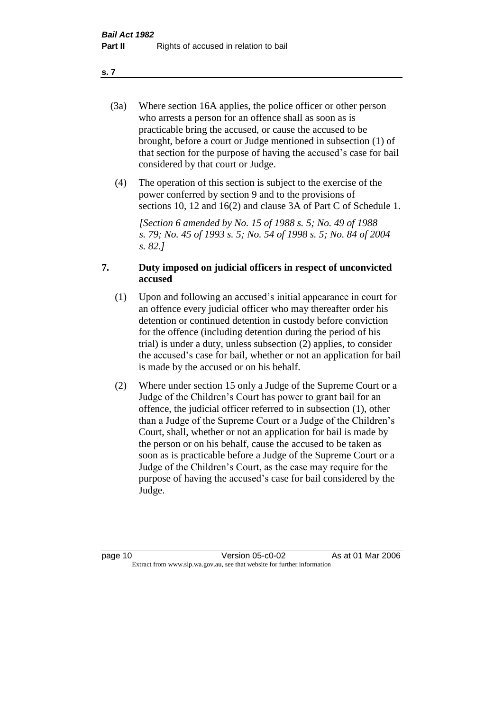- (3a) Where section 16A applies, the police officer or other person who arrests a person for an offence shall as soon as is practicable bring the accused, or cause the accused to be brought, before a court or Judge mentioned in subsection (1) of that section for the purpose of having the accused's case for bail considered by that court or Judge.
- (4) The operation of this section is subject to the exercise of the power conferred by section 9 and to the provisions of sections 10, 12 and 16(2) and clause 3A of Part C of Schedule 1.

*[Section 6 amended by No. 15 of 1988 s. 5; No. 49 of 1988 s. 79; No. 45 of 1993 s. 5; No. 54 of 1998 s. 5; No. 84 of 2004 s. 82.]* 

#### **7. Duty imposed on judicial officers in respect of unconvicted accused**

- (1) Upon and following an accused's initial appearance in court for an offence every judicial officer who may thereafter order his detention or continued detention in custody before conviction for the offence (including detention during the period of his trial) is under a duty, unless subsection (2) applies, to consider the accused's case for bail, whether or not an application for bail is made by the accused or on his behalf.
- (2) Where under section 15 only a Judge of the Supreme Court or a Judge of the Children's Court has power to grant bail for an offence, the judicial officer referred to in subsection (1), other than a Judge of the Supreme Court or a Judge of the Children's Court, shall, whether or not an application for bail is made by the person or on his behalf, cause the accused to be taken as soon as is practicable before a Judge of the Supreme Court or a Judge of the Children's Court, as the case may require for the purpose of having the accused's case for bail considered by the Judge.

**s. 7**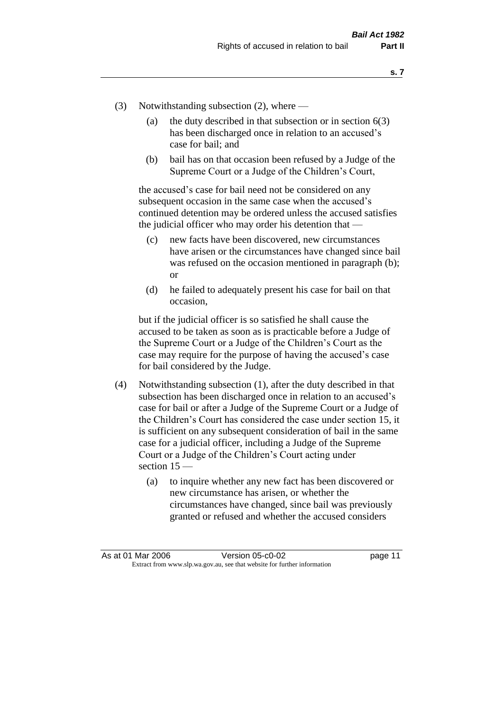- (3) Notwithstanding subsection (2), where
	- (a) the duty described in that subsection or in section  $6(3)$ has been discharged once in relation to an accused's case for bail; and
	- (b) bail has on that occasion been refused by a Judge of the Supreme Court or a Judge of the Children's Court,

the accused's case for bail need not be considered on any subsequent occasion in the same case when the accused's continued detention may be ordered unless the accused satisfies the judicial officer who may order his detention that —

- (c) new facts have been discovered, new circumstances have arisen or the circumstances have changed since bail was refused on the occasion mentioned in paragraph (b); or
- (d) he failed to adequately present his case for bail on that occasion,

but if the judicial officer is so satisfied he shall cause the accused to be taken as soon as is practicable before a Judge of the Supreme Court or a Judge of the Children's Court as the case may require for the purpose of having the accused's case for bail considered by the Judge.

- (4) Notwithstanding subsection (1), after the duty described in that subsection has been discharged once in relation to an accused's case for bail or after a Judge of the Supreme Court or a Judge of the Children's Court has considered the case under section 15, it is sufficient on any subsequent consideration of bail in the same case for a judicial officer, including a Judge of the Supreme Court or a Judge of the Children's Court acting under section 15 —
	- (a) to inquire whether any new fact has been discovered or new circumstance has arisen, or whether the circumstances have changed, since bail was previously granted or refused and whether the accused considers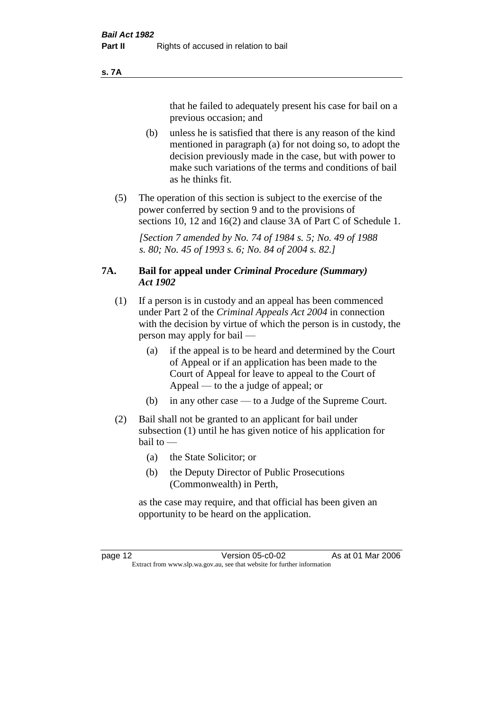#### **s. 7A**

that he failed to adequately present his case for bail on a previous occasion; and

- (b) unless he is satisfied that there is any reason of the kind mentioned in paragraph (a) for not doing so, to adopt the decision previously made in the case, but with power to make such variations of the terms and conditions of bail as he thinks fit.
- (5) The operation of this section is subject to the exercise of the power conferred by section 9 and to the provisions of sections 10, 12 and 16(2) and clause 3A of Part C of Schedule 1.

*[Section 7 amended by No. 74 of 1984 s. 5; No. 49 of 1988 s. 80; No. 45 of 1993 s. 6; No. 84 of 2004 s. 82.]* 

#### **7A. Bail for appeal under** *Criminal Procedure (Summary) Act 1902*

- (1) If a person is in custody and an appeal has been commenced under Part 2 of the *Criminal Appeals Act 2004* in connection with the decision by virtue of which the person is in custody, the person may apply for bail —
	- (a) if the appeal is to be heard and determined by the Court of Appeal or if an application has been made to the Court of Appeal for leave to appeal to the Court of Appeal — to the a judge of appeal; or
	- (b) in any other case to a Judge of the Supreme Court.
- (2) Bail shall not be granted to an applicant for bail under subsection (1) until he has given notice of his application for bail to —
	- (a) the State Solicitor; or
	- (b) the Deputy Director of Public Prosecutions (Commonwealth) in Perth,

as the case may require, and that official has been given an opportunity to be heard on the application.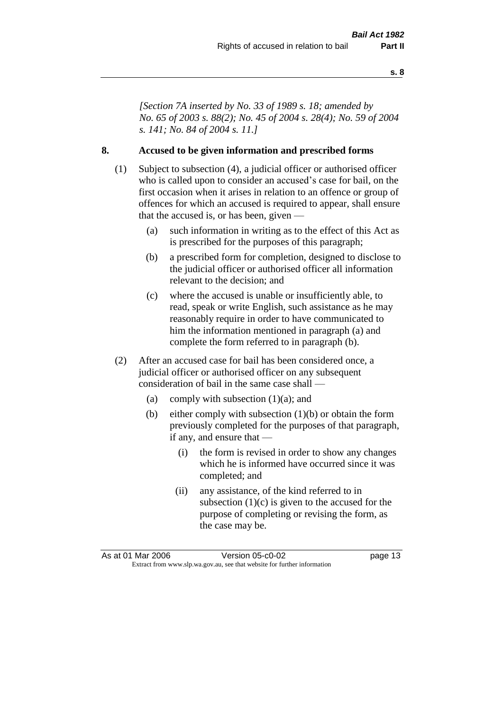*[Section 7A inserted by No. 33 of 1989 s. 18; amended by No. 65 of 2003 s. 88(2); No. 45 of 2004 s. 28(4); No. 59 of 2004 s. 141; No. 84 of 2004 s. 11.]* 

#### **8. Accused to be given information and prescribed forms**

- (1) Subject to subsection (4), a judicial officer or authorised officer who is called upon to consider an accused's case for bail, on the first occasion when it arises in relation to an offence or group of offences for which an accused is required to appear, shall ensure that the accused is, or has been, given —
	- (a) such information in writing as to the effect of this Act as is prescribed for the purposes of this paragraph;
	- (b) a prescribed form for completion, designed to disclose to the judicial officer or authorised officer all information relevant to the decision; and
	- (c) where the accused is unable or insufficiently able, to read, speak or write English, such assistance as he may reasonably require in order to have communicated to him the information mentioned in paragraph (a) and complete the form referred to in paragraph (b).
- (2) After an accused case for bail has been considered once, a judicial officer or authorised officer on any subsequent consideration of bail in the same case shall —
	- (a) comply with subsection  $(1)(a)$ ; and
	- (b) either comply with subsection (1)(b) or obtain the form previously completed for the purposes of that paragraph, if any, and ensure that —
		- (i) the form is revised in order to show any changes which he is informed have occurred since it was completed; and
		- (ii) any assistance, of the kind referred to in subsection  $(1)(c)$  is given to the accused for the purpose of completing or revising the form, as the case may be.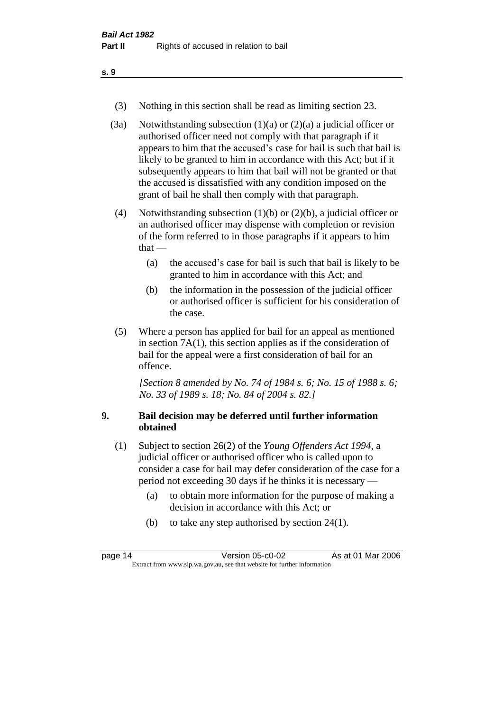- (3) Nothing in this section shall be read as limiting section 23.
- (3a) Notwithstanding subsection  $(1)(a)$  or  $(2)(a)$  a judicial officer or authorised officer need not comply with that paragraph if it appears to him that the accused's case for bail is such that bail is likely to be granted to him in accordance with this Act; but if it subsequently appears to him that bail will not be granted or that the accused is dissatisfied with any condition imposed on the grant of bail he shall then comply with that paragraph.
- (4) Notwithstanding subsection (1)(b) or (2)(b), a judicial officer or an authorised officer may dispense with completion or revision of the form referred to in those paragraphs if it appears to him  $that -$ 
	- (a) the accused's case for bail is such that bail is likely to be granted to him in accordance with this Act; and
	- (b) the information in the possession of the judicial officer or authorised officer is sufficient for his consideration of the case.
- (5) Where a person has applied for bail for an appeal as mentioned in section 7A(1), this section applies as if the consideration of bail for the appeal were a first consideration of bail for an offence.

*[Section 8 amended by No. 74 of 1984 s. 6; No. 15 of 1988 s. 6; No. 33 of 1989 s. 18; No. 84 of 2004 s. 82.]* 

#### **9. Bail decision may be deferred until further information obtained**

- (1) Subject to section 26(2) of the *Young Offenders Act 1994*, a judicial officer or authorised officer who is called upon to consider a case for bail may defer consideration of the case for a period not exceeding 30 days if he thinks it is necessary —
	- (a) to obtain more information for the purpose of making a decision in accordance with this Act; or
	- (b) to take any step authorised by section 24(1).

| page 14                                                                  | Version 05-c0-02 | As at 01 Mar 2006 |
|--------------------------------------------------------------------------|------------------|-------------------|
| Extract from www.slp.wa.gov.au, see that website for further information |                  |                   |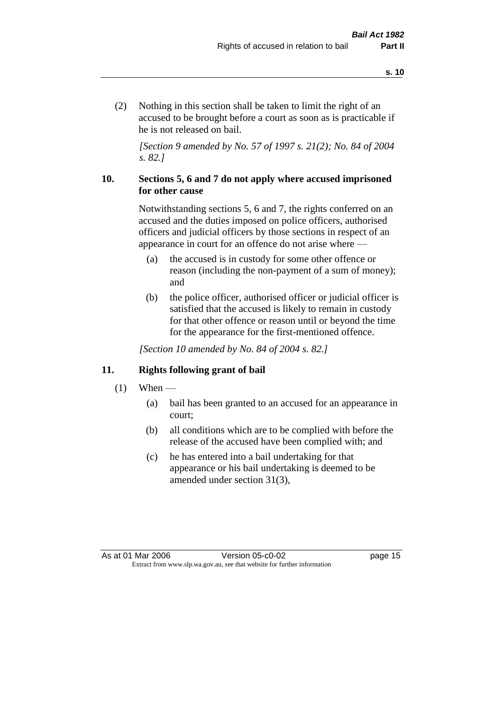(2) Nothing in this section shall be taken to limit the right of an accused to be brought before a court as soon as is practicable if he is not released on bail.

*[Section 9 amended by No. 57 of 1997 s. 21(2); No. 84 of 2004 s. 82.]*

#### **10. Sections 5, 6 and 7 do not apply where accused imprisoned for other cause**

Notwithstanding sections 5, 6 and 7, the rights conferred on an accused and the duties imposed on police officers, authorised officers and judicial officers by those sections in respect of an appearance in court for an offence do not arise where —

- (a) the accused is in custody for some other offence or reason (including the non-payment of a sum of money); and
- (b) the police officer, authorised officer or judicial officer is satisfied that the accused is likely to remain in custody for that other offence or reason until or beyond the time for the appearance for the first-mentioned offence.

*[Section 10 amended by No. 84 of 2004 s. 82.]*

#### **11. Rights following grant of bail**

- $(1)$  When
	- (a) bail has been granted to an accused for an appearance in court;
	- (b) all conditions which are to be complied with before the release of the accused have been complied with; and
	- (c) he has entered into a bail undertaking for that appearance or his bail undertaking is deemed to be amended under section 31(3),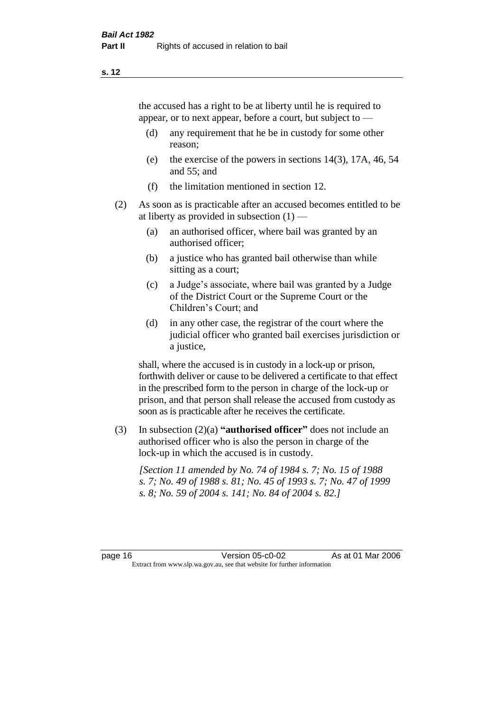the accused has a right to be at liberty until he is required to appear, or to next appear, before a court, but subject to —

- (d) any requirement that he be in custody for some other reason;
- (e) the exercise of the powers in sections 14(3), 17A, 46, 54 and 55; and
- (f) the limitation mentioned in section 12.
- (2) As soon as is practicable after an accused becomes entitled to be at liberty as provided in subsection  $(1)$  —
	- (a) an authorised officer, where bail was granted by an authorised officer;
	- (b) a justice who has granted bail otherwise than while sitting as a court;
	- (c) a Judge's associate, where bail was granted by a Judge of the District Court or the Supreme Court or the Children's Court; and
	- (d) in any other case, the registrar of the court where the judicial officer who granted bail exercises jurisdiction or a justice,

shall, where the accused is in custody in a lock-up or prison, forthwith deliver or cause to be delivered a certificate to that effect in the prescribed form to the person in charge of the lock-up or prison, and that person shall release the accused from custody as soon as is practicable after he receives the certificate.

(3) In subsection (2)(a) **"authorised officer"** does not include an authorised officer who is also the person in charge of the lock-up in which the accused is in custody.

*[Section 11 amended by No. 74 of 1984 s. 7; No. 15 of 1988 s. 7; No. 49 of 1988 s. 81; No. 45 of 1993 s. 7; No. 47 of 1999 s. 8; No. 59 of 2004 s. 141; No. 84 of 2004 s. 82.]*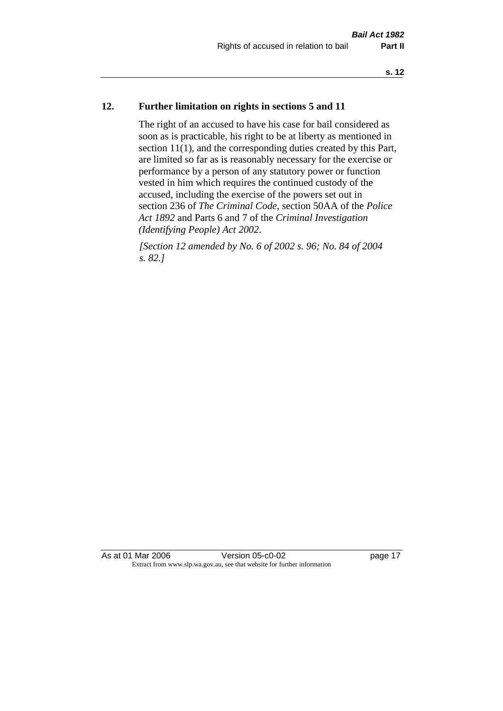#### **12. Further limitation on rights in sections 5 and 11**

The right of an accused to have his case for bail considered as soon as is practicable, his right to be at liberty as mentioned in section 11(1), and the corresponding duties created by this Part, are limited so far as is reasonably necessary for the exercise or performance by a person of any statutory power or function vested in him which requires the continued custody of the accused, including the exercise of the powers set out in section 236 of *The Criminal Code*, section 50AA of the *Police Act 1892* and Parts 6 and 7 of the *Criminal Investigation (Identifying People) Act 2002*.

*[Section 12 amended by No. 6 of 2002 s. 96; No. 84 of 2004 s. 82.]*

As at 01 Mar 2006 **Version 05-c0-02** page 17 Extract from www.slp.wa.gov.au, see that website for further information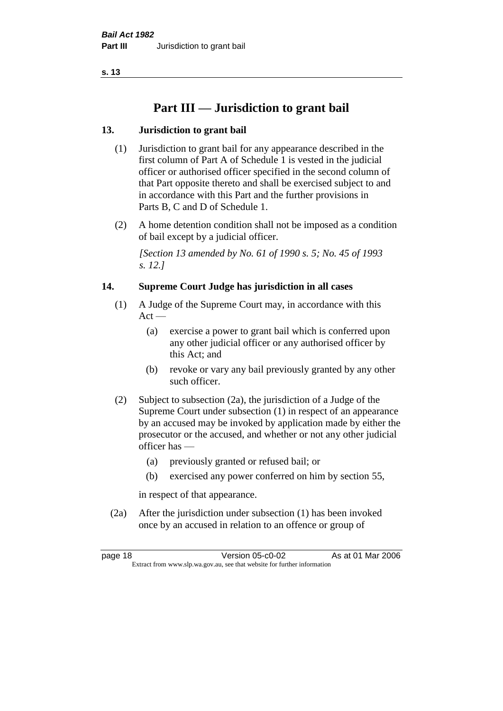# **Part III — Jurisdiction to grant bail**

## **13. Jurisdiction to grant bail**

- (1) Jurisdiction to grant bail for any appearance described in the first column of Part A of Schedule 1 is vested in the judicial officer or authorised officer specified in the second column of that Part opposite thereto and shall be exercised subject to and in accordance with this Part and the further provisions in Parts B, C and D of Schedule 1.
- (2) A home detention condition shall not be imposed as a condition of bail except by a judicial officer.

*[Section 13 amended by No. 61 of 1990 s. 5; No. 45 of 1993 s. 12.]* 

#### **14. Supreme Court Judge has jurisdiction in all cases**

- (1) A Judge of the Supreme Court may, in accordance with this  $Act -$ 
	- (a) exercise a power to grant bail which is conferred upon any other judicial officer or any authorised officer by this Act; and
	- (b) revoke or vary any bail previously granted by any other such officer.
- (2) Subject to subsection (2a), the jurisdiction of a Judge of the Supreme Court under subsection (1) in respect of an appearance by an accused may be invoked by application made by either the prosecutor or the accused, and whether or not any other judicial officer has —
	- (a) previously granted or refused bail; or
	- (b) exercised any power conferred on him by section 55,

in respect of that appearance.

(2a) After the jurisdiction under subsection (1) has been invoked once by an accused in relation to an offence or group of

page 18 Version 05-c0-02 As at 01 Mar 2006 Extract from www.slp.wa.gov.au, see that website for further information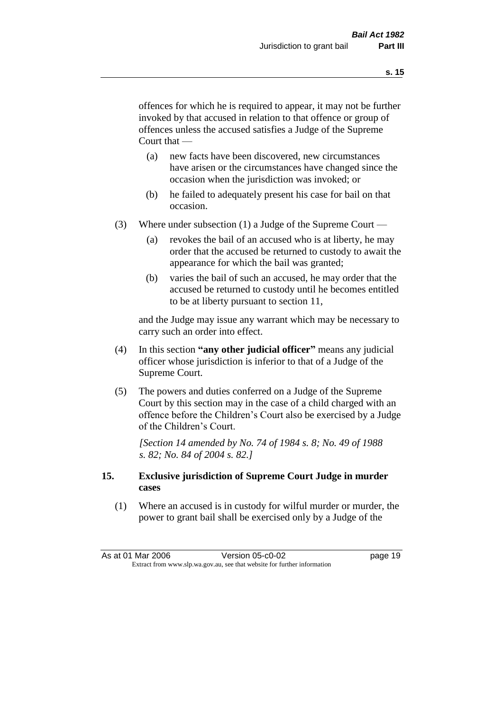offences for which he is required to appear, it may not be further invoked by that accused in relation to that offence or group of offences unless the accused satisfies a Judge of the Supreme Court that —

- (a) new facts have been discovered, new circumstances have arisen or the circumstances have changed since the occasion when the jurisdiction was invoked; or
- (b) he failed to adequately present his case for bail on that occasion.
- (3) Where under subsection (1) a Judge of the Supreme Court
	- (a) revokes the bail of an accused who is at liberty, he may order that the accused be returned to custody to await the appearance for which the bail was granted;
	- (b) varies the bail of such an accused, he may order that the accused be returned to custody until he becomes entitled to be at liberty pursuant to section 11,

and the Judge may issue any warrant which may be necessary to carry such an order into effect.

- (4) In this section **"any other judicial officer"** means any judicial officer whose jurisdiction is inferior to that of a Judge of the Supreme Court.
- (5) The powers and duties conferred on a Judge of the Supreme Court by this section may in the case of a child charged with an offence before the Children's Court also be exercised by a Judge of the Children's Court.

*[Section 14 amended by No. 74 of 1984 s. 8; No. 49 of 1988 s. 82; No. 84 of 2004 s. 82.]* 

#### **15. Exclusive jurisdiction of Supreme Court Judge in murder cases**

(1) Where an accused is in custody for wilful murder or murder, the power to grant bail shall be exercised only by a Judge of the

|                                                                          | As at 01 Mar 2006 | Version 05-c0-02 | page 19 |
|--------------------------------------------------------------------------|-------------------|------------------|---------|
| Extract from www.slp.wa.gov.au, see that website for further information |                   |                  |         |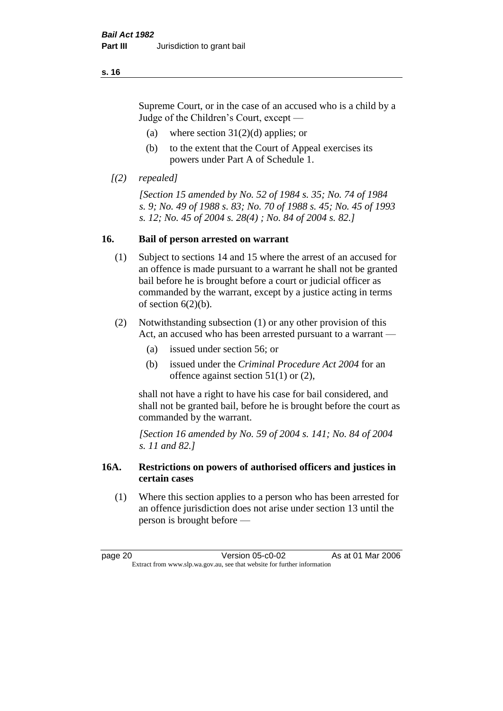Supreme Court, or in the case of an accused who is a child by a Judge of the Children's Court, except —

- (a) where section  $31(2)(d)$  applies; or
- (b) to the extent that the Court of Appeal exercises its powers under Part A of Schedule 1.
- *[(2) repealed]*

*[Section 15 amended by No. 52 of 1984 s. 35; No. 74 of 1984 s. 9; No. 49 of 1988 s. 83; No. 70 of 1988 s. 45; No. 45 of 1993 s. 12; No. 45 of 2004 s. 28(4) ; No. 84 of 2004 s. 82.]* 

#### **16. Bail of person arrested on warrant**

- (1) Subject to sections 14 and 15 where the arrest of an accused for an offence is made pursuant to a warrant he shall not be granted bail before he is brought before a court or judicial officer as commanded by the warrant, except by a justice acting in terms of section  $6(2)(b)$ .
- (2) Notwithstanding subsection (1) or any other provision of this Act, an accused who has been arrested pursuant to a warrant —
	- (a) issued under section 56; or
	- (b) issued under the *Criminal Procedure Act 2004* for an offence against section 51(1) or (2),

shall not have a right to have his case for bail considered, and shall not be granted bail, before he is brought before the court as commanded by the warrant.

*[Section 16 amended by No. 59 of 2004 s. 141; No. 84 of 2004 s. 11 and 82.]*

#### **16A. Restrictions on powers of authorised officers and justices in certain cases**

(1) Where this section applies to a person who has been arrested for an offence jurisdiction does not arise under section 13 until the person is brought before —

page 20 Version 05-c0-02 As at 01 Mar 2006 Extract from www.slp.wa.gov.au, see that website for further information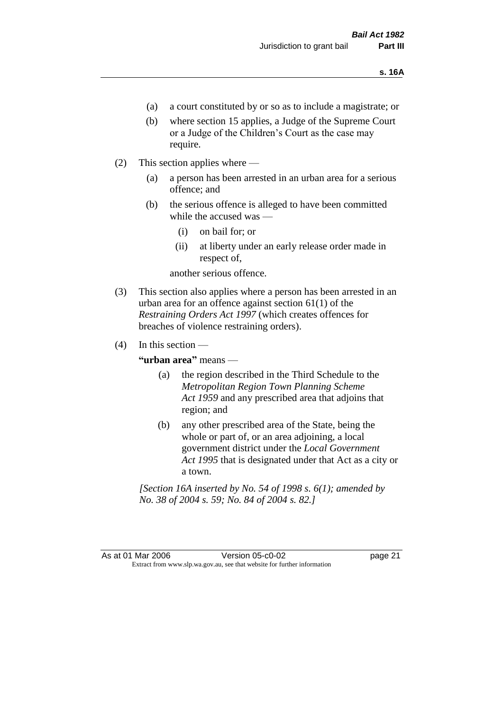- (a) a court constituted by or so as to include a magistrate; or
- (b) where section 15 applies, a Judge of the Supreme Court or a Judge of the Children's Court as the case may require.
- (2) This section applies where
	- (a) a person has been arrested in an urban area for a serious offence; and
	- (b) the serious offence is alleged to have been committed while the accused was —
		- (i) on bail for; or
		- (ii) at liberty under an early release order made in respect of,

another serious offence.

- (3) This section also applies where a person has been arrested in an urban area for an offence against section 61(1) of the *Restraining Orders Act 1997* (which creates offences for breaches of violence restraining orders).
- $(4)$  In this section —

**"urban area"** means —

- (a) the region described in the Third Schedule to the *Metropolitan Region Town Planning Scheme Act 1959* and any prescribed area that adjoins that region; and
- (b) any other prescribed area of the State, being the whole or part of, or an area adjoining, a local government district under the *Local Government Act 1995* that is designated under that Act as a city or a town.

*[Section 16A inserted by No. 54 of 1998 s. 6(1); amended by No. 38 of 2004 s. 59; No. 84 of 2004 s. 82.]*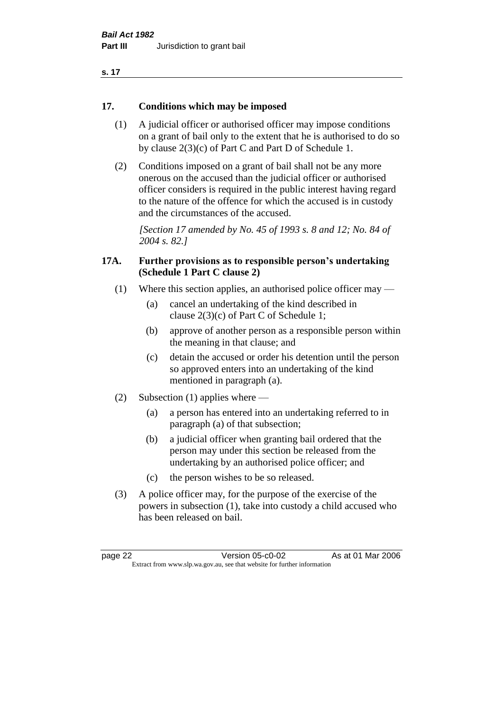| . .<br>۰. |  |
|-----------|--|
|-----------|--|

#### **17. Conditions which may be imposed**

- (1) A judicial officer or authorised officer may impose conditions on a grant of bail only to the extent that he is authorised to do so by clause 2(3)(c) of Part C and Part D of Schedule 1.
- (2) Conditions imposed on a grant of bail shall not be any more onerous on the accused than the judicial officer or authorised officer considers is required in the public interest having regard to the nature of the offence for which the accused is in custody and the circumstances of the accused.

*[Section 17 amended by No. 45 of 1993 s. 8 and 12; No. 84 of 2004 s. 82.]* 

#### **17A. Further provisions as to responsible person's undertaking (Schedule 1 Part C clause 2)**

- (1) Where this section applies, an authorised police officer may
	- (a) cancel an undertaking of the kind described in clause 2(3)(c) of Part C of Schedule 1;
	- (b) approve of another person as a responsible person within the meaning in that clause; and
	- (c) detain the accused or order his detention until the person so approved enters into an undertaking of the kind mentioned in paragraph (a).
- (2) Subsection (1) applies where
	- (a) a person has entered into an undertaking referred to in paragraph (a) of that subsection;
	- (b) a judicial officer when granting bail ordered that the person may under this section be released from the undertaking by an authorised police officer; and
	- (c) the person wishes to be so released.
- (3) A police officer may, for the purpose of the exercise of the powers in subsection (1), take into custody a child accused who has been released on bail.

page 22 Version 05-c0-02 As at 01 Mar 2006 Extract from www.slp.wa.gov.au, see that website for further information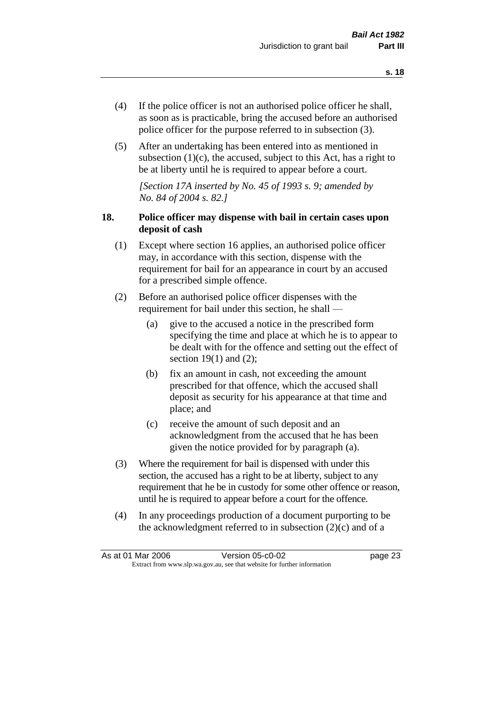- (4) If the police officer is not an authorised police officer he shall, as soon as is practicable, bring the accused before an authorised police officer for the purpose referred to in subsection (3).
- (5) After an undertaking has been entered into as mentioned in subsection  $(1)(c)$ , the accused, subject to this Act, has a right to be at liberty until he is required to appear before a court.

*[Section 17A inserted by No. 45 of 1993 s. 9; amended by No. 84 of 2004 s. 82.]* 

### **18. Police officer may dispense with bail in certain cases upon deposit of cash**

- (1) Except where section 16 applies, an authorised police officer may, in accordance with this section, dispense with the requirement for bail for an appearance in court by an accused for a prescribed simple offence.
- (2) Before an authorised police officer dispenses with the requirement for bail under this section, he shall —
	- (a) give to the accused a notice in the prescribed form specifying the time and place at which he is to appear to be dealt with for the offence and setting out the effect of section  $19(1)$  and  $(2)$ ;
	- (b) fix an amount in cash, not exceeding the amount prescribed for that offence, which the accused shall deposit as security for his appearance at that time and place; and
	- (c) receive the amount of such deposit and an acknowledgment from the accused that he has been given the notice provided for by paragraph (a).
- (3) Where the requirement for bail is dispensed with under this section, the accused has a right to be at liberty, subject to any requirement that he be in custody for some other offence or reason, until he is required to appear before a court for the offence.
- (4) In any proceedings production of a document purporting to be the acknowledgment referred to in subsection  $(2)(c)$  and of a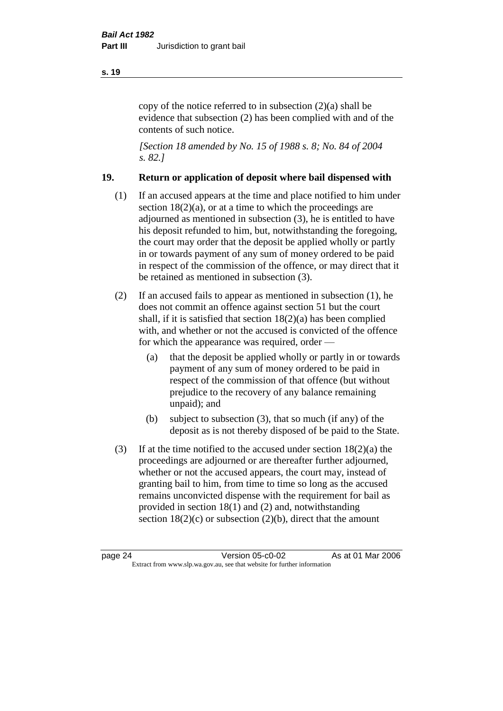copy of the notice referred to in subsection (2)(a) shall be evidence that subsection (2) has been complied with and of the contents of such notice.

*[Section 18 amended by No. 15 of 1988 s. 8; No. 84 of 2004 s. 82.]* 

#### **19. Return or application of deposit where bail dispensed with**

- (1) If an accused appears at the time and place notified to him under section  $18(2)(a)$ , or at a time to which the proceedings are adjourned as mentioned in subsection (3), he is entitled to have his deposit refunded to him, but, notwithstanding the foregoing, the court may order that the deposit be applied wholly or partly in or towards payment of any sum of money ordered to be paid in respect of the commission of the offence, or may direct that it be retained as mentioned in subsection (3).
- (2) If an accused fails to appear as mentioned in subsection (1), he does not commit an offence against section 51 but the court shall, if it is satisfied that section 18(2)(a) has been complied with, and whether or not the accused is convicted of the offence for which the appearance was required, order —
	- (a) that the deposit be applied wholly or partly in or towards payment of any sum of money ordered to be paid in respect of the commission of that offence (but without prejudice to the recovery of any balance remaining unpaid); and
	- (b) subject to subsection (3), that so much (if any) of the deposit as is not thereby disposed of be paid to the State.
- (3) If at the time notified to the accused under section 18(2)(a) the proceedings are adjourned or are thereafter further adjourned, whether or not the accused appears, the court may, instead of granting bail to him, from time to time so long as the accused remains unconvicted dispense with the requirement for bail as provided in section 18(1) and (2) and, notwithstanding section  $18(2)(c)$  or subsection  $(2)(b)$ , direct that the amount

#### **s. 19**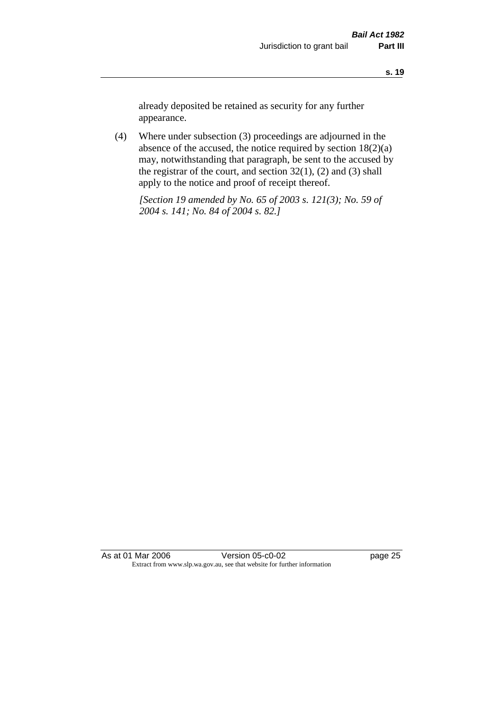already deposited be retained as security for any further appearance.

(4) Where under subsection (3) proceedings are adjourned in the absence of the accused, the notice required by section 18(2)(a) may, notwithstanding that paragraph, be sent to the accused by the registrar of the court, and section  $32(1)$ ,  $(2)$  and  $(3)$  shall apply to the notice and proof of receipt thereof.

*[Section 19 amended by No. 65 of 2003 s. 121(3); No. 59 of 2004 s. 141; No. 84 of 2004 s. 82.]*

As at 01 Mar 2006 Version 05-c0-02 page 25 Extract from www.slp.wa.gov.au, see that website for further information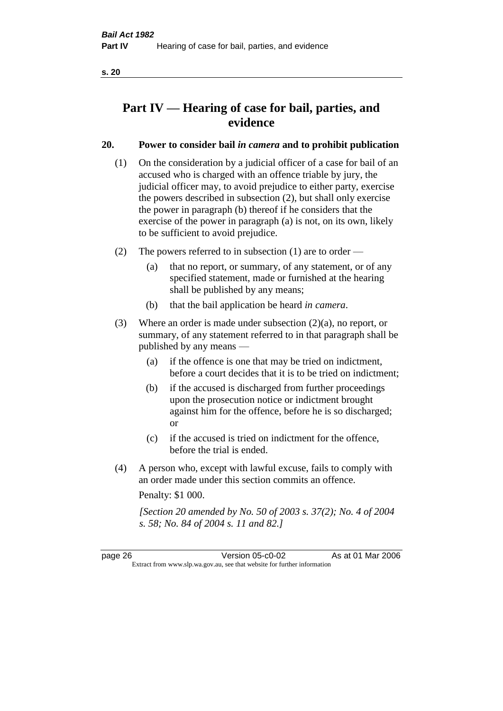# **Part IV — Hearing of case for bail, parties, and evidence**

## **20. Power to consider bail** *in camera* **and to prohibit publication**

- (1) On the consideration by a judicial officer of a case for bail of an accused who is charged with an offence triable by jury, the judicial officer may, to avoid prejudice to either party, exercise the powers described in subsection (2), but shall only exercise the power in paragraph (b) thereof if he considers that the exercise of the power in paragraph (a) is not, on its own, likely to be sufficient to avoid prejudice.
- (2) The powers referred to in subsection (1) are to order
	- (a) that no report, or summary, of any statement, or of any specified statement, made or furnished at the hearing shall be published by any means;
	- (b) that the bail application be heard *in camera*.
- (3) Where an order is made under subsection (2)(a), no report, or summary, of any statement referred to in that paragraph shall be published by any means —
	- (a) if the offence is one that may be tried on indictment, before a court decides that it is to be tried on indictment;
	- (b) if the accused is discharged from further proceedings upon the prosecution notice or indictment brought against him for the offence, before he is so discharged; or
	- (c) if the accused is tried on indictment for the offence, before the trial is ended.
- (4) A person who, except with lawful excuse, fails to comply with an order made under this section commits an offence.

Penalty: \$1 000.

*[Section 20 amended by No. 50 of 2003 s. 37(2); No. 4 of 2004 s. 58; No. 84 of 2004 s. 11 and 82.]*

page 26 Version 05-c0-02 As at 01 Mar 2006 Extract from www.slp.wa.gov.au, see that website for further information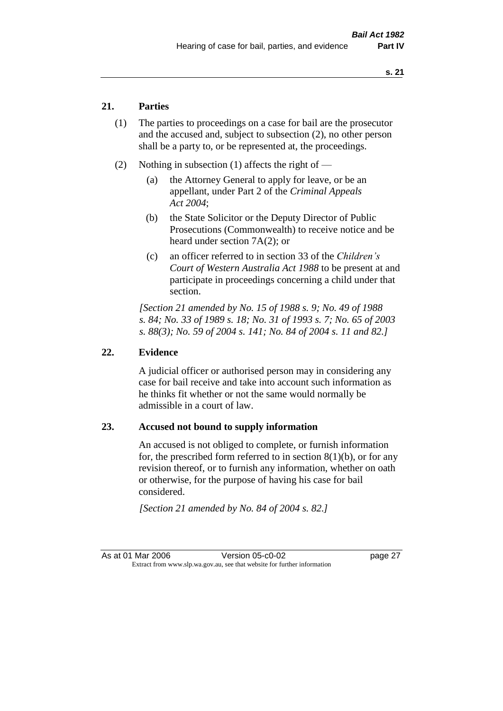### **21. Parties**

- (1) The parties to proceedings on a case for bail are the prosecutor and the accused and, subject to subsection (2), no other person shall be a party to, or be represented at, the proceedings.
- (2) Nothing in subsection (1) affects the right of
	- (a) the Attorney General to apply for leave, or be an appellant, under Part 2 of the *Criminal Appeals Act 2004*;
	- (b) the State Solicitor or the Deputy Director of Public Prosecutions (Commonwealth) to receive notice and be heard under section 7A(2); or
	- (c) an officer referred to in section 33 of the *Children's Court of Western Australia Act 1988* to be present at and participate in proceedings concerning a child under that section.

*[Section 21 amended by No. 15 of 1988 s. 9; No. 49 of 1988 s. 84; No. 33 of 1989 s. 18; No. 31 of 1993 s. 7; No. 65 of 2003 s. 88(3); No. 59 of 2004 s. 141; No. 84 of 2004 s. 11 and 82.]* 

#### **22. Evidence**

A judicial officer or authorised person may in considering any case for bail receive and take into account such information as he thinks fit whether or not the same would normally be admissible in a court of law.

#### **23. Accused not bound to supply information**

An accused is not obliged to complete, or furnish information for, the prescribed form referred to in section  $8(1)(b)$ , or for any revision thereof, or to furnish any information, whether on oath or otherwise, for the purpose of having his case for bail considered.

*[Section 21 amended by No. 84 of 2004 s. 82.]* 

As at 01 Mar 2006 **Version 05-c0-02** page 27 Extract from www.slp.wa.gov.au, see that website for further information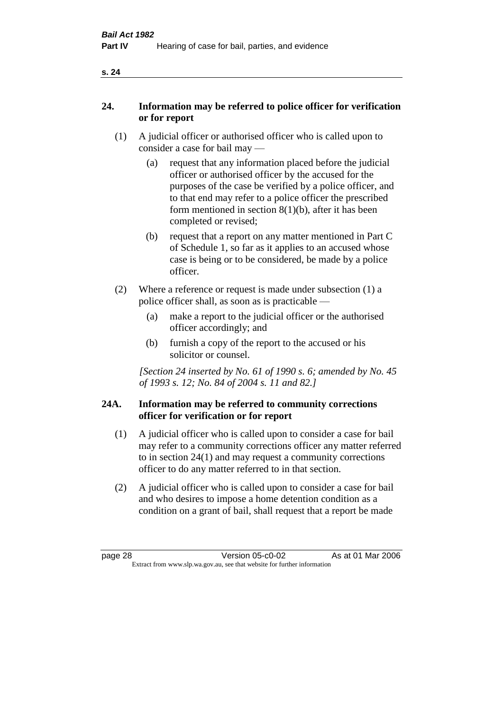| ×<br>v |  |
|--------|--|
|        |  |

### **24. Information may be referred to police officer for verification or for report**

- (1) A judicial officer or authorised officer who is called upon to consider a case for bail may —
	- (a) request that any information placed before the judicial officer or authorised officer by the accused for the purposes of the case be verified by a police officer, and to that end may refer to a police officer the prescribed form mentioned in section 8(1)(b), after it has been completed or revised;
	- (b) request that a report on any matter mentioned in Part C of Schedule 1, so far as it applies to an accused whose case is being or to be considered, be made by a police officer.
- (2) Where a reference or request is made under subsection (1) a police officer shall, as soon as is practicable —
	- (a) make a report to the judicial officer or the authorised officer accordingly; and
	- (b) furnish a copy of the report to the accused or his solicitor or counsel.

*[Section 24 inserted by No. 61 of 1990 s. 6; amended by No. 45 of 1993 s. 12; No. 84 of 2004 s. 11 and 82.]* 

#### **24A. Information may be referred to community corrections officer for verification or for report**

- (1) A judicial officer who is called upon to consider a case for bail may refer to a community corrections officer any matter referred to in section 24(1) and may request a community corrections officer to do any matter referred to in that section.
- (2) A judicial officer who is called upon to consider a case for bail and who desires to impose a home detention condition as a condition on a grant of bail, shall request that a report be made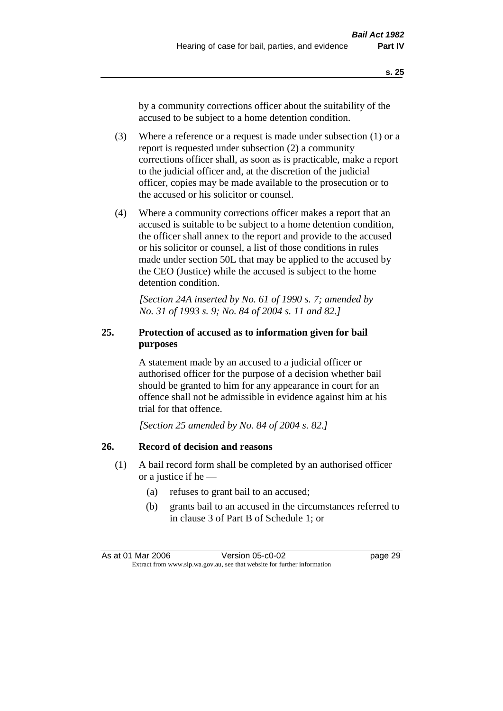by a community corrections officer about the suitability of the accused to be subject to a home detention condition.

- (3) Where a reference or a request is made under subsection (1) or a report is requested under subsection (2) a community corrections officer shall, as soon as is practicable, make a report to the judicial officer and, at the discretion of the judicial officer, copies may be made available to the prosecution or to the accused or his solicitor or counsel.
- (4) Where a community corrections officer makes a report that an accused is suitable to be subject to a home detention condition, the officer shall annex to the report and provide to the accused or his solicitor or counsel, a list of those conditions in rules made under section 50L that may be applied to the accused by the CEO (Justice) while the accused is subject to the home detention condition.

*[Section 24A inserted by No. 61 of 1990 s. 7; amended by No. 31 of 1993 s. 9; No. 84 of 2004 s. 11 and 82.]* 

# **25. Protection of accused as to information given for bail purposes**

A statement made by an accused to a judicial officer or authorised officer for the purpose of a decision whether bail should be granted to him for any appearance in court for an offence shall not be admissible in evidence against him at his trial for that offence.

*[Section 25 amended by No. 84 of 2004 s. 82.]* 

# **26. Record of decision and reasons**

- (1) A bail record form shall be completed by an authorised officer or a justice if he —
	- (a) refuses to grant bail to an accused;
	- (b) grants bail to an accused in the circumstances referred to in clause 3 of Part B of Schedule 1; or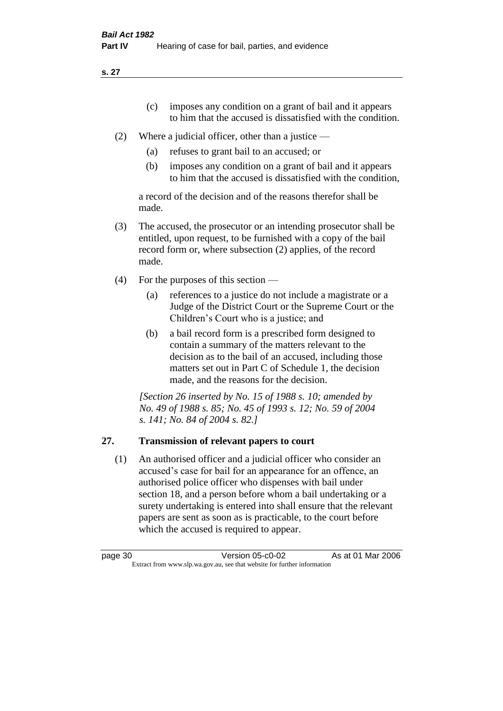**s. 27**

- (c) imposes any condition on a grant of bail and it appears to him that the accused is dissatisfied with the condition.
- (2) Where a judicial officer, other than a justice
	- (a) refuses to grant bail to an accused; or
	- (b) imposes any condition on a grant of bail and it appears to him that the accused is dissatisfied with the condition,

a record of the decision and of the reasons therefor shall be made.

- (3) The accused, the prosecutor or an intending prosecutor shall be entitled, upon request, to be furnished with a copy of the bail record form or, where subsection (2) applies, of the record made.
- (4) For the purposes of this section
	- (a) references to a justice do not include a magistrate or a Judge of the District Court or the Supreme Court or the Children's Court who is a justice; and
	- (b) a bail record form is a prescribed form designed to contain a summary of the matters relevant to the decision as to the bail of an accused, including those matters set out in Part C of Schedule 1, the decision made, and the reasons for the decision.

*[Section 26 inserted by No. 15 of 1988 s. 10; amended by No. 49 of 1988 s. 85; No. 45 of 1993 s. 12; No. 59 of 2004 s. 141; No. 84 of 2004 s. 82.]* 

# **27. Transmission of relevant papers to court**

(1) An authorised officer and a judicial officer who consider an accused's case for bail for an appearance for an offence, an authorised police officer who dispenses with bail under section 18, and a person before whom a bail undertaking or a surety undertaking is entered into shall ensure that the relevant papers are sent as soon as is practicable, to the court before which the accused is required to appear.

| page 30 | Version 05-c0-02                                                         | As at 01 Mar 2006 |
|---------|--------------------------------------------------------------------------|-------------------|
|         | Extract from www.slp.wa.gov.au, see that website for further information |                   |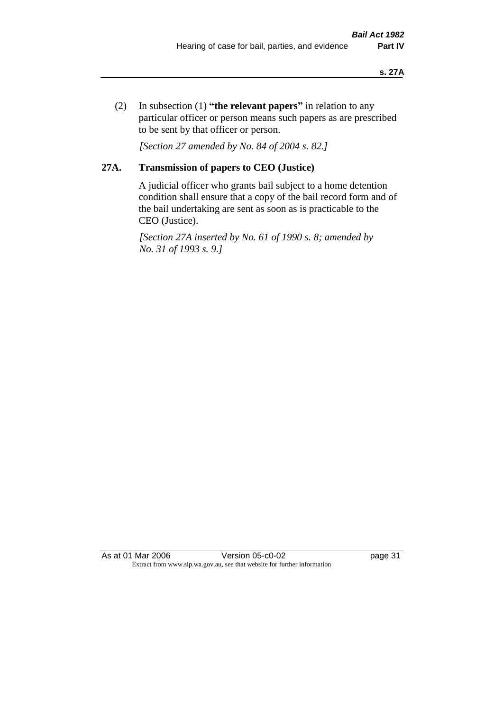(2) In subsection (1) **"the relevant papers"** in relation to any particular officer or person means such papers as are prescribed to be sent by that officer or person.

*[Section 27 amended by No. 84 of 2004 s. 82.]* 

# **27A. Transmission of papers to CEO (Justice)**

A judicial officer who grants bail subject to a home detention condition shall ensure that a copy of the bail record form and of the bail undertaking are sent as soon as is practicable to the CEO (Justice).

*[Section 27A inserted by No. 61 of 1990 s. 8; amended by No. 31 of 1993 s. 9.]* 

As at 01 Mar 2006 Version 05-c0-02 page 31 Extract from www.slp.wa.gov.au, see that website for further information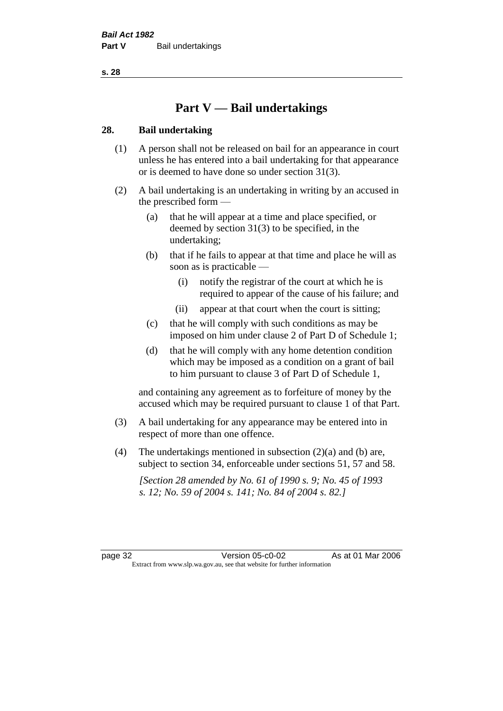**s. 28**

# **Part V — Bail undertakings**

## **28. Bail undertaking**

- (1) A person shall not be released on bail for an appearance in court unless he has entered into a bail undertaking for that appearance or is deemed to have done so under section 31(3).
- (2) A bail undertaking is an undertaking in writing by an accused in the prescribed form —
	- (a) that he will appear at a time and place specified, or deemed by section 31(3) to be specified, in the undertaking;
	- (b) that if he fails to appear at that time and place he will as soon as is practicable —
		- (i) notify the registrar of the court at which he is required to appear of the cause of his failure; and
		- (ii) appear at that court when the court is sitting;
	- (c) that he will comply with such conditions as may be imposed on him under clause 2 of Part D of Schedule 1;
	- (d) that he will comply with any home detention condition which may be imposed as a condition on a grant of bail to him pursuant to clause 3 of Part D of Schedule 1,

and containing any agreement as to forfeiture of money by the accused which may be required pursuant to clause 1 of that Part.

- (3) A bail undertaking for any appearance may be entered into in respect of more than one offence.
- (4) The undertakings mentioned in subsection  $(2)(a)$  and (b) are, subject to section 34, enforceable under sections 51, 57 and 58.

*[Section 28 amended by No. 61 of 1990 s. 9; No. 45 of 1993 s. 12; No. 59 of 2004 s. 141; No. 84 of 2004 s. 82.]*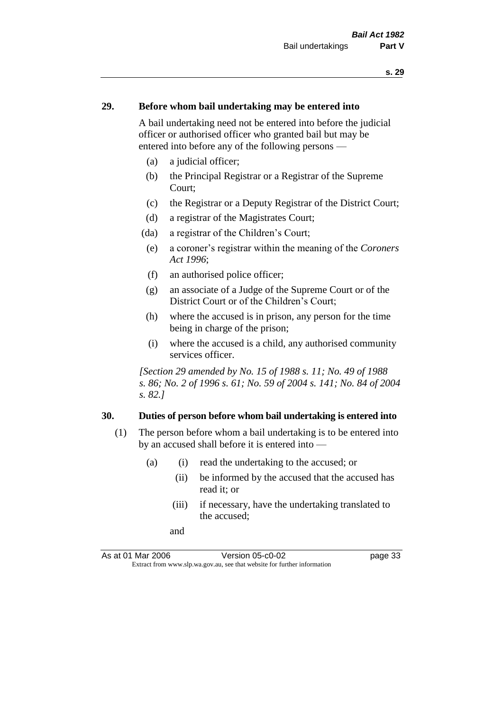### **29. Before whom bail undertaking may be entered into**

A bail undertaking need not be entered into before the judicial officer or authorised officer who granted bail but may be entered into before any of the following persons —

- (a) a judicial officer;
- (b) the Principal Registrar or a Registrar of the Supreme Court;
- (c) the Registrar or a Deputy Registrar of the District Court;
- (d) a registrar of the Magistrates Court;
- (da) a registrar of the Children's Court;
- (e) a coroner's registrar within the meaning of the *Coroners Act 1996*;
- (f) an authorised police officer;
- (g) an associate of a Judge of the Supreme Court or of the District Court or of the Children's Court;
- (h) where the accused is in prison, any person for the time being in charge of the prison;
- (i) where the accused is a child, any authorised community services officer.

*[Section 29 amended by No. 15 of 1988 s. 11; No. 49 of 1988 s. 86; No. 2 of 1996 s. 61; No. 59 of 2004 s. 141; No. 84 of 2004 s. 82.]* 

#### **30. Duties of person before whom bail undertaking is entered into**

- (1) The person before whom a bail undertaking is to be entered into by an accused shall before it is entered into —
	- (a) (i) read the undertaking to the accused; or
		- (ii) be informed by the accused that the accused has read it; or
		- (iii) if necessary, have the undertaking translated to the accused;
		- and

As at 01 Mar 2006 Version 05-c0-02 page 33 Extract from www.slp.wa.gov.au, see that website for further information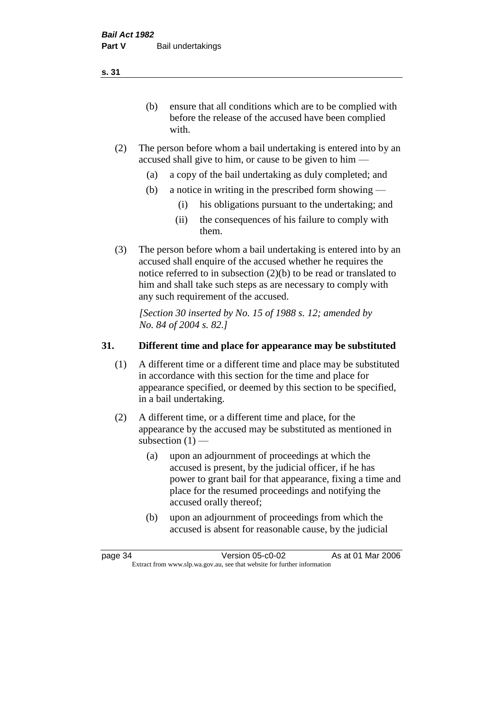(b) ensure that all conditions which are to be complied with before the release of the accused have been complied with.

- (2) The person before whom a bail undertaking is entered into by an accused shall give to him, or cause to be given to him —
	- (a) a copy of the bail undertaking as duly completed; and
	- (b) a notice in writing in the prescribed form showing
		- (i) his obligations pursuant to the undertaking; and
		- (ii) the consequences of his failure to comply with them.
- (3) The person before whom a bail undertaking is entered into by an accused shall enquire of the accused whether he requires the notice referred to in subsection (2)(b) to be read or translated to him and shall take such steps as are necessary to comply with any such requirement of the accused.

*[Section 30 inserted by No. 15 of 1988 s. 12; amended by No. 84 of 2004 s. 82.]* 

## **31. Different time and place for appearance may be substituted**

- (1) A different time or a different time and place may be substituted in accordance with this section for the time and place for appearance specified, or deemed by this section to be specified, in a bail undertaking.
- (2) A different time, or a different time and place, for the appearance by the accused may be substituted as mentioned in subsection  $(1)$  —
	- (a) upon an adjournment of proceedings at which the accused is present, by the judicial officer, if he has power to grant bail for that appearance, fixing a time and place for the resumed proceedings and notifying the accused orally thereof;
	- (b) upon an adjournment of proceedings from which the accused is absent for reasonable cause, by the judicial

page 34 Version 05-c0-02 As at 01 Mar 2006 Extract from www.slp.wa.gov.au, see that website for further information

**s. 31**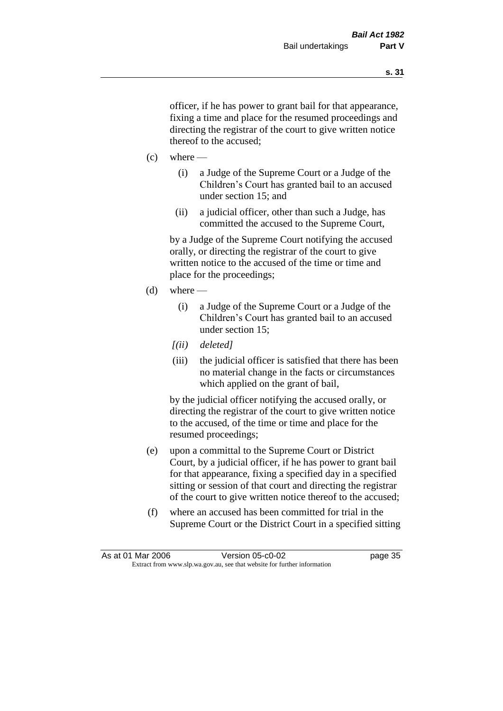officer, if he has power to grant bail for that appearance, fixing a time and place for the resumed proceedings and directing the registrar of the court to give written notice thereof to the accused;

- $(c)$  where
	- (i) a Judge of the Supreme Court or a Judge of the Children's Court has granted bail to an accused under section 15; and
	- (ii) a judicial officer, other than such a Judge, has committed the accused to the Supreme Court,

by a Judge of the Supreme Court notifying the accused orally, or directing the registrar of the court to give written notice to the accused of the time or time and place for the proceedings;

- $(d)$  where
	- (i) a Judge of the Supreme Court or a Judge of the Children's Court has granted bail to an accused under section 15;
	- *[(ii) deleted]*
	- (iii) the judicial officer is satisfied that there has been no material change in the facts or circumstances which applied on the grant of bail,

by the judicial officer notifying the accused orally, or directing the registrar of the court to give written notice to the accused, of the time or time and place for the resumed proceedings;

- (e) upon a committal to the Supreme Court or District Court, by a judicial officer, if he has power to grant bail for that appearance, fixing a specified day in a specified sitting or session of that court and directing the registrar of the court to give written notice thereof to the accused;
- (f) where an accused has been committed for trial in the Supreme Court or the District Court in a specified sitting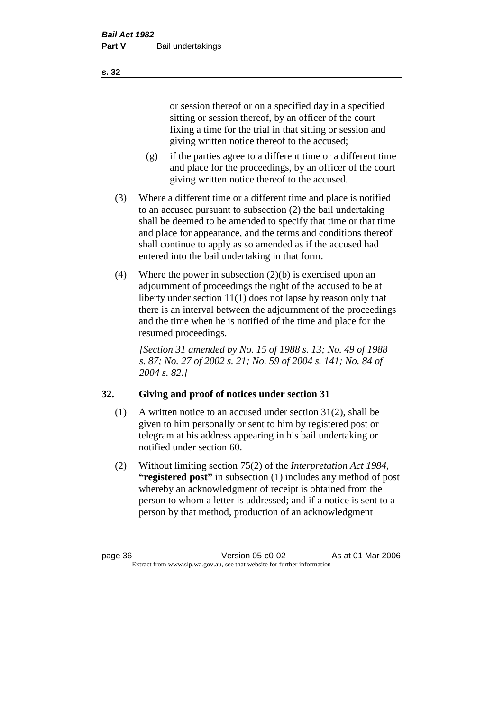or session thereof or on a specified day in a specified sitting or session thereof, by an officer of the court fixing a time for the trial in that sitting or session and giving written notice thereof to the accused;

- (g) if the parties agree to a different time or a different time and place for the proceedings, by an officer of the court giving written notice thereof to the accused.
- (3) Where a different time or a different time and place is notified to an accused pursuant to subsection (2) the bail undertaking shall be deemed to be amended to specify that time or that time and place for appearance, and the terms and conditions thereof shall continue to apply as so amended as if the accused had entered into the bail undertaking in that form.
- (4) Where the power in subsection (2)(b) is exercised upon an adjournment of proceedings the right of the accused to be at liberty under section 11(1) does not lapse by reason only that there is an interval between the adjournment of the proceedings and the time when he is notified of the time and place for the resumed proceedings.

*[Section 31 amended by No. 15 of 1988 s. 13; No. 49 of 1988 s. 87; No. 27 of 2002 s. 21; No. 59 of 2004 s. 141; No. 84 of 2004 s. 82.]* 

# **32. Giving and proof of notices under section 31**

- (1) A written notice to an accused under section 31(2), shall be given to him personally or sent to him by registered post or telegram at his address appearing in his bail undertaking or notified under section 60.
- (2) Without limiting section 75(2) of the *Interpretation Act 1984*, **"registered post"** in subsection (1) includes any method of post whereby an acknowledgment of receipt is obtained from the person to whom a letter is addressed; and if a notice is sent to a person by that method, production of an acknowledgment

page 36 Version 05-c0-02 As at 01 Mar 2006 Extract from www.slp.wa.gov.au, see that website for further information

**s. 32**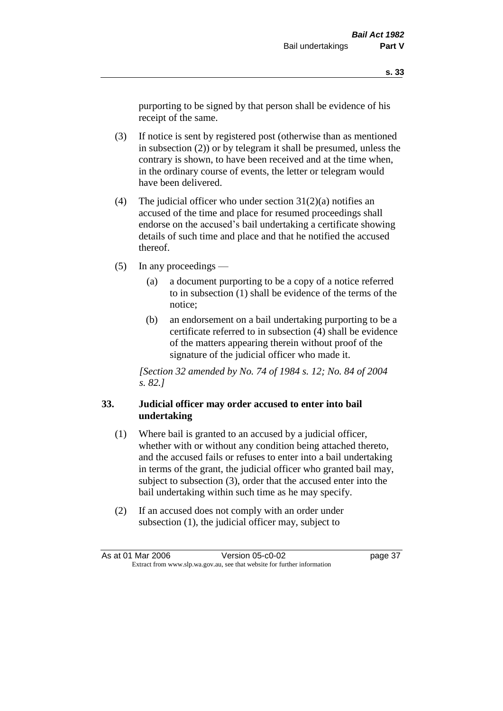purporting to be signed by that person shall be evidence of his receipt of the same.

- (3) If notice is sent by registered post (otherwise than as mentioned in subsection (2)) or by telegram it shall be presumed, unless the contrary is shown, to have been received and at the time when, in the ordinary course of events, the letter or telegram would have been delivered.
- (4) The judicial officer who under section  $31(2)(a)$  notifies an accused of the time and place for resumed proceedings shall endorse on the accused's bail undertaking a certificate showing details of such time and place and that he notified the accused thereof.
- (5) In any proceedings
	- (a) a document purporting to be a copy of a notice referred to in subsection (1) shall be evidence of the terms of the notice;
	- (b) an endorsement on a bail undertaking purporting to be a certificate referred to in subsection (4) shall be evidence of the matters appearing therein without proof of the signature of the judicial officer who made it.

*[Section 32 amended by No. 74 of 1984 s. 12; No. 84 of 2004 s. 82.]* 

## **33. Judicial officer may order accused to enter into bail undertaking**

- (1) Where bail is granted to an accused by a judicial officer, whether with or without any condition being attached thereto, and the accused fails or refuses to enter into a bail undertaking in terms of the grant, the judicial officer who granted bail may, subject to subsection (3), order that the accused enter into the bail undertaking within such time as he may specify.
- (2) If an accused does not comply with an order under subsection (1), the judicial officer may, subject to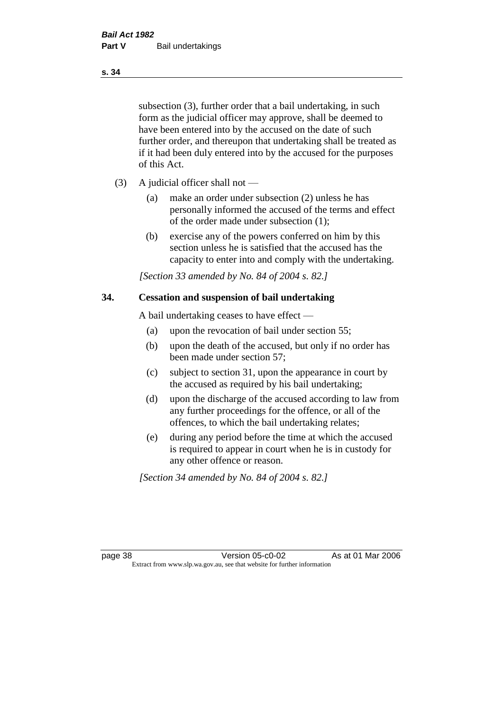subsection (3), further order that a bail undertaking, in such form as the judicial officer may approve, shall be deemed to have been entered into by the accused on the date of such further order, and thereupon that undertaking shall be treated as if it had been duly entered into by the accused for the purposes of this Act.

- (3) A judicial officer shall not
	- (a) make an order under subsection (2) unless he has personally informed the accused of the terms and effect of the order made under subsection (1);
	- (b) exercise any of the powers conferred on him by this section unless he is satisfied that the accused has the capacity to enter into and comply with the undertaking.

*[Section 33 amended by No. 84 of 2004 s. 82.]* 

#### **34. Cessation and suspension of bail undertaking**

A bail undertaking ceases to have effect —

- (a) upon the revocation of bail under section 55;
- (b) upon the death of the accused, but only if no order has been made under section 57;
- (c) subject to section 31, upon the appearance in court by the accused as required by his bail undertaking;
- (d) upon the discharge of the accused according to law from any further proceedings for the offence, or all of the offences, to which the bail undertaking relates;
- (e) during any period before the time at which the accused is required to appear in court when he is in custody for any other offence or reason.

*[Section 34 amended by No. 84 of 2004 s. 82.]* 

page 38 Version 05-c0-02 As at 01 Mar 2006 Extract from www.slp.wa.gov.au, see that website for further information

#### **s. 34**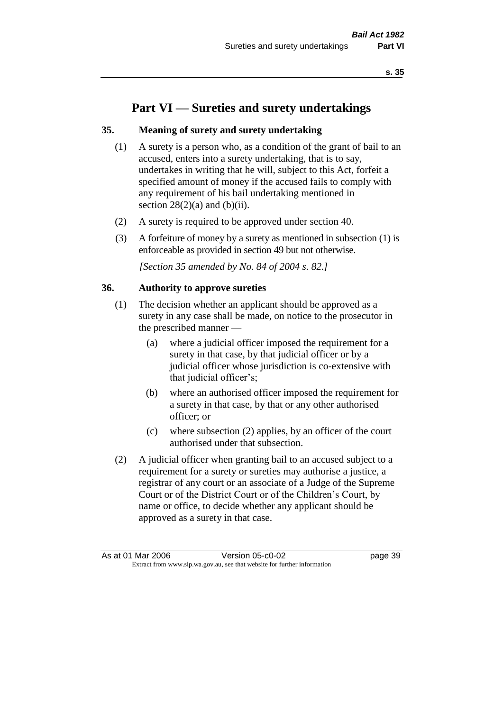# **Part VI — Sureties and surety undertakings**

## **35. Meaning of surety and surety undertaking**

- (1) A surety is a person who, as a condition of the grant of bail to an accused, enters into a surety undertaking, that is to say, undertakes in writing that he will, subject to this Act, forfeit a specified amount of money if the accused fails to comply with any requirement of his bail undertaking mentioned in section  $28(2)(a)$  and  $(b)(ii)$ .
- (2) A surety is required to be approved under section 40.
- (3) A forfeiture of money by a surety as mentioned in subsection (1) is enforceable as provided in section 49 but not otherwise.

*[Section 35 amended by No. 84 of 2004 s. 82.]* 

#### **36. Authority to approve sureties**

- (1) The decision whether an applicant should be approved as a surety in any case shall be made, on notice to the prosecutor in the prescribed manner —
	- (a) where a judicial officer imposed the requirement for a surety in that case, by that judicial officer or by a judicial officer whose jurisdiction is co-extensive with that judicial officer's;
	- (b) where an authorised officer imposed the requirement for a surety in that case, by that or any other authorised officer; or
	- (c) where subsection (2) applies, by an officer of the court authorised under that subsection.
- (2) A judicial officer when granting bail to an accused subject to a requirement for a surety or sureties may authorise a justice, a registrar of any court or an associate of a Judge of the Supreme Court or of the District Court or of the Children's Court, by name or office, to decide whether any applicant should be approved as a surety in that case.

As at 01 Mar 2006 **Version 05-c0-02 Page 39** Extract from www.slp.wa.gov.au, see that website for further information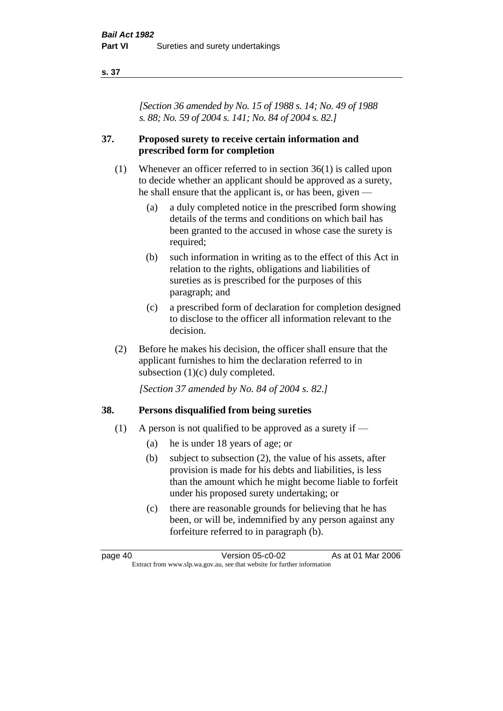#### **s. 37**

*[Section 36 amended by No. 15 of 1988 s. 14; No. 49 of 1988 s. 88; No. 59 of 2004 s. 141; No. 84 of 2004 s. 82.]* 

## **37. Proposed surety to receive certain information and prescribed form for completion**

- (1) Whenever an officer referred to in section 36(1) is called upon to decide whether an applicant should be approved as a surety, he shall ensure that the applicant is, or has been, given —
	- (a) a duly completed notice in the prescribed form showing details of the terms and conditions on which bail has been granted to the accused in whose case the surety is required;
	- (b) such information in writing as to the effect of this Act in relation to the rights, obligations and liabilities of sureties as is prescribed for the purposes of this paragraph; and
	- (c) a prescribed form of declaration for completion designed to disclose to the officer all information relevant to the decision.
- (2) Before he makes his decision, the officer shall ensure that the applicant furnishes to him the declaration referred to in subsection (1)(c) duly completed.

*[Section 37 amended by No. 84 of 2004 s. 82.]* 

## **38. Persons disqualified from being sureties**

- (1) A person is not qualified to be approved as a surety if  $-$ 
	- (a) he is under 18 years of age; or
	- (b) subject to subsection (2), the value of his assets, after provision is made for his debts and liabilities, is less than the amount which he might become liable to forfeit under his proposed surety undertaking; or
	- (c) there are reasonable grounds for believing that he has been, or will be, indemnified by any person against any forfeiture referred to in paragraph (b).

page 40 Version 05-c0-02 As at 01 Mar 2006 Extract from www.slp.wa.gov.au, see that website for further information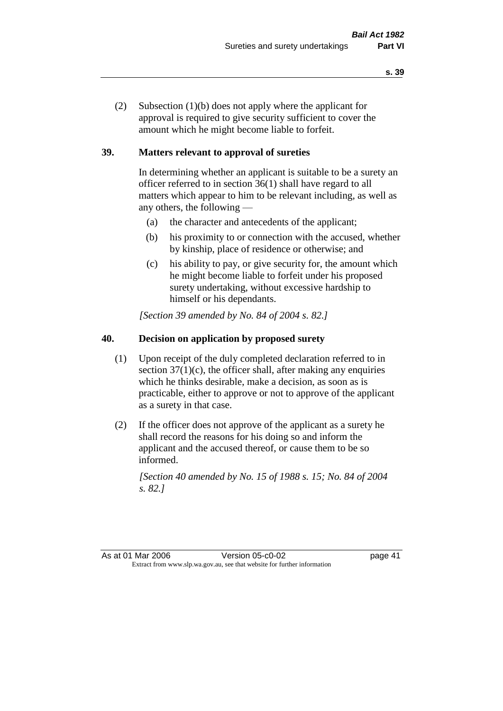(2) Subsection (1)(b) does not apply where the applicant for approval is required to give security sufficient to cover the amount which he might become liable to forfeit.

## **39. Matters relevant to approval of sureties**

In determining whether an applicant is suitable to be a surety an officer referred to in section 36(1) shall have regard to all matters which appear to him to be relevant including, as well as any others, the following —

- (a) the character and antecedents of the applicant;
- (b) his proximity to or connection with the accused, whether by kinship, place of residence or otherwise; and
- (c) his ability to pay, or give security for, the amount which he might become liable to forfeit under his proposed surety undertaking, without excessive hardship to himself or his dependants.

*[Section 39 amended by No. 84 of 2004 s. 82.]* 

# **40. Decision on application by proposed surety**

- (1) Upon receipt of the duly completed declaration referred to in section  $37(1)(c)$ , the officer shall, after making any enquiries which he thinks desirable, make a decision, as soon as is practicable, either to approve or not to approve of the applicant as a surety in that case.
- (2) If the officer does not approve of the applicant as a surety he shall record the reasons for his doing so and inform the applicant and the accused thereof, or cause them to be so informed.

*[Section 40 amended by No. 15 of 1988 s. 15; No. 84 of 2004 s. 82.]* 

As at 01 Mar 2006 **Version 05-c0-02** page 41 Extract from www.slp.wa.gov.au, see that website for further information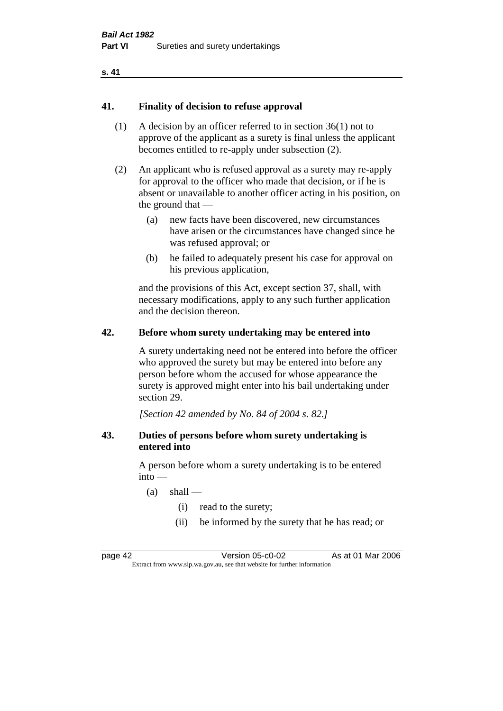#### **s. 41**

#### **41. Finality of decision to refuse approval**

- (1) A decision by an officer referred to in section 36(1) not to approve of the applicant as a surety is final unless the applicant becomes entitled to re-apply under subsection (2).
- (2) An applicant who is refused approval as a surety may re-apply for approval to the officer who made that decision, or if he is absent or unavailable to another officer acting in his position, on the ground that —
	- (a) new facts have been discovered, new circumstances have arisen or the circumstances have changed since he was refused approval; or
	- (b) he failed to adequately present his case for approval on his previous application,

and the provisions of this Act, except section 37, shall, with necessary modifications, apply to any such further application and the decision thereon.

#### **42. Before whom surety undertaking may be entered into**

A surety undertaking need not be entered into before the officer who approved the surety but may be entered into before any person before whom the accused for whose appearance the surety is approved might enter into his bail undertaking under section 29.

*[Section 42 amended by No. 84 of 2004 s. 82.]* 

#### **43. Duties of persons before whom surety undertaking is entered into**

A person before whom a surety undertaking is to be entered  $into -$ 

- $(a)$  shall
	- (i) read to the surety;
	- (ii) be informed by the surety that he has read; or

page 42 Version 05-c0-02 As at 01 Mar 2006 Extract from www.slp.wa.gov.au, see that website for further information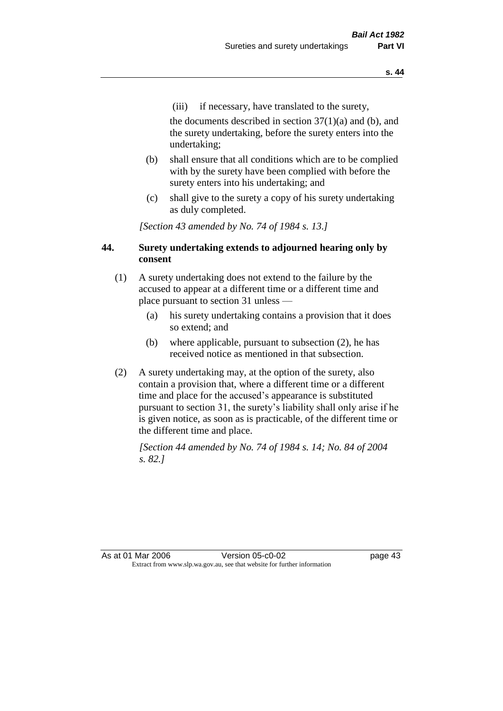(iii) if necessary, have translated to the surety,

the documents described in section  $37(1)(a)$  and (b), and the surety undertaking, before the surety enters into the undertaking;

- (b) shall ensure that all conditions which are to be complied with by the surety have been complied with before the surety enters into his undertaking; and
- (c) shall give to the surety a copy of his surety undertaking as duly completed.

*[Section 43 amended by No. 74 of 1984 s. 13.]* 

## **44. Surety undertaking extends to adjourned hearing only by consent**

- (1) A surety undertaking does not extend to the failure by the accused to appear at a different time or a different time and place pursuant to section 31 unless —
	- (a) his surety undertaking contains a provision that it does so extend; and
	- (b) where applicable, pursuant to subsection (2), he has received notice as mentioned in that subsection.
- (2) A surety undertaking may, at the option of the surety, also contain a provision that, where a different time or a different time and place for the accused's appearance is substituted pursuant to section 31, the surety's liability shall only arise if he is given notice, as soon as is practicable, of the different time or the different time and place.

*[Section 44 amended by No. 74 of 1984 s. 14; No. 84 of 2004 s. 82.]* 

As at 01 Mar 2006 Version 05-c0-02 Page 43 Extract from www.slp.wa.gov.au, see that website for further information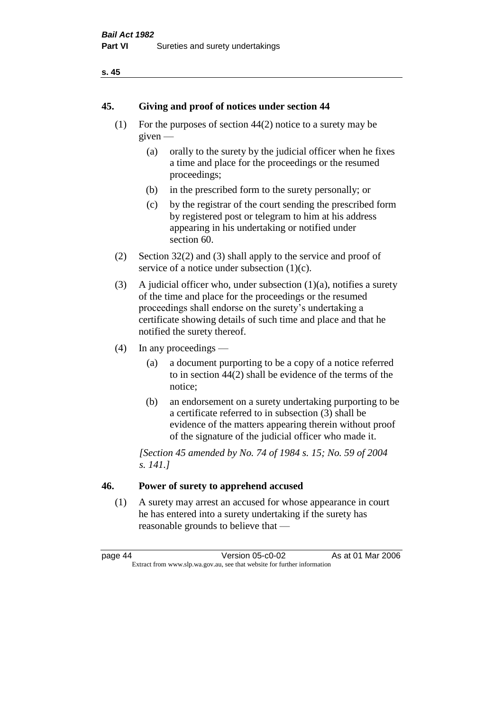#### **s. 45**

#### **45. Giving and proof of notices under section 44**

- (1) For the purposes of section 44(2) notice to a surety may be given —
	- (a) orally to the surety by the judicial officer when he fixes a time and place for the proceedings or the resumed proceedings;
	- (b) in the prescribed form to the surety personally; or
	- (c) by the registrar of the court sending the prescribed form by registered post or telegram to him at his address appearing in his undertaking or notified under section 60.
- (2) Section 32(2) and (3) shall apply to the service and proof of service of a notice under subsection  $(1)(c)$ .
- (3) A judicial officer who, under subsection  $(1)(a)$ , notifies a surety of the time and place for the proceedings or the resumed proceedings shall endorse on the surety's undertaking a certificate showing details of such time and place and that he notified the surety thereof.
- (4) In any proceedings
	- (a) a document purporting to be a copy of a notice referred to in section 44(2) shall be evidence of the terms of the notice;
	- (b) an endorsement on a surety undertaking purporting to be a certificate referred to in subsection (3) shall be evidence of the matters appearing therein without proof of the signature of the judicial officer who made it.

*[Section 45 amended by No. 74 of 1984 s. 15; No. 59 of 2004 s. 141.]* 

# **46. Power of surety to apprehend accused**

(1) A surety may arrest an accused for whose appearance in court he has entered into a surety undertaking if the surety has reasonable grounds to believe that —

page 44 Version 05-c0-02 As at 01 Mar 2006 Extract from www.slp.wa.gov.au, see that website for further information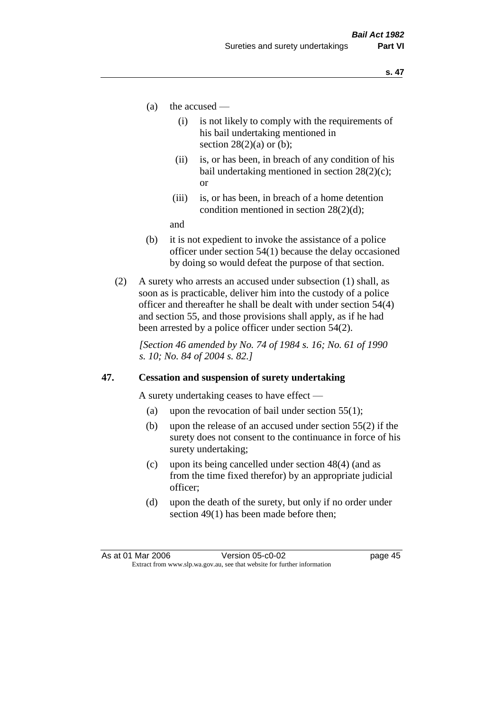- (a) the accused
	- (i) is not likely to comply with the requirements of his bail undertaking mentioned in section  $28(2)(a)$  or (b):
	- (ii) is, or has been, in breach of any condition of his bail undertaking mentioned in section 28(2)(c); or
	- (iii) is, or has been, in breach of a home detention condition mentioned in section 28(2)(d);

and

- (b) it is not expedient to invoke the assistance of a police officer under section 54(1) because the delay occasioned by doing so would defeat the purpose of that section.
- (2) A surety who arrests an accused under subsection (1) shall, as soon as is practicable, deliver him into the custody of a police officer and thereafter he shall be dealt with under section 54(4) and section 55, and those provisions shall apply, as if he had been arrested by a police officer under section 54(2).

*[Section 46 amended by No. 74 of 1984 s. 16; No. 61 of 1990 s. 10; No. 84 of 2004 s. 82.]* 

#### **47. Cessation and suspension of surety undertaking**

A surety undertaking ceases to have effect —

- (a) upon the revocation of bail under section  $55(1)$ ;
- (b) upon the release of an accused under section 55(2) if the surety does not consent to the continuance in force of his surety undertaking;
- (c) upon its being cancelled under section 48(4) (and as from the time fixed therefor) by an appropriate judicial officer;
- (d) upon the death of the surety, but only if no order under section 49(1) has been made before then;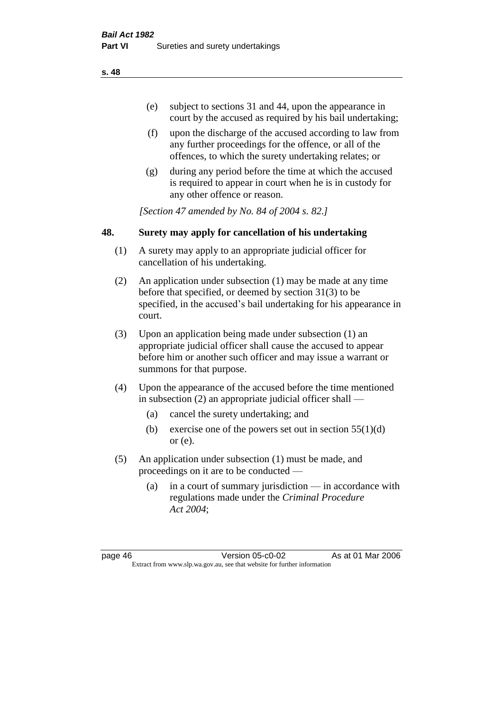- (e) subject to sections 31 and 44, upon the appearance in court by the accused as required by his bail undertaking;
- (f) upon the discharge of the accused according to law from any further proceedings for the offence, or all of the offences, to which the surety undertaking relates; or
- (g) during any period before the time at which the accused is required to appear in court when he is in custody for any other offence or reason.

*[Section 47 amended by No. 84 of 2004 s. 82.]* 

# **48. Surety may apply for cancellation of his undertaking**

- (1) A surety may apply to an appropriate judicial officer for cancellation of his undertaking.
- (2) An application under subsection (1) may be made at any time before that specified, or deemed by section 31(3) to be specified, in the accused's bail undertaking for his appearance in court.
- (3) Upon an application being made under subsection (1) an appropriate judicial officer shall cause the accused to appear before him or another such officer and may issue a warrant or summons for that purpose.
- (4) Upon the appearance of the accused before the time mentioned in subsection (2) an appropriate judicial officer shall —
	- (a) cancel the surety undertaking; and
	- (b) exercise one of the powers set out in section  $55(1)(d)$ or (e).
- (5) An application under subsection (1) must be made, and proceedings on it are to be conducted —
	- (a) in a court of summary jurisdiction in accordance with regulations made under the *Criminal Procedure Act 2004*;

page 46 Version 05-c0-02 As at 01 Mar 2006 Extract from www.slp.wa.gov.au, see that website for further information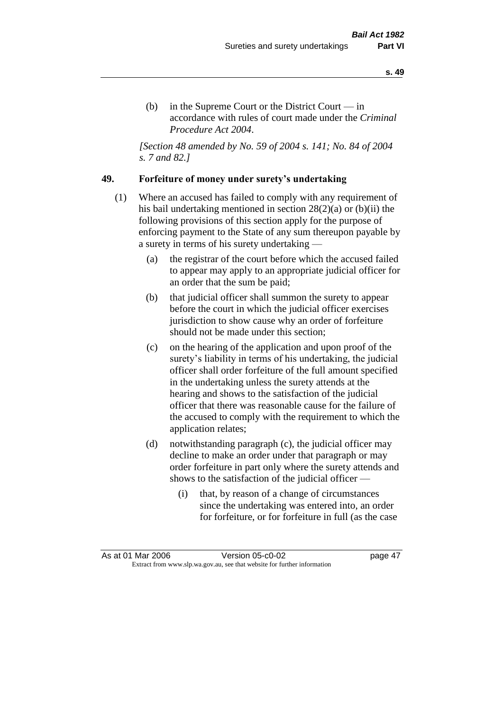(b) in the Supreme Court or the District Court  $-\text{in}$ accordance with rules of court made under the *Criminal Procedure Act 2004*.

*[Section 48 amended by No. 59 of 2004 s. 141; No. 84 of 2004 s. 7 and 82.]* 

#### **49. Forfeiture of money under surety's undertaking**

- (1) Where an accused has failed to comply with any requirement of his bail undertaking mentioned in section 28(2)(a) or (b)(ii) the following provisions of this section apply for the purpose of enforcing payment to the State of any sum thereupon payable by a surety in terms of his surety undertaking —
	- (a) the registrar of the court before which the accused failed to appear may apply to an appropriate judicial officer for an order that the sum be paid;
	- (b) that judicial officer shall summon the surety to appear before the court in which the judicial officer exercises jurisdiction to show cause why an order of forfeiture should not be made under this section;
	- (c) on the hearing of the application and upon proof of the surety's liability in terms of his undertaking, the judicial officer shall order forfeiture of the full amount specified in the undertaking unless the surety attends at the hearing and shows to the satisfaction of the judicial officer that there was reasonable cause for the failure of the accused to comply with the requirement to which the application relates;
	- (d) notwithstanding paragraph (c), the judicial officer may decline to make an order under that paragraph or may order forfeiture in part only where the surety attends and shows to the satisfaction of the judicial officer —
		- (i) that, by reason of a change of circumstances since the undertaking was entered into, an order for forfeiture, or for forfeiture in full (as the case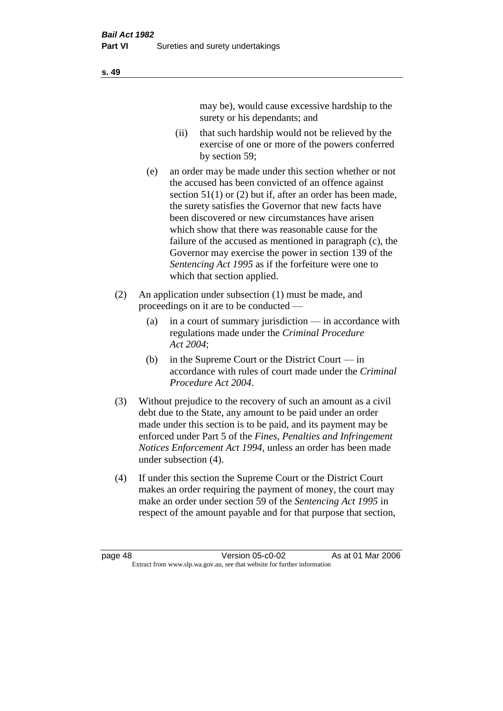may be), would cause excessive hardship to the surety or his dependants; and

- (ii) that such hardship would not be relieved by the exercise of one or more of the powers conferred by section 59;
- (e) an order may be made under this section whether or not the accused has been convicted of an offence against section 51(1) or (2) but if, after an order has been made, the surety satisfies the Governor that new facts have been discovered or new circumstances have arisen which show that there was reasonable cause for the failure of the accused as mentioned in paragraph (c), the Governor may exercise the power in section 139 of the *Sentencing Act 1995* as if the forfeiture were one to which that section applied.
- (2) An application under subsection (1) must be made, and proceedings on it are to be conducted —
	- (a) in a court of summary jurisdiction in accordance with regulations made under the *Criminal Procedure Act 2004*;
	- (b) in the Supreme Court or the District Court  $-\text{in}$ accordance with rules of court made under the *Criminal Procedure Act 2004*.
- (3) Without prejudice to the recovery of such an amount as a civil debt due to the State, any amount to be paid under an order made under this section is to be paid, and its payment may be enforced under Part 5 of the *Fines, Penalties and Infringement Notices Enforcement Act 1994*, unless an order has been made under subsection (4).
- (4) If under this section the Supreme Court or the District Court makes an order requiring the payment of money, the court may make an order under section 59 of the *Sentencing Act 1995* in respect of the amount payable and for that purpose that section,

**s. 49**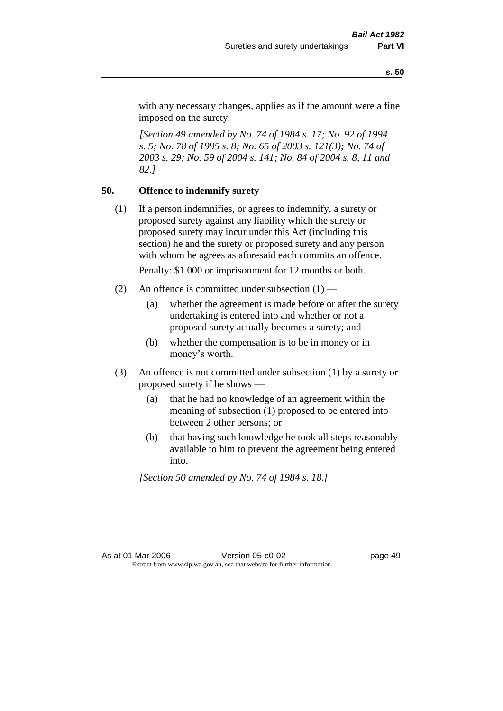with any necessary changes, applies as if the amount were a fine imposed on the surety.

*[Section 49 amended by No. 74 of 1984 s. 17; No. 92 of 1994 s. 5; No. 78 of 1995 s. 8; No. 65 of 2003 s. 121(3); No. 74 of 2003 s. 29; No. 59 of 2004 s. 141; No. 84 of 2004 s. 8, 11 and 82.]* 

## **50. Offence to indemnify surety**

(1) If a person indemnifies, or agrees to indemnify, a surety or proposed surety against any liability which the surety or proposed surety may incur under this Act (including this section) he and the surety or proposed surety and any person with whom he agrees as aforesaid each commits an offence.

Penalty: \$1 000 or imprisonment for 12 months or both.

- (2) An offence is committed under subsection  $(1)$ 
	- (a) whether the agreement is made before or after the surety undertaking is entered into and whether or not a proposed surety actually becomes a surety; and
	- (b) whether the compensation is to be in money or in money's worth.
- (3) An offence is not committed under subsection (1) by a surety or proposed surety if he shows —
	- (a) that he had no knowledge of an agreement within the meaning of subsection (1) proposed to be entered into between 2 other persons; or
	- (b) that having such knowledge he took all steps reasonably available to him to prevent the agreement being entered into.

*[Section 50 amended by No. 74 of 1984 s. 18.]*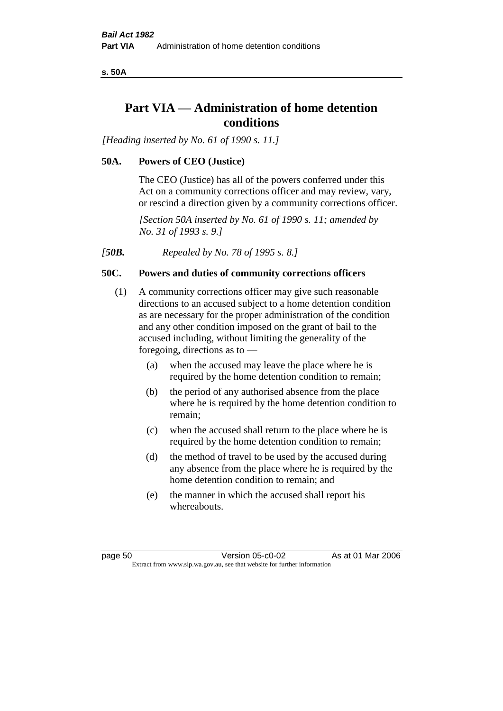**s. 50A**

# **Part VIA — Administration of home detention conditions**

*[Heading inserted by No. 61 of 1990 s. 11.]* 

## **50A. Powers of CEO (Justice)**

The CEO (Justice) has all of the powers conferred under this Act on a community corrections officer and may review, vary, or rescind a direction given by a community corrections officer.

*[Section 50A inserted by No. 61 of 1990 s. 11; amended by No. 31 of 1993 s. 9.]* 

*[50B. Repealed by No. 78 of 1995 s. 8.]* 

## **50C. Powers and duties of community corrections officers**

- (1) A community corrections officer may give such reasonable directions to an accused subject to a home detention condition as are necessary for the proper administration of the condition and any other condition imposed on the grant of bail to the accused including, without limiting the generality of the foregoing, directions as to —
	- (a) when the accused may leave the place where he is required by the home detention condition to remain;
	- (b) the period of any authorised absence from the place where he is required by the home detention condition to remain;
	- (c) when the accused shall return to the place where he is required by the home detention condition to remain;
	- (d) the method of travel to be used by the accused during any absence from the place where he is required by the home detention condition to remain; and
	- (e) the manner in which the accused shall report his whereabouts.

page 50 Version 05-c0-02 As at 01 Mar 2006 Extract from www.slp.wa.gov.au, see that website for further information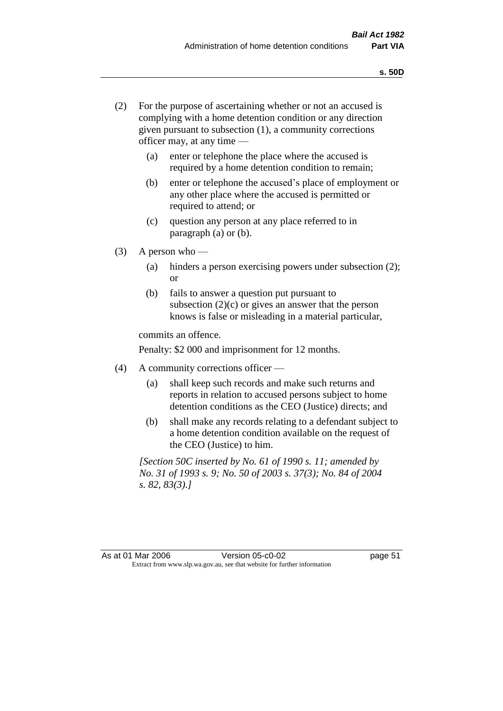- (2) For the purpose of ascertaining whether or not an accused is complying with a home detention condition or any direction given pursuant to subsection (1), a community corrections officer may, at any time —
	- (a) enter or telephone the place where the accused is required by a home detention condition to remain;
	- (b) enter or telephone the accused's place of employment or any other place where the accused is permitted or required to attend; or
	- (c) question any person at any place referred to in paragraph (a) or (b).
- $(3)$  A person who
	- (a) hinders a person exercising powers under subsection (2); or
	- (b) fails to answer a question put pursuant to subsection  $(2)(c)$  or gives an answer that the person knows is false or misleading in a material particular,

commits an offence.

Penalty: \$2 000 and imprisonment for 12 months.

- (4) A community corrections officer
	- (a) shall keep such records and make such returns and reports in relation to accused persons subject to home detention conditions as the CEO (Justice) directs; and
	- (b) shall make any records relating to a defendant subject to a home detention condition available on the request of the CEO (Justice) to him.

*[Section 50C inserted by No. 61 of 1990 s. 11; amended by No. 31 of 1993 s. 9; No. 50 of 2003 s. 37(3); No. 84 of 2004 s. 82, 83(3).]*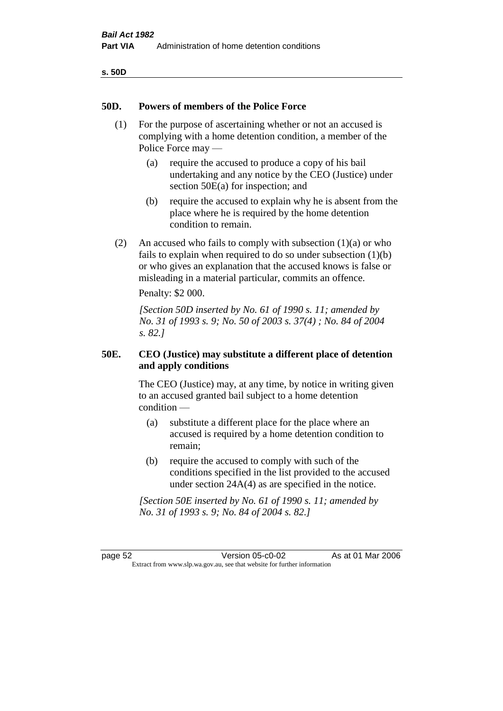| v<br>۰,<br>×<br>۰.<br>× |  |
|-------------------------|--|
|-------------------------|--|

#### **50D. Powers of members of the Police Force**

- (1) For the purpose of ascertaining whether or not an accused is complying with a home detention condition, a member of the Police Force may —
	- (a) require the accused to produce a copy of his bail undertaking and any notice by the CEO (Justice) under section 50E(a) for inspection; and
	- (b) require the accused to explain why he is absent from the place where he is required by the home detention condition to remain.
- (2) An accused who fails to comply with subsection  $(1)(a)$  or who fails to explain when required to do so under subsection (1)(b) or who gives an explanation that the accused knows is false or misleading in a material particular, commits an offence.

Penalty: \$2 000.

*[Section 50D inserted by No. 61 of 1990 s. 11; amended by No. 31 of 1993 s. 9; No. 50 of 2003 s. 37(4) ; No. 84 of 2004 s. 82.]* 

## **50E. CEO (Justice) may substitute a different place of detention and apply conditions**

The CEO (Justice) may, at any time, by notice in writing given to an accused granted bail subject to a home detention condition —

- (a) substitute a different place for the place where an accused is required by a home detention condition to remain;
- (b) require the accused to comply with such of the conditions specified in the list provided to the accused under section 24A(4) as are specified in the notice.

*[Section 50E inserted by No. 61 of 1990 s. 11; amended by No. 31 of 1993 s. 9; No. 84 of 2004 s. 82.]* 

page 52 Version 05-c0-02 As at 01 Mar 2006 Extract from www.slp.wa.gov.au, see that website for further information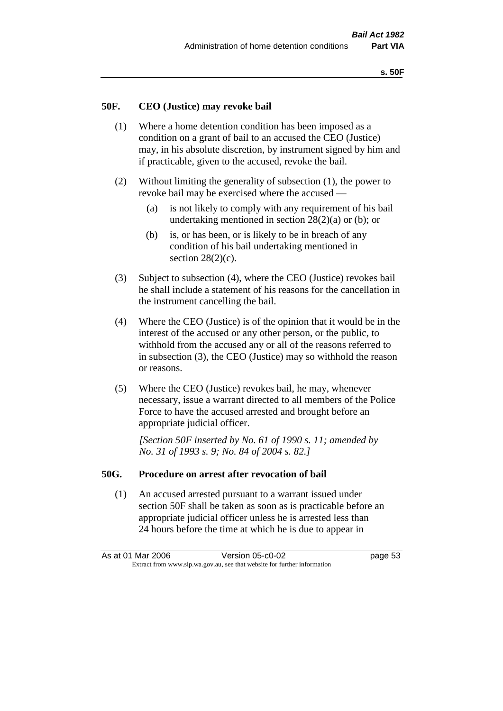#### **50F. CEO (Justice) may revoke bail**

- (1) Where a home detention condition has been imposed as a condition on a grant of bail to an accused the CEO (Justice) may, in his absolute discretion, by instrument signed by him and if practicable, given to the accused, revoke the bail.
- (2) Without limiting the generality of subsection (1), the power to revoke bail may be exercised where the accused —
	- (a) is not likely to comply with any requirement of his bail undertaking mentioned in section  $28(2)(a)$  or (b); or
	- (b) is, or has been, or is likely to be in breach of any condition of his bail undertaking mentioned in section  $28(2)(c)$ .
- (3) Subject to subsection (4), where the CEO (Justice) revokes bail he shall include a statement of his reasons for the cancellation in the instrument cancelling the bail.
- (4) Where the CEO (Justice) is of the opinion that it would be in the interest of the accused or any other person, or the public, to withhold from the accused any or all of the reasons referred to in subsection (3), the CEO (Justice) may so withhold the reason or reasons.
- (5) Where the CEO (Justice) revokes bail, he may, whenever necessary, issue a warrant directed to all members of the Police Force to have the accused arrested and brought before an appropriate judicial officer.

*[Section 50F inserted by No. 61 of 1990 s. 11; amended by No. 31 of 1993 s. 9; No. 84 of 2004 s. 82.]* 

#### **50G. Procedure on arrest after revocation of bail**

(1) An accused arrested pursuant to a warrant issued under section 50F shall be taken as soon as is practicable before an appropriate judicial officer unless he is arrested less than 24 hours before the time at which he is due to appear in

As at 01 Mar 2006 Version 05-c0-02 page 53 Extract from www.slp.wa.gov.au, see that website for further information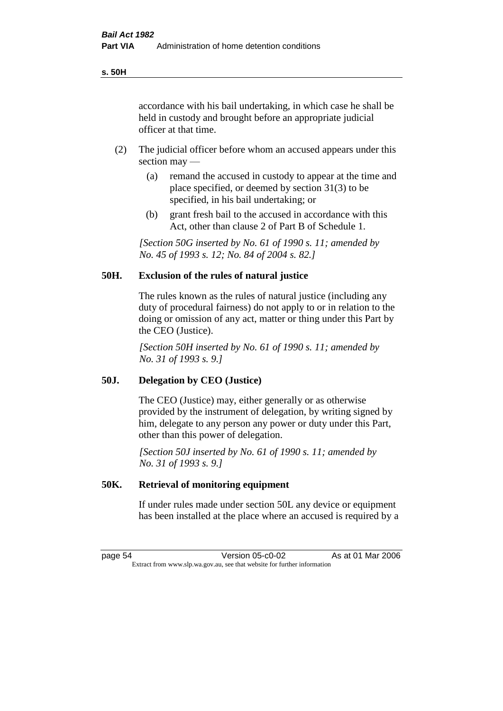accordance with his bail undertaking, in which case he shall be held in custody and brought before an appropriate judicial officer at that time.

- (2) The judicial officer before whom an accused appears under this section may —
	- (a) remand the accused in custody to appear at the time and place specified, or deemed by section 31(3) to be specified, in his bail undertaking; or
	- (b) grant fresh bail to the accused in accordance with this Act, other than clause 2 of Part B of Schedule 1.

*[Section 50G inserted by No. 61 of 1990 s. 11; amended by No. 45 of 1993 s. 12; No. 84 of 2004 s. 82.]* 

## **50H. Exclusion of the rules of natural justice**

The rules known as the rules of natural justice (including any duty of procedural fairness) do not apply to or in relation to the doing or omission of any act, matter or thing under this Part by the CEO (Justice).

*[Section 50H inserted by No. 61 of 1990 s. 11; amended by No. 31 of 1993 s. 9.]* 

#### **50J. Delegation by CEO (Justice)**

The CEO (Justice) may, either generally or as otherwise provided by the instrument of delegation, by writing signed by him, delegate to any person any power or duty under this Part, other than this power of delegation.

*[Section 50J inserted by No. 61 of 1990 s. 11; amended by No. 31 of 1993 s. 9.]* 

#### **50K. Retrieval of monitoring equipment**

If under rules made under section 50L any device or equipment has been installed at the place where an accused is required by a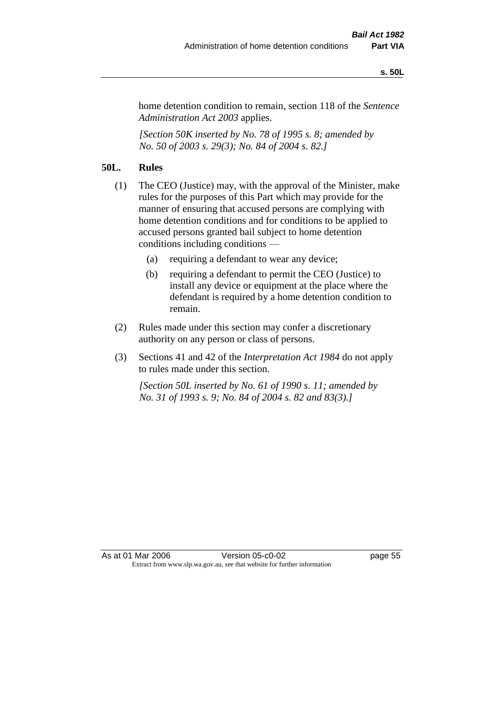#### **s. 50L**

home detention condition to remain, section 118 of the *Sentence Administration Act 2003* applies.

*[Section 50K inserted by No. 78 of 1995 s. 8; amended by No. 50 of 2003 s. 29(3); No. 84 of 2004 s. 82.]* 

# **50L. Rules**

- (1) The CEO (Justice) may, with the approval of the Minister, make rules for the purposes of this Part which may provide for the manner of ensuring that accused persons are complying with home detention conditions and for conditions to be applied to accused persons granted bail subject to home detention conditions including conditions —
	- (a) requiring a defendant to wear any device;
	- (b) requiring a defendant to permit the CEO (Justice) to install any device or equipment at the place where the defendant is required by a home detention condition to remain.
- (2) Rules made under this section may confer a discretionary authority on any person or class of persons.
- (3) Sections 41 and 42 of the *Interpretation Act 1984* do not apply to rules made under this section.

*[Section 50L inserted by No. 61 of 1990 s. 11; amended by No. 31 of 1993 s. 9; No. 84 of 2004 s. 82 and 83(3).]*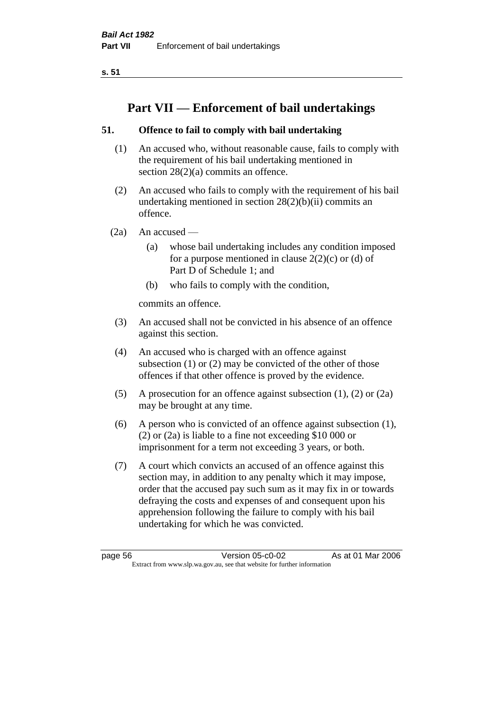**s. 51**

# **Part VII — Enforcement of bail undertakings**

# **51. Offence to fail to comply with bail undertaking**

- (1) An accused who, without reasonable cause, fails to comply with the requirement of his bail undertaking mentioned in section 28(2)(a) commits an offence.
- (2) An accused who fails to comply with the requirement of his bail undertaking mentioned in section  $28(2)(b)(ii)$  commits an offence.
- $(2a)$  An accused
	- (a) whose bail undertaking includes any condition imposed for a purpose mentioned in clause  $2(2)(c)$  or (d) of Part D of Schedule 1; and
	- (b) who fails to comply with the condition,

commits an offence.

- (3) An accused shall not be convicted in his absence of an offence against this section.
- (4) An accused who is charged with an offence against subsection (1) or (2) may be convicted of the other of those offences if that other offence is proved by the evidence.
- (5) A prosecution for an offence against subsection (1), (2) or (2a) may be brought at any time.
- (6) A person who is convicted of an offence against subsection (1), (2) or (2a) is liable to a fine not exceeding \$10 000 or imprisonment for a term not exceeding 3 years, or both.
- (7) A court which convicts an accused of an offence against this section may, in addition to any penalty which it may impose, order that the accused pay such sum as it may fix in or towards defraying the costs and expenses of and consequent upon his apprehension following the failure to comply with his bail undertaking for which he was convicted.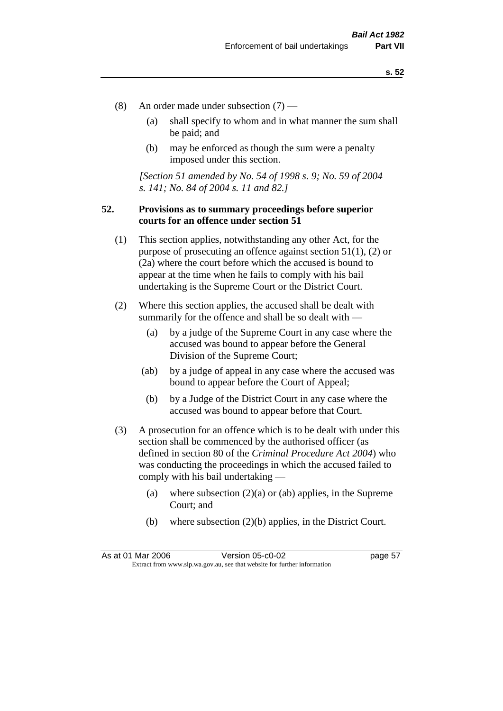- (8) An order made under subsection (7)
	- (a) shall specify to whom and in what manner the sum shall be paid; and
	- (b) may be enforced as though the sum were a penalty imposed under this section.

*[Section 51 amended by No. 54 of 1998 s. 9; No. 59 of 2004 s. 141; No. 84 of 2004 s. 11 and 82.]*

## **52. Provisions as to summary proceedings before superior courts for an offence under section 51**

- (1) This section applies, notwithstanding any other Act, for the purpose of prosecuting an offence against section 51(1), (2) or (2a) where the court before which the accused is bound to appear at the time when he fails to comply with his bail undertaking is the Supreme Court or the District Court.
- (2) Where this section applies, the accused shall be dealt with summarily for the offence and shall be so dealt with —
	- (a) by a judge of the Supreme Court in any case where the accused was bound to appear before the General Division of the Supreme Court;
	- (ab) by a judge of appeal in any case where the accused was bound to appear before the Court of Appeal;
	- (b) by a Judge of the District Court in any case where the accused was bound to appear before that Court.
- (3) A prosecution for an offence which is to be dealt with under this section shall be commenced by the authorised officer (as defined in section 80 of the *Criminal Procedure Act 2004*) who was conducting the proceedings in which the accused failed to comply with his bail undertaking —
	- (a) where subsection  $(2)(a)$  or (ab) applies, in the Supreme Court; and
	- (b) where subsection (2)(b) applies, in the District Court.

As at 01 Mar 2006 **Version 05-c0-02** page 57 Extract from www.slp.wa.gov.au, see that website for further information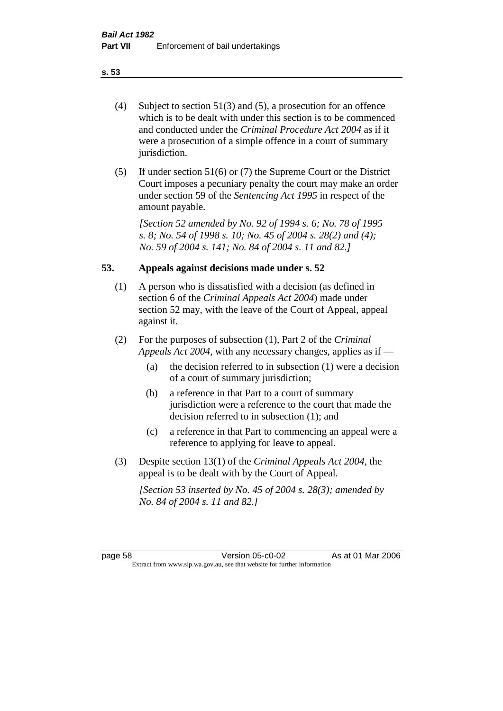- (4) Subject to section 51(3) and (5), a prosecution for an offence which is to be dealt with under this section is to be commenced and conducted under the *Criminal Procedure Act 2004* as if it were a prosecution of a simple offence in a court of summary jurisdiction.
- (5) If under section 51(6) or (7) the Supreme Court or the District Court imposes a pecuniary penalty the court may make an order under section 59 of the *Sentencing Act 1995* in respect of the amount payable.

*[Section 52 amended by No. 92 of 1994 s. 6; No. 78 of 1995 s. 8; No. 54 of 1998 s. 10; No. 45 of 2004 s. 28(2) and (4); No. 59 of 2004 s. 141; No. 84 of 2004 s. 11 and 82.]* 

## **53. Appeals against decisions made under s. 52**

- (1) A person who is dissatisfied with a decision (as defined in section 6 of the *Criminal Appeals Act 2004*) made under section 52 may, with the leave of the Court of Appeal, appeal against it.
- (2) For the purposes of subsection (1), Part 2 of the *Criminal Appeals Act 2004*, with any necessary changes, applies as if —
	- (a) the decision referred to in subsection (1) were a decision of a court of summary jurisdiction;
	- (b) a reference in that Part to a court of summary jurisdiction were a reference to the court that made the decision referred to in subsection (1); and
	- (c) a reference in that Part to commencing an appeal were a reference to applying for leave to appeal.
- (3) Despite section 13(1) of the *Criminal Appeals Act 2004*, the appeal is to be dealt with by the Court of Appeal.

*[Section 53 inserted by No. 45 of 2004 s. 28(3); amended by No. 84 of 2004 s. 11 and 82.]*

page 58 Version 05-c0-02 As at 01 Mar 2006 Extract from www.slp.wa.gov.au, see that website for further information

#### **s. 53**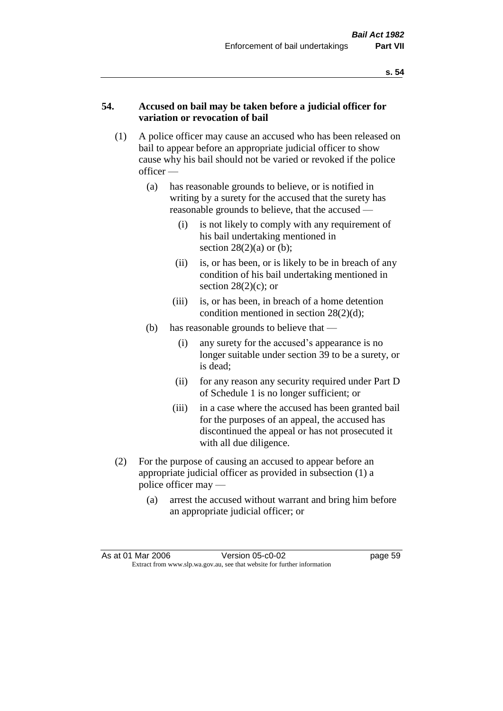## **54. Accused on bail may be taken before a judicial officer for variation or revocation of bail**

- (1) A police officer may cause an accused who has been released on bail to appear before an appropriate judicial officer to show cause why his bail should not be varied or revoked if the police officer —
	- (a) has reasonable grounds to believe, or is notified in writing by a surety for the accused that the surety has reasonable grounds to believe, that the accused —
		- (i) is not likely to comply with any requirement of his bail undertaking mentioned in section  $28(2)(a)$  or (b);
		- (ii) is, or has been, or is likely to be in breach of any condition of his bail undertaking mentioned in section  $28(2)(c)$ ; or
		- (iii) is, or has been, in breach of a home detention condition mentioned in section 28(2)(d);
	- (b) has reasonable grounds to believe that
		- (i) any surety for the accused's appearance is no longer suitable under section 39 to be a surety, or is dead;
		- (ii) for any reason any security required under Part D of Schedule 1 is no longer sufficient; or
		- (iii) in a case where the accused has been granted bail for the purposes of an appeal, the accused has discontinued the appeal or has not prosecuted it with all due diligence.
- (2) For the purpose of causing an accused to appear before an appropriate judicial officer as provided in subsection (1) a police officer may —
	- (a) arrest the accused without warrant and bring him before an appropriate judicial officer; or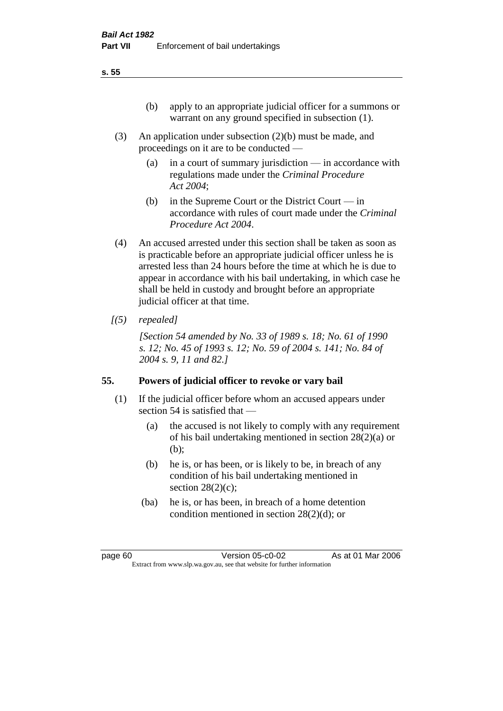- (3) An application under subsection (2)(b) must be made, and proceedings on it are to be conducted —
	- (a) in a court of summary jurisdiction in accordance with regulations made under the *Criminal Procedure Act 2004*;
	- (b) in the Supreme Court or the District Court  $-\text{in}$ accordance with rules of court made under the *Criminal Procedure Act 2004*.
- (4) An accused arrested under this section shall be taken as soon as is practicable before an appropriate judicial officer unless he is arrested less than 24 hours before the time at which he is due to appear in accordance with his bail undertaking, in which case he shall be held in custody and brought before an appropriate judicial officer at that time.
- *[(5) repealed]*

*[Section 54 amended by No. 33 of 1989 s. 18; No. 61 of 1990 s. 12; No. 45 of 1993 s. 12; No. 59 of 2004 s. 141; No. 84 of 2004 s. 9, 11 and 82.]* 

# **55. Powers of judicial officer to revoke or vary bail**

- (1) If the judicial officer before whom an accused appears under section 54 is satisfied that —
	- (a) the accused is not likely to comply with any requirement of his bail undertaking mentioned in section 28(2)(a) or (b);
	- (b) he is, or has been, or is likely to be, in breach of any condition of his bail undertaking mentioned in section  $28(2)(c)$ ;
	- (ba) he is, or has been, in breach of a home detention condition mentioned in section 28(2)(d); or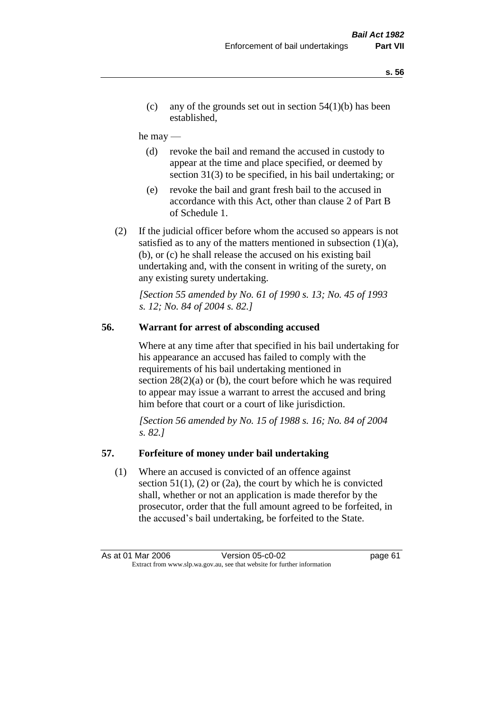(c) any of the grounds set out in section  $54(1)(b)$  has been established,

#### he may —

- (d) revoke the bail and remand the accused in custody to appear at the time and place specified, or deemed by section 31(3) to be specified, in his bail undertaking; or
- (e) revoke the bail and grant fresh bail to the accused in accordance with this Act, other than clause 2 of Part B of Schedule 1.
- (2) If the judicial officer before whom the accused so appears is not satisfied as to any of the matters mentioned in subsection  $(1)(a)$ , (b), or (c) he shall release the accused on his existing bail undertaking and, with the consent in writing of the surety, on any existing surety undertaking.

*[Section 55 amended by No. 61 of 1990 s. 13; No. 45 of 1993 s. 12; No. 84 of 2004 s. 82.]* 

## **56. Warrant for arrest of absconding accused**

Where at any time after that specified in his bail undertaking for his appearance an accused has failed to comply with the requirements of his bail undertaking mentioned in section  $28(2)(a)$  or (b), the court before which he was required to appear may issue a warrant to arrest the accused and bring him before that court or a court of like jurisdiction.

*[Section 56 amended by No. 15 of 1988 s. 16; No. 84 of 2004 s. 82.]* 

#### **57. Forfeiture of money under bail undertaking**

(1) Where an accused is convicted of an offence against section  $51(1)$ ,  $(2)$  or  $(2a)$ , the court by which he is convicted shall, whether or not an application is made therefor by the prosecutor, order that the full amount agreed to be forfeited, in the accused's bail undertaking, be forfeited to the State.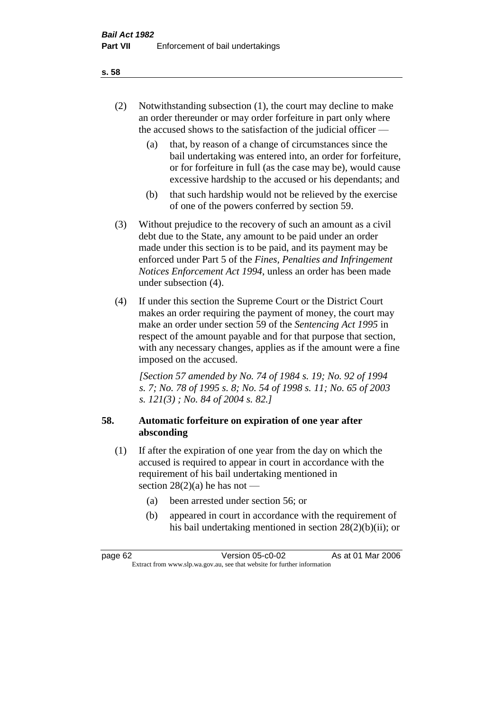- (2) Notwithstanding subsection (1), the court may decline to make an order thereunder or may order forfeiture in part only where the accused shows to the satisfaction of the judicial officer —
	- (a) that, by reason of a change of circumstances since the bail undertaking was entered into, an order for forfeiture, or for forfeiture in full (as the case may be), would cause excessive hardship to the accused or his dependants; and
	- (b) that such hardship would not be relieved by the exercise of one of the powers conferred by section 59.
- (3) Without prejudice to the recovery of such an amount as a civil debt due to the State, any amount to be paid under an order made under this section is to be paid, and its payment may be enforced under Part 5 of the *Fines, Penalties and Infringement Notices Enforcement Act 1994*, unless an order has been made under subsection (4).
- (4) If under this section the Supreme Court or the District Court makes an order requiring the payment of money, the court may make an order under section 59 of the *Sentencing Act 1995* in respect of the amount payable and for that purpose that section, with any necessary changes, applies as if the amount were a fine imposed on the accused.

*[Section 57 amended by No. 74 of 1984 s. 19; No. 92 of 1994 s. 7; No. 78 of 1995 s. 8; No. 54 of 1998 s. 11; No. 65 of 2003 s. 121(3) ; No. 84 of 2004 s. 82.]* 

## **58. Automatic forfeiture on expiration of one year after absconding**

- (1) If after the expiration of one year from the day on which the accused is required to appear in court in accordance with the requirement of his bail undertaking mentioned in section  $28(2)(a)$  he has not —
	- (a) been arrested under section 56; or
	- (b) appeared in court in accordance with the requirement of his bail undertaking mentioned in section 28(2)(b)(ii); or

| page 62                                                                  | Version 05-c0-02 | As at 01 Mar 2006 |
|--------------------------------------------------------------------------|------------------|-------------------|
| Extract from www.slp.wa.gov.au, see that website for further information |                  |                   |

#### **s. 58**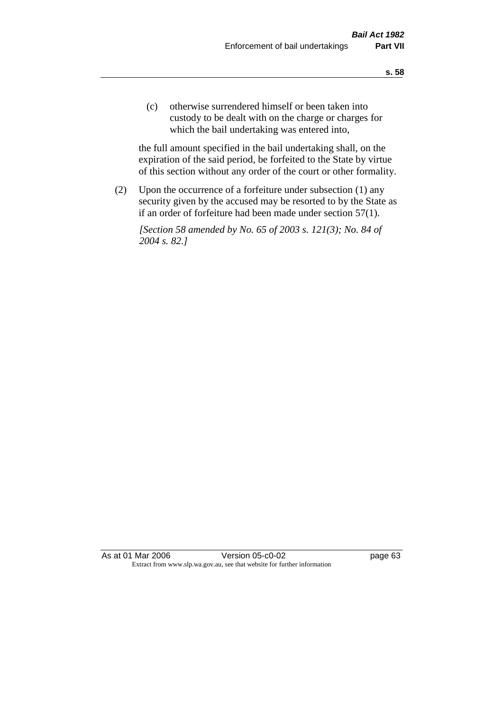(c) otherwise surrendered himself or been taken into custody to be dealt with on the charge or charges for which the bail undertaking was entered into,

the full amount specified in the bail undertaking shall, on the expiration of the said period, be forfeited to the State by virtue of this section without any order of the court or other formality.

(2) Upon the occurrence of a forfeiture under subsection (1) any security given by the accused may be resorted to by the State as if an order of forfeiture had been made under section 57(1).

*[Section 58 amended by No. 65 of 2003 s. 121(3); No. 84 of 2004 s. 82.]*

As at 01 Mar 2006 Version 05-c0-02 page 63 Extract from www.slp.wa.gov.au, see that website for further information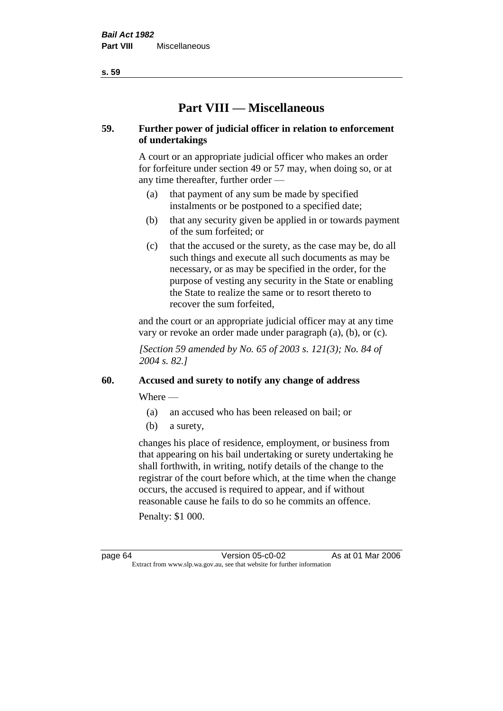**s. 59**

# **Part VIII — Miscellaneous**

# **59. Further power of judicial officer in relation to enforcement of undertakings**

A court or an appropriate judicial officer who makes an order for forfeiture under section 49 or 57 may, when doing so, or at any time thereafter, further order —

- (a) that payment of any sum be made by specified instalments or be postponed to a specified date;
- (b) that any security given be applied in or towards payment of the sum forfeited; or
- (c) that the accused or the surety, as the case may be, do all such things and execute all such documents as may be necessary, or as may be specified in the order, for the purpose of vesting any security in the State or enabling the State to realize the same or to resort thereto to recover the sum forfeited,

and the court or an appropriate judicial officer may at any time vary or revoke an order made under paragraph (a), (b), or (c).

*[Section 59 amended by No. 65 of 2003 s. 121(3); No. 84 of 2004 s. 82.]*

# **60. Accused and surety to notify any change of address**

Where —

- (a) an accused who has been released on bail; or
- (b) a surety,

changes his place of residence, employment, or business from that appearing on his bail undertaking or surety undertaking he shall forthwith, in writing, notify details of the change to the registrar of the court before which, at the time when the change occurs, the accused is required to appear, and if without reasonable cause he fails to do so he commits an offence.

Penalty: \$1 000.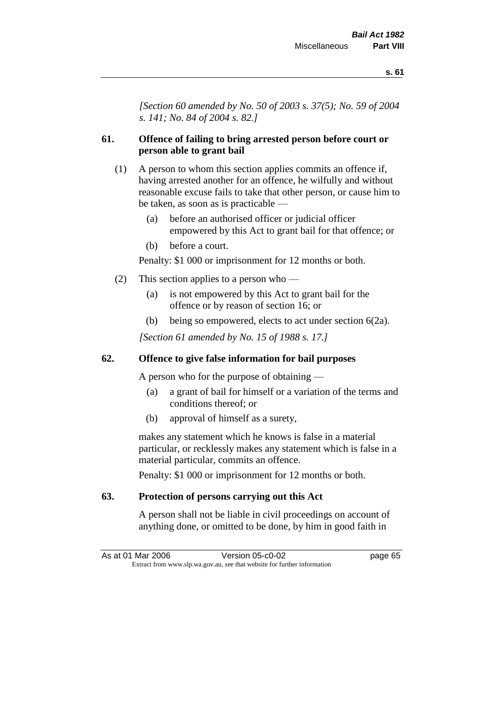*[Section 60 amended by No. 50 of 2003 s. 37(5); No. 59 of 2004 s. 141; No. 84 of 2004 s. 82.]*

## **61. Offence of failing to bring arrested person before court or person able to grant bail**

- (1) A person to whom this section applies commits an offence if, having arrested another for an offence, he wilfully and without reasonable excuse fails to take that other person, or cause him to be taken, as soon as is practicable —
	- (a) before an authorised officer or judicial officer empowered by this Act to grant bail for that offence; or
	- (b) before a court.

Penalty: \$1 000 or imprisonment for 12 months or both.

- (2) This section applies to a person who
	- (a) is not empowered by this Act to grant bail for the offence or by reason of section 16; or
	- (b) being so empowered, elects to act under section 6(2a).

*[Section 61 amended by No. 15 of 1988 s. 17.]* 

## **62. Offence to give false information for bail purposes**

A person who for the purpose of obtaining —

- (a) a grant of bail for himself or a variation of the terms and conditions thereof; or
- (b) approval of himself as a surety,

makes any statement which he knows is false in a material particular, or recklessly makes any statement which is false in a material particular, commits an offence.

Penalty: \$1 000 or imprisonment for 12 months or both.

## **63. Protection of persons carrying out this Act**

A person shall not be liable in civil proceedings on account of anything done, or omitted to be done, by him in good faith in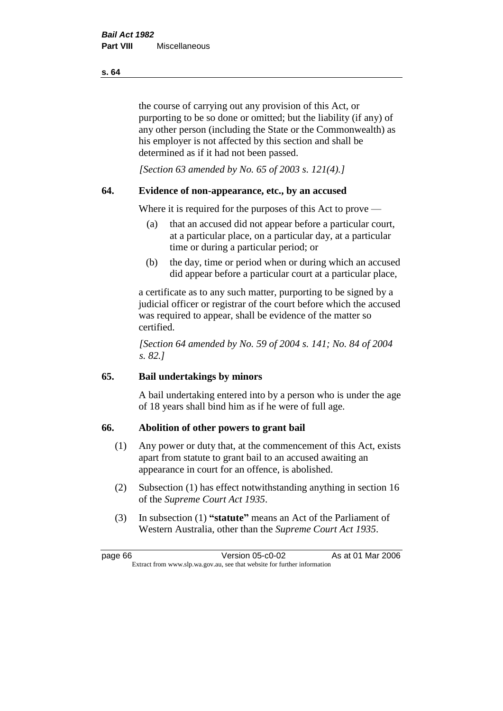the course of carrying out any provision of this Act, or purporting to be so done or omitted; but the liability (if any) of any other person (including the State or the Commonwealth) as his employer is not affected by this section and shall be determined as if it had not been passed.

*[Section 63 amended by No. 65 of 2003 s. 121(4).]*

## **64. Evidence of non-appearance, etc., by an accused**

Where it is required for the purposes of this Act to prove —

- (a) that an accused did not appear before a particular court, at a particular place, on a particular day, at a particular time or during a particular period; or
- (b) the day, time or period when or during which an accused did appear before a particular court at a particular place,

a certificate as to any such matter, purporting to be signed by a judicial officer or registrar of the court before which the accused was required to appear, shall be evidence of the matter so certified.

*[Section 64 amended by No. 59 of 2004 s. 141; No. 84 of 2004 s. 82.]* 

## **65. Bail undertakings by minors**

A bail undertaking entered into by a person who is under the age of 18 years shall bind him as if he were of full age.

#### **66. Abolition of other powers to grant bail**

- (1) Any power or duty that, at the commencement of this Act, exists apart from statute to grant bail to an accused awaiting an appearance in court for an offence, is abolished.
- (2) Subsection (1) has effect notwithstanding anything in section 16 of the *Supreme Court Act 1935*.
- (3) In subsection (1) **"statute"** means an Act of the Parliament of Western Australia, other than the *Supreme Court Act 1935*.

page 66 Version 05-c0-02 As at 01 Mar 2006 Extract from www.slp.wa.gov.au, see that website for further information

#### **s. 64**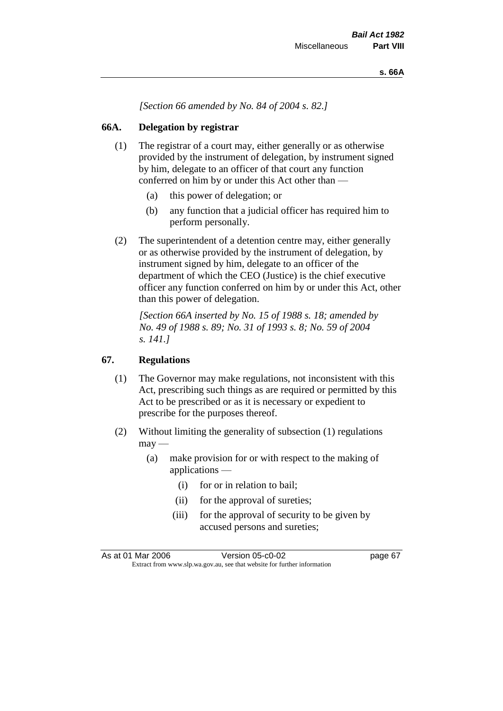*[Section 66 amended by No. 84 of 2004 s. 82.]*

## **66A. Delegation by registrar**

- (1) The registrar of a court may, either generally or as otherwise provided by the instrument of delegation, by instrument signed by him, delegate to an officer of that court any function conferred on him by or under this Act other than —
	- (a) this power of delegation; or
	- (b) any function that a judicial officer has required him to perform personally.
- (2) The superintendent of a detention centre may, either generally or as otherwise provided by the instrument of delegation, by instrument signed by him, delegate to an officer of the department of which the CEO (Justice) is the chief executive officer any function conferred on him by or under this Act, other than this power of delegation.

*[Section 66A inserted by No. 15 of 1988 s. 18; amended by No. 49 of 1988 s. 89; No. 31 of 1993 s. 8; No. 59 of 2004 s. 141.]* 

## **67. Regulations**

- (1) The Governor may make regulations, not inconsistent with this Act, prescribing such things as are required or permitted by this Act to be prescribed or as it is necessary or expedient to prescribe for the purposes thereof.
- (2) Without limiting the generality of subsection (1) regulations  $\text{max}$  —
	- (a) make provision for or with respect to the making of applications —
		- (i) for or in relation to bail;
		- (ii) for the approval of sureties;
		- (iii) for the approval of security to be given by accused persons and sureties;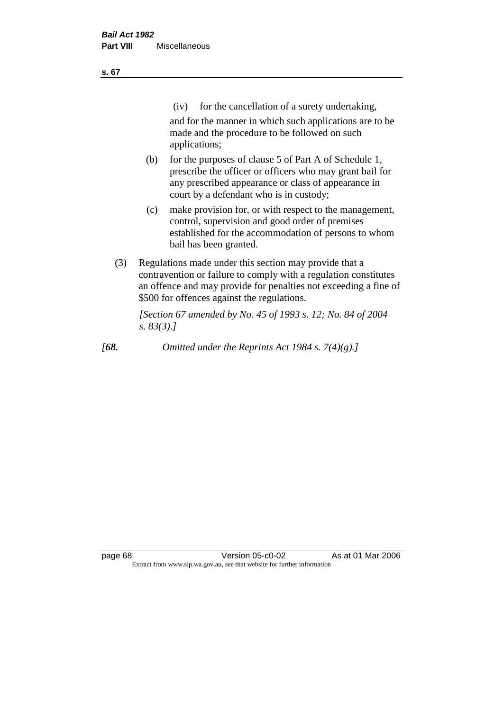| ×<br>v | ۰. |
|--------|----|
|        |    |

(iv) for the cancellation of a surety undertaking,

and for the manner in which such applications are to be made and the procedure to be followed on such applications;

- (b) for the purposes of clause 5 of Part A of Schedule 1, prescribe the officer or officers who may grant bail for any prescribed appearance or class of appearance in court by a defendant who is in custody;
- (c) make provision for, or with respect to the management, control, supervision and good order of premises established for the accommodation of persons to whom bail has been granted.
- (3) Regulations made under this section may provide that a contravention or failure to comply with a regulation constitutes an offence and may provide for penalties not exceeding a fine of \$500 for offences against the regulations.

*[Section 67 amended by No. 45 of 1993 s. 12; No. 84 of 2004 s. 83(3).]* 

*[68. Omitted under the Reprints Act 1984 s. 7(4)(g).]*

page 68 Version 05-c0-02 As at 01 Mar 2006 Extract from www.slp.wa.gov.au, see that website for further information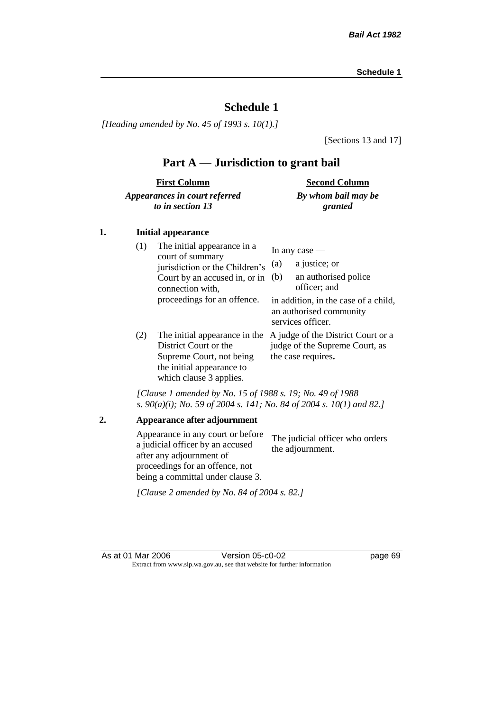*[Heading amended by No. 45 of 1993 s. 10(1).]*

[Sections 13 and 17]

## **Part A — Jurisdiction to grant bail**

| <b>First Column</b>           | <b>Second Column</b> |
|-------------------------------|----------------------|
| Appearances in court referred | By whom bail may be  |
| to in section 13              | granted              |

#### **1. Initial appearance**

| (1) | The initial appearance in a<br>court of summary<br>jurisdiction or the Children's<br>Court by an accused in, or in<br>connection with,<br>proceedings for an offence. | In any case $-$<br>a justice; or<br>(a)<br>an authorised police<br>(b)<br>officer; and<br>in addition, in the case of a child,<br>an authorised community |
|-----|-----------------------------------------------------------------------------------------------------------------------------------------------------------------------|-----------------------------------------------------------------------------------------------------------------------------------------------------------|
| (2) | The initial appearance in the<br>District Court or the<br>Supreme Court, not being<br>the initial appearance to<br>which clause 3 applies.                            | services officer.<br>A judge of the District Court or a<br>judge of the Supreme Court, as<br>the case requires.                                           |

*[Clause 1 amended by No. 15 of 1988 s. 19; No. 49 of 1988 s. 90(a)(i); No. 59 of 2004 s. 141; No. 84 of 2004 s. 10(1) and 82.]*

**2. Appearance after adjournment** Appearance in any court or before a judicial officer by an accused after any adjournment of proceedings for an offence, not being a committal under clause 3. The judicial officer who orders the adjournment. *[Clause 2 amended by No. 84 of 2004 s. 82.]*

As at 01 Mar 2006 **Version 05-c0-02 Page 69** Extract from www.slp.wa.gov.au, see that website for further information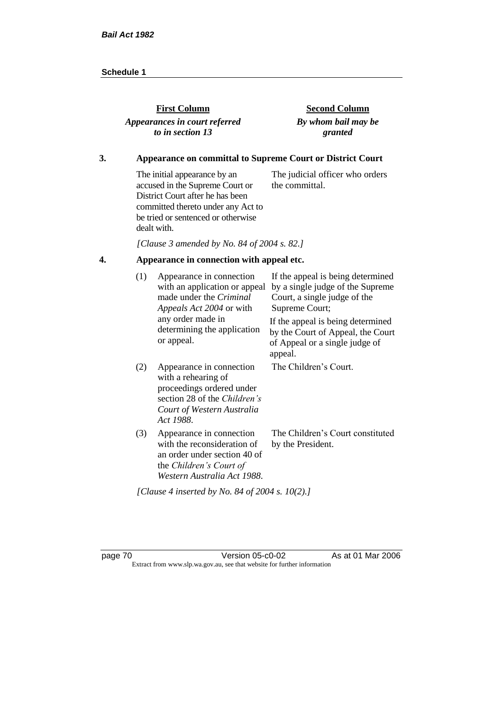| <b>First Column</b>           | <b>Second Column</b> |
|-------------------------------|----------------------|
| Appearances in court referred | By whom bail may be  |
| to in section 13              | granted              |
|                               |                      |

### **3. Appearance on committal to Supreme Court or District Court**

The initial appearance by an accused in the Supreme Court or District Court after he has been committed thereto under any Act to be tried or sentenced or otherwise dealt with. The judicial officer who orders the committal.

*[Clause 3 amended by No. 84 of 2004 s. 82.]*

## **4. Appearance in connection with appeal etc.**

| (1) | Appearance in connection<br>with an application or appeal<br>made under the Criminal<br>Appeals Act 2004 or with                                               | If the appeal is being determined<br>by a single judge of the Supreme<br>Court, a single judge of the<br>Supreme Court; |
|-----|----------------------------------------------------------------------------------------------------------------------------------------------------------------|-------------------------------------------------------------------------------------------------------------------------|
|     | any order made in<br>determining the application<br>or appeal.                                                                                                 | If the appeal is being determined<br>by the Court of Appeal, the Court<br>of Appeal or a single judge of<br>appeal.     |
| (2) | Appearance in connection<br>with a rehearing of<br>proceedings ordered under<br>section 28 of the <i>Children's</i><br>Court of Western Australia<br>Act 1988. | The Children's Court.                                                                                                   |
| (3) | Appearance in connection<br>with the reconsideration of<br>an order under section 40 of<br>the Children's Court of<br>Western Australia Act 1988.              | The Children's Court constituted<br>by the President.                                                                   |
|     | [Clause 4 inserted by No. 84 of 2004 s. 10(2).]                                                                                                                |                                                                                                                         |

page 70 Version 05-c0-02 As at 01 Mar 2006 Extract from www.slp.wa.gov.au, see that website for further information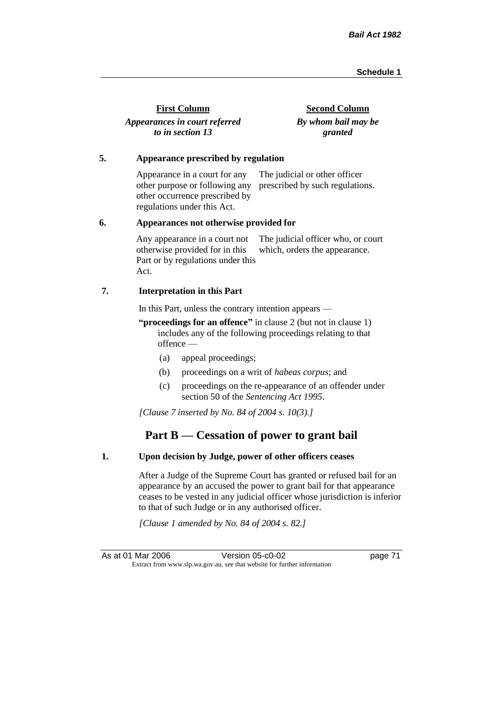| <b>First Column</b>           | <b>Second Column</b> |
|-------------------------------|----------------------|
| Appearances in court referred | By whom bail may be  |
| to in section 13              | granted              |

#### **5. Appearance prescribed by regulation**

Appearance in a court for any other purpose or following any prescribed by such regulations. other occurrence prescribed by regulations under this Act. The judicial or other officer

#### **6. Appearances not otherwise provided for**

Any appearance in a court not otherwise provided for in this Part or by regulations under this Act. The judicial officer who, or court which, orders the appearance.

#### **7. Interpretation in this Part**

In this Part, unless the contrary intention appears —

**"proceedings for an offence"** in clause 2 (but not in clause 1) includes any of the following proceedings relating to that offence —

- (a) appeal proceedings;
- (b) proceedings on a writ of *habeas corpus*; and
- (c) proceedings on the re-appearance of an offender under section 50 of the *Sentencing Act 1995*.

*[Clause 7 inserted by No. 84 of 2004 s. 10(3).]*

## **Part B — Cessation of power to grant bail**

#### **1. Upon decision by Judge, power of other officers ceases**

After a Judge of the Supreme Court has granted or refused bail for an appearance by an accused the power to grant bail for that appearance ceases to be vested in any judicial officer whose jurisdiction is inferior to that of such Judge or in any authorised officer.

*[Clause 1 amended by No. 84 of 2004 s. 82.]*

As at 01 Mar 2006 Version 05-c0-02 page 71 Extract from www.slp.wa.gov.au, see that website for further information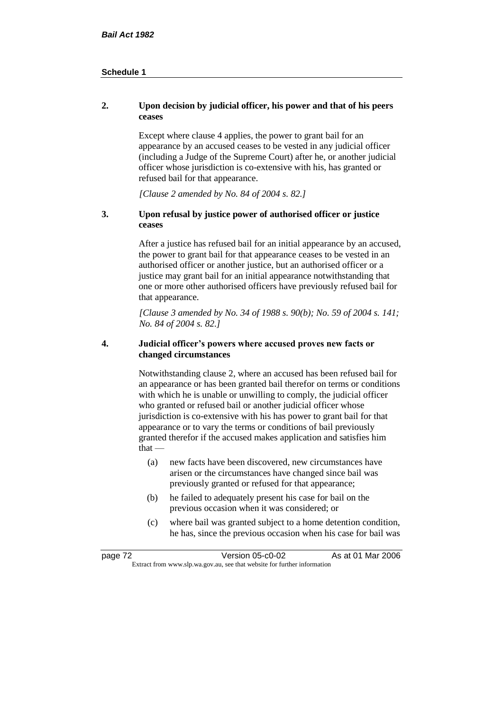#### **2. Upon decision by judicial officer, his power and that of his peers ceases**

Except where clause 4 applies, the power to grant bail for an appearance by an accused ceases to be vested in any judicial officer (including a Judge of the Supreme Court) after he, or another judicial officer whose jurisdiction is co-extensive with his, has granted or refused bail for that appearance.

*[Clause 2 amended by No. 84 of 2004 s. 82.]*

#### **3. Upon refusal by justice power of authorised officer or justice ceases**

After a justice has refused bail for an initial appearance by an accused, the power to grant bail for that appearance ceases to be vested in an authorised officer or another justice, but an authorised officer or a justice may grant bail for an initial appearance notwithstanding that one or more other authorised officers have previously refused bail for that appearance.

*[Clause 3 amended by No. 34 of 1988 s. 90(b); No. 59 of 2004 s. 141; No. 84 of 2004 s. 82.]*

#### **4. Judicial officer's powers where accused proves new facts or changed circumstances**

Notwithstanding clause 2, where an accused has been refused bail for an appearance or has been granted bail therefor on terms or conditions with which he is unable or unwilling to comply, the judicial officer who granted or refused bail or another judicial officer whose jurisdiction is co-extensive with his has power to grant bail for that appearance or to vary the terms or conditions of bail previously granted therefor if the accused makes application and satisfies him  $that -$ 

- (a) new facts have been discovered, new circumstances have arisen or the circumstances have changed since bail was previously granted or refused for that appearance;
- (b) he failed to adequately present his case for bail on the previous occasion when it was considered; or
- (c) where bail was granted subject to a home detention condition, he has, since the previous occasion when his case for bail was

| page 72                                                                  | Version 05-c0-02 | As at 01 Mar 2006 |
|--------------------------------------------------------------------------|------------------|-------------------|
| Extract from www.slp.wa.gov.au, see that website for further information |                  |                   |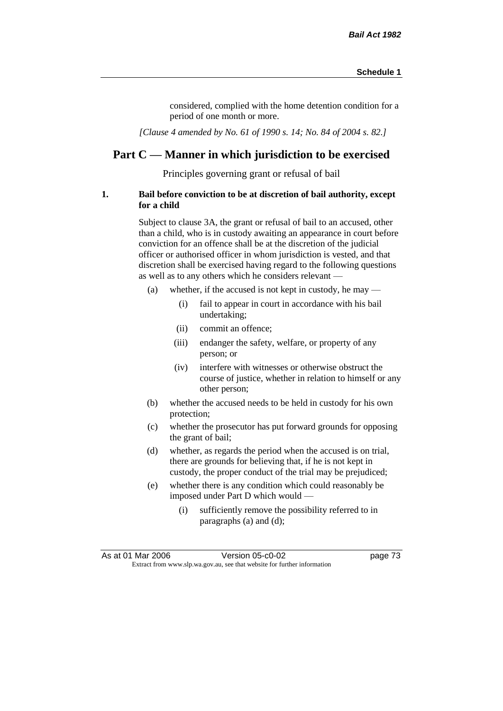considered, complied with the home detention condition for a period of one month or more.

*[Clause 4 amended by No. 61 of 1990 s. 14; No. 84 of 2004 s. 82.]*

## **Part C — Manner in which jurisdiction to be exercised**

Principles governing grant or refusal of bail

#### **1. Bail before conviction to be at discretion of bail authority, except for a child**

Subject to clause 3A, the grant or refusal of bail to an accused, other than a child, who is in custody awaiting an appearance in court before conviction for an offence shall be at the discretion of the judicial officer or authorised officer in whom jurisdiction is vested, and that discretion shall be exercised having regard to the following questions as well as to any others which he considers relevant —

- (a) whether, if the accused is not kept in custody, he may
	- (i) fail to appear in court in accordance with his bail undertaking;
	- (ii) commit an offence;
	- (iii) endanger the safety, welfare, or property of any person; or
	- (iv) interfere with witnesses or otherwise obstruct the course of justice, whether in relation to himself or any other person;
- (b) whether the accused needs to be held in custody for his own protection;
- (c) whether the prosecutor has put forward grounds for opposing the grant of bail;
- (d) whether, as regards the period when the accused is on trial, there are grounds for believing that, if he is not kept in custody, the proper conduct of the trial may be prejudiced;
- (e) whether there is any condition which could reasonably be imposed under Part D which would —
	- (i) sufficiently remove the possibility referred to in paragraphs (a) and (d);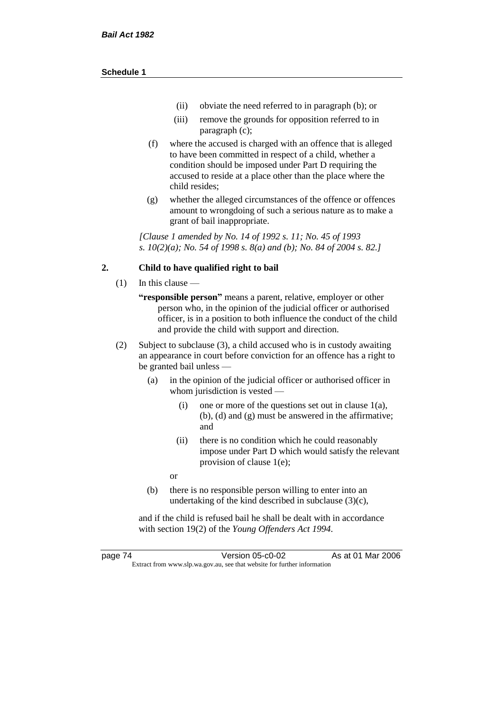- (ii) obviate the need referred to in paragraph (b); or
- (iii) remove the grounds for opposition referred to in paragraph (c);
- (f) where the accused is charged with an offence that is alleged to have been committed in respect of a child, whether a condition should be imposed under Part D requiring the accused to reside at a place other than the place where the child resides;
- (g) whether the alleged circumstances of the offence or offences amount to wrongdoing of such a serious nature as to make a grant of bail inappropriate.

*[Clause 1 amended by No. 14 of 1992 s. 11; No. 45 of 1993 s. 10(2)(a); No. 54 of 1998 s. 8(a) and (b); No. 84 of 2004 s. 82.]*

#### **2. Child to have qualified right to bail**

- (1) In this clause
	- **"responsible person"** means a parent, relative, employer or other person who, in the opinion of the judicial officer or authorised officer, is in a position to both influence the conduct of the child and provide the child with support and direction.
- (2) Subject to subclause (3), a child accused who is in custody awaiting an appearance in court before conviction for an offence has a right to be granted bail unless —
	- (a) in the opinion of the judicial officer or authorised officer in whom jurisdiction is vested —
		- (i) one or more of the questions set out in clause 1(a), (b), (d) and (g) must be answered in the affirmative; and
		- (ii) there is no condition which he could reasonably impose under Part D which would satisfy the relevant provision of clause 1(e);
		- or
	- (b) there is no responsible person willing to enter into an undertaking of the kind described in subclause (3)(c),

and if the child is refused bail he shall be dealt with in accordance with section 19(2) of the *Young Offenders Act 1994*.

page 74 Version 05-c0-02 As at 01 Mar 2006 Extract from www.slp.wa.gov.au, see that website for further information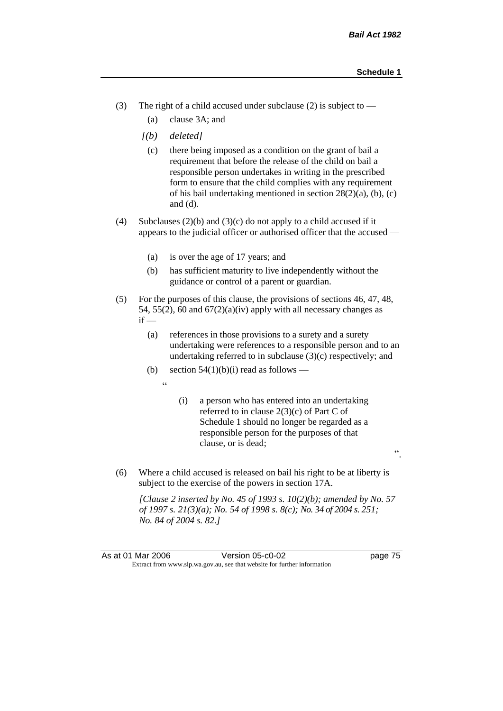".

- (3) The right of a child accused under subclause (2) is subject to  $-$ 
	- (a) clause 3A; and
	- *[(b) deleted]*
		- (c) there being imposed as a condition on the grant of bail a requirement that before the release of the child on bail a responsible person undertakes in writing in the prescribed form to ensure that the child complies with any requirement of his bail undertaking mentioned in section 28(2)(a), (b), (c) and (d).
- (4) Subclauses (2)(b) and (3)(c) do not apply to a child accused if it appears to the judicial officer or authorised officer that the accused —
	- (a) is over the age of 17 years; and
	- (b) has sufficient maturity to live independently without the guidance or control of a parent or guardian.
- (5) For the purposes of this clause, the provisions of sections 46, 47, 48, 54, 55(2), 60 and  $67(2)(a)(iv)$  apply with all necessary changes as  $if -$ 
	- (a) references in those provisions to a surety and a surety undertaking were references to a responsible person and to an undertaking referred to in subclause  $(3)(c)$  respectively; and
	- (b) section  $54(1)(b)(i)$  read as follows
		- "
- (i) a person who has entered into an undertaking referred to in clause 2(3)(c) of Part C of Schedule 1 should no longer be regarded as a responsible person for the purposes of that clause, or is dead;
- (6) Where a child accused is released on bail his right to be at liberty is subject to the exercise of the powers in section 17A.

*[Clause 2 inserted by No. 45 of 1993 s. 10(2)(b); amended by No. 57 of 1997 s. 21(3)(a); No. 54 of 1998 s. 8(c); No. 34 of 2004 s. 251; No. 84 of 2004 s. 82.]*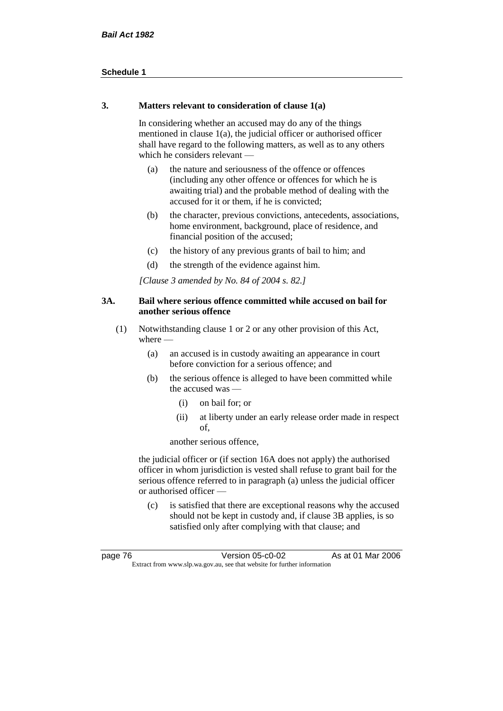#### **3. Matters relevant to consideration of clause 1(a)**

In considering whether an accused may do any of the things mentioned in clause 1(a), the judicial officer or authorised officer shall have regard to the following matters, as well as to any others which he considers relevant —

- (a) the nature and seriousness of the offence or offences (including any other offence or offences for which he is awaiting trial) and the probable method of dealing with the accused for it or them, if he is convicted;
- (b) the character, previous convictions, antecedents, associations, home environment, background, place of residence, and financial position of the accused;
- (c) the history of any previous grants of bail to him; and
- (d) the strength of the evidence against him.

*[Clause 3 amended by No. 84 of 2004 s. 82.]*

#### **3A. Bail where serious offence committed while accused on bail for another serious offence**

- (1) Notwithstanding clause 1 or 2 or any other provision of this Act, where —
	- (a) an accused is in custody awaiting an appearance in court before conviction for a serious offence; and
	- (b) the serious offence is alleged to have been committed while the accused was —
		- (i) on bail for; or
		- (ii) at liberty under an early release order made in respect of,

another serious offence,

the judicial officer or (if section 16A does not apply) the authorised officer in whom jurisdiction is vested shall refuse to grant bail for the serious offence referred to in paragraph (a) unless the judicial officer or authorised officer —

(c) is satisfied that there are exceptional reasons why the accused should not be kept in custody and, if clause 3B applies, is so satisfied only after complying with that clause; and

| page 76                                                                  | Version 05-c0-02 | As at 01 Mar 2006 |
|--------------------------------------------------------------------------|------------------|-------------------|
| Extract from www.slp.wa.gov.au, see that website for further information |                  |                   |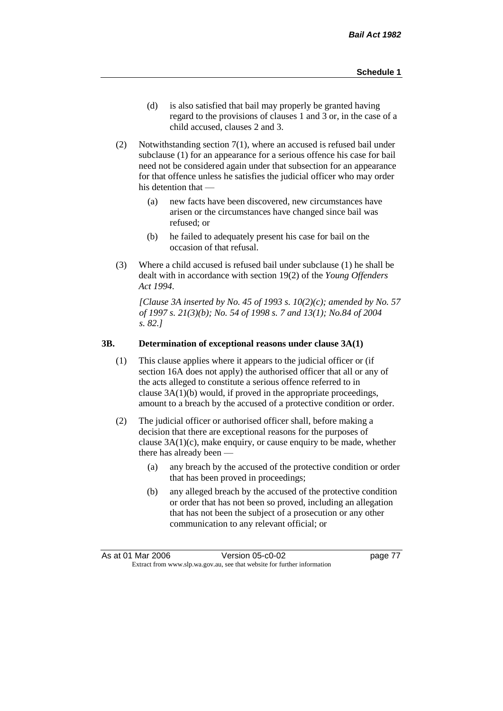- (d) is also satisfied that bail may properly be granted having regard to the provisions of clauses 1 and 3 or, in the case of a child accused, clauses 2 and 3.
- (2) Notwithstanding section 7(1), where an accused is refused bail under subclause (1) for an appearance for a serious offence his case for bail need not be considered again under that subsection for an appearance for that offence unless he satisfies the judicial officer who may order his detention that —
	- (a) new facts have been discovered, new circumstances have arisen or the circumstances have changed since bail was refused; or
	- (b) he failed to adequately present his case for bail on the occasion of that refusal.
- (3) Where a child accused is refused bail under subclause (1) he shall be dealt with in accordance with section 19(2) of the *Young Offenders Act 1994*.

*[Clause 3A inserted by No. 45 of 1993 s. 10(2)(c); amended by No. 57 of 1997 s. 21(3)(b); No. 54 of 1998 s. 7 and 13(1); No.84 of 2004 s. 82.]*

#### **3B. Determination of exceptional reasons under clause 3A(1)**

- (1) This clause applies where it appears to the judicial officer or (if section 16A does not apply) the authorised officer that all or any of the acts alleged to constitute a serious offence referred to in clause 3A(1)(b) would, if proved in the appropriate proceedings, amount to a breach by the accused of a protective condition or order.
- (2) The judicial officer or authorised officer shall, before making a decision that there are exceptional reasons for the purposes of clause  $3A(1)(c)$ , make enquiry, or cause enquiry to be made, whether there has already been -
	- (a) any breach by the accused of the protective condition or order that has been proved in proceedings;
	- (b) any alleged breach by the accused of the protective condition or order that has not been so proved, including an allegation that has not been the subject of a prosecution or any other communication to any relevant official; or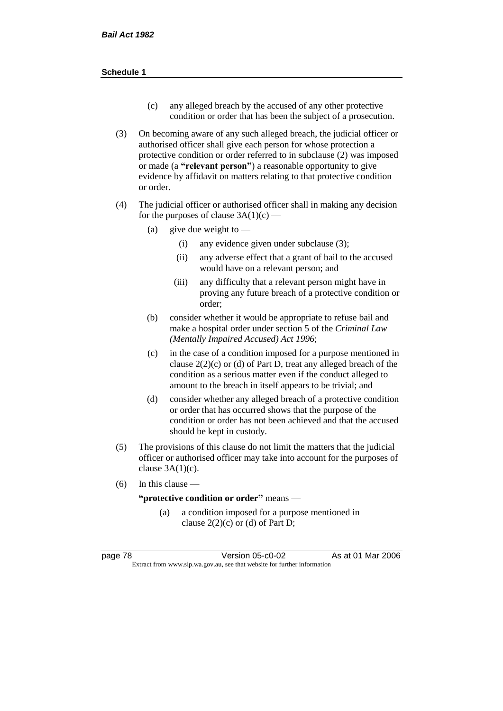- (c) any alleged breach by the accused of any other protective condition or order that has been the subject of a prosecution.
- (3) On becoming aware of any such alleged breach, the judicial officer or authorised officer shall give each person for whose protection a protective condition or order referred to in subclause (2) was imposed or made (a **"relevant person"**) a reasonable opportunity to give evidence by affidavit on matters relating to that protective condition or order.
- (4) The judicial officer or authorised officer shall in making any decision for the purposes of clause  $3A(1)(c)$  —
	- (a) give due weight to  $-$ 
		- (i) any evidence given under subclause (3);
		- (ii) any adverse effect that a grant of bail to the accused would have on a relevant person; and
		- (iii) any difficulty that a relevant person might have in proving any future breach of a protective condition or order;
	- (b) consider whether it would be appropriate to refuse bail and make a hospital order under section 5 of the *Criminal Law (Mentally Impaired Accused) Act 1996*;
	- (c) in the case of a condition imposed for a purpose mentioned in clause  $2(2)(c)$  or (d) of Part D, treat any alleged breach of the condition as a serious matter even if the conduct alleged to amount to the breach in itself appears to be trivial; and
	- (d) consider whether any alleged breach of a protective condition or order that has occurred shows that the purpose of the condition or order has not been achieved and that the accused should be kept in custody.
- (5) The provisions of this clause do not limit the matters that the judicial officer or authorised officer may take into account for the purposes of clause  $3A(1)(c)$ .
- (6) In this clause —

**"protective condition or order"** means —

(a) a condition imposed for a purpose mentioned in clause  $2(2)(c)$  or (d) of Part D;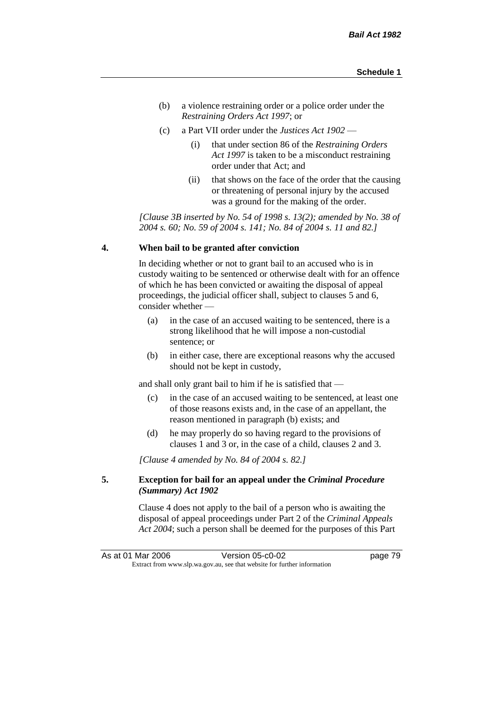- (b) a violence restraining order or a police order under the *Restraining Orders Act 1997*; or
- (c) a Part VII order under the *Justices Act 1902*
	- (i) that under section 86 of the *Restraining Orders Act 1997* is taken to be a misconduct restraining order under that Act; and
	- (ii) that shows on the face of the order that the causing or threatening of personal injury by the accused was a ground for the making of the order.

*[Clause 3B inserted by No. 54 of 1998 s. 13(2); amended by No. 38 of 2004 s. 60; No. 59 of 2004 s. 141; No. 84 of 2004 s. 11 and 82.]*

#### **4. When bail to be granted after conviction**

In deciding whether or not to grant bail to an accused who is in custody waiting to be sentenced or otherwise dealt with for an offence of which he has been convicted or awaiting the disposal of appeal proceedings, the judicial officer shall, subject to clauses 5 and 6, consider whether —

- (a) in the case of an accused waiting to be sentenced, there is a strong likelihood that he will impose a non-custodial sentence; or
- (b) in either case, there are exceptional reasons why the accused should not be kept in custody,

and shall only grant bail to him if he is satisfied that —

- (c) in the case of an accused waiting to be sentenced, at least one of those reasons exists and, in the case of an appellant, the reason mentioned in paragraph (b) exists; and
- (d) he may properly do so having regard to the provisions of clauses 1 and 3 or, in the case of a child, clauses 2 and 3.

*[Clause 4 amended by No. 84 of 2004 s. 82.]*

#### **5. Exception for bail for an appeal under the** *Criminal Procedure (Summary) Act 1902*

Clause 4 does not apply to the bail of a person who is awaiting the disposal of appeal proceedings under Part 2 of the *Criminal Appeals Act 2004*; such a person shall be deemed for the purposes of this Part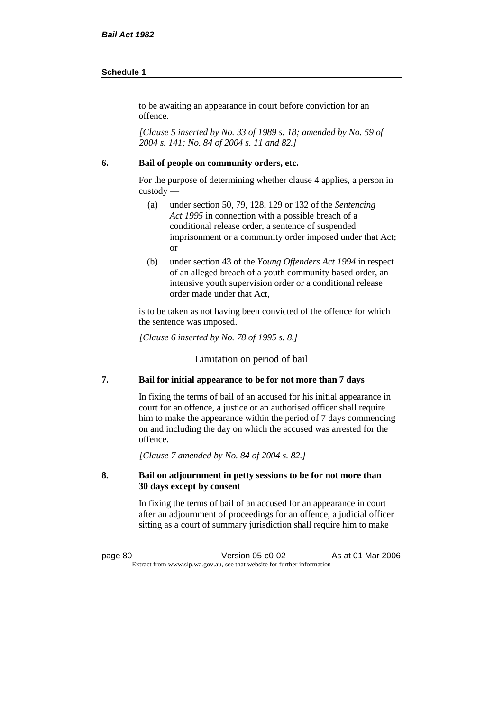to be awaiting an appearance in court before conviction for an offence.

*[Clause 5 inserted by No. 33 of 1989 s. 18; amended by No. 59 of 2004 s. 141; No. 84 of 2004 s. 11 and 82.]*

#### **6. Bail of people on community orders, etc.**

For the purpose of determining whether clause 4 applies, a person in custody —

- (a) under section 50, 79, 128, 129 or 132 of the *Sentencing Act 1995* in connection with a possible breach of a conditional release order, a sentence of suspended imprisonment or a community order imposed under that Act; or
- (b) under section 43 of the *Young Offenders Act 1994* in respect of an alleged breach of a youth community based order, an intensive youth supervision order or a conditional release order made under that Act,

is to be taken as not having been convicted of the offence for which the sentence was imposed.

*[Clause 6 inserted by No. 78 of 1995 s. 8.]*

Limitation on period of bail

#### **7. Bail for initial appearance to be for not more than 7 days**

In fixing the terms of bail of an accused for his initial appearance in court for an offence, a justice or an authorised officer shall require him to make the appearance within the period of 7 days commencing on and including the day on which the accused was arrested for the offence.

*[Clause 7 amended by No. 84 of 2004 s. 82.]*

#### **8. Bail on adjournment in petty sessions to be for not more than 30 days except by consent**

In fixing the terms of bail of an accused for an appearance in court after an adjournment of proceedings for an offence, a judicial officer sitting as a court of summary jurisdiction shall require him to make

page 80 Version 05-c0-02 As at 01 Mar 2006 Extract from www.slp.wa.gov.au, see that website for further information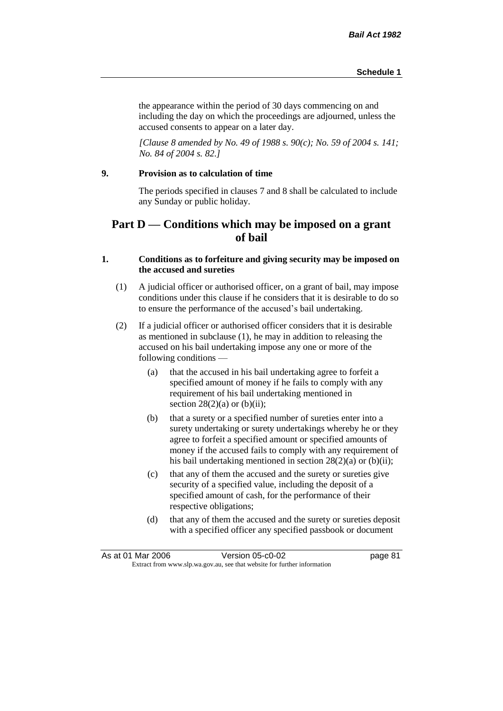the appearance within the period of 30 days commencing on and including the day on which the proceedings are adjourned, unless the accused consents to appear on a later day.

*[Clause 8 amended by No. 49 of 1988 s. 90(c); No. 59 of 2004 s. 141; No. 84 of 2004 s. 82.]*

#### **9. Provision as to calculation of time**

The periods specified in clauses 7 and 8 shall be calculated to include any Sunday or public holiday.

## **Part D — Conditions which may be imposed on a grant of bail**

### **1. Conditions as to forfeiture and giving security may be imposed on the accused and sureties**

- (1) A judicial officer or authorised officer, on a grant of bail, may impose conditions under this clause if he considers that it is desirable to do so to ensure the performance of the accused's bail undertaking.
- (2) If a judicial officer or authorised officer considers that it is desirable as mentioned in subclause (1), he may in addition to releasing the accused on his bail undertaking impose any one or more of the following conditions —
	- (a) that the accused in his bail undertaking agree to forfeit a specified amount of money if he fails to comply with any requirement of his bail undertaking mentioned in section  $28(2)(a)$  or  $(b)(ii)$ ;
	- (b) that a surety or a specified number of sureties enter into a surety undertaking or surety undertakings whereby he or they agree to forfeit a specified amount or specified amounts of money if the accused fails to comply with any requirement of his bail undertaking mentioned in section 28(2)(a) or (b)(ii);
	- (c) that any of them the accused and the surety or sureties give security of a specified value, including the deposit of a specified amount of cash, for the performance of their respective obligations;
	- (d) that any of them the accused and the surety or sureties deposit with a specified officer any specified passbook or document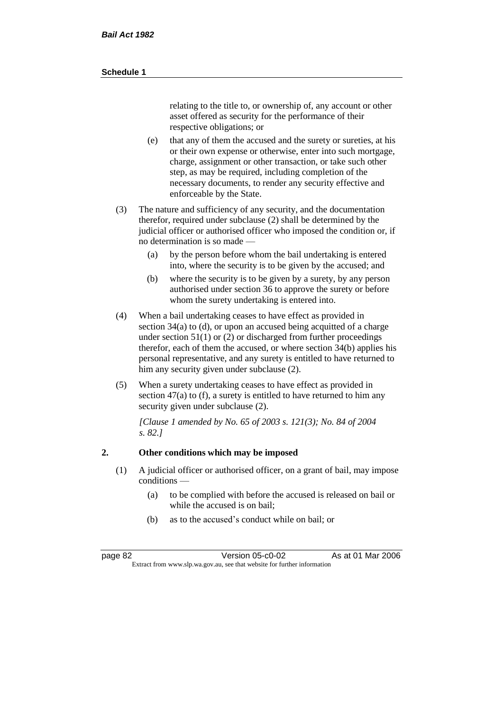relating to the title to, or ownership of, any account or other asset offered as security for the performance of their respective obligations; or

- (e) that any of them the accused and the surety or sureties, at his or their own expense or otherwise, enter into such mortgage, charge, assignment or other transaction, or take such other step, as may be required, including completion of the necessary documents, to render any security effective and enforceable by the State.
- (3) The nature and sufficiency of any security, and the documentation therefor, required under subclause (2) shall be determined by the judicial officer or authorised officer who imposed the condition or, if no determination is so made —
	- (a) by the person before whom the bail undertaking is entered into, where the security is to be given by the accused; and
	- (b) where the security is to be given by a surety, by any person authorised under section 36 to approve the surety or before whom the surety undertaking is entered into.
- (4) When a bail undertaking ceases to have effect as provided in section 34(a) to (d), or upon an accused being acquitted of a charge under section  $51(1)$  or (2) or discharged from further proceedings therefor, each of them the accused, or where section 34(b) applies his personal representative, and any surety is entitled to have returned to him any security given under subclause (2).
- (5) When a surety undertaking ceases to have effect as provided in section 47(a) to (f), a surety is entitled to have returned to him any security given under subclause  $(2)$ .

*[Clause 1 amended by No. 65 of 2003 s. 121(3); No. 84 of 2004 s. 82.]*

#### **2. Other conditions which may be imposed**

- (1) A judicial officer or authorised officer, on a grant of bail, may impose conditions —
	- (a) to be complied with before the accused is released on bail or while the accused is on bail<sup>.</sup>
	- (b) as to the accused's conduct while on bail; or

page 82 Version 05-c0-02 As at 01 Mar 2006 Extract from www.slp.wa.gov.au, see that website for further information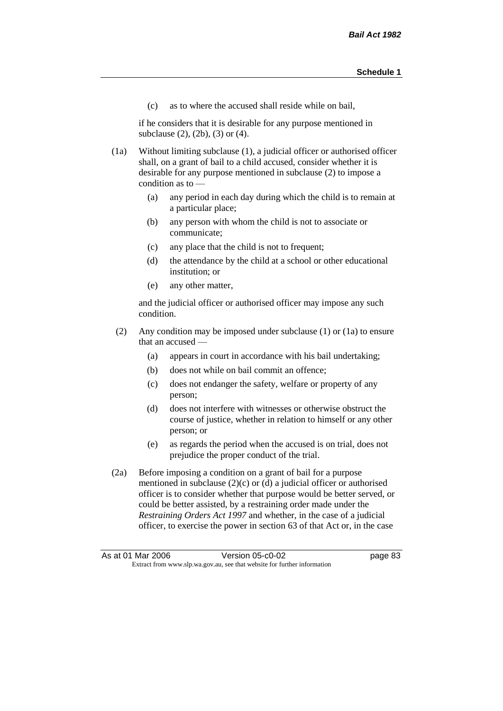(c) as to where the accused shall reside while on bail,

if he considers that it is desirable for any purpose mentioned in subclause (2), (2b), (3) or (4).

(1a) Without limiting subclause (1), a judicial officer or authorised officer shall, on a grant of bail to a child accused, consider whether it is desirable for any purpose mentioned in subclause (2) to impose a condition as to —

- (a) any period in each day during which the child is to remain at a particular place;
- (b) any person with whom the child is not to associate or communicate;
- (c) any place that the child is not to frequent;
- (d) the attendance by the child at a school or other educational institution; or
- (e) any other matter,

and the judicial officer or authorised officer may impose any such condition.

- (2) Any condition may be imposed under subclause (1) or (1a) to ensure that an accused —
	- (a) appears in court in accordance with his bail undertaking;
	- (b) does not while on bail commit an offence;
	- (c) does not endanger the safety, welfare or property of any person;
	- (d) does not interfere with witnesses or otherwise obstruct the course of justice, whether in relation to himself or any other person; or
	- (e) as regards the period when the accused is on trial, does not prejudice the proper conduct of the trial.
- (2a) Before imposing a condition on a grant of bail for a purpose mentioned in subclause (2)(c) or (d) a judicial officer or authorised officer is to consider whether that purpose would be better served, or could be better assisted, by a restraining order made under the *Restraining Orders Act 1997* and whether, in the case of a judicial officer, to exercise the power in section 63 of that Act or, in the case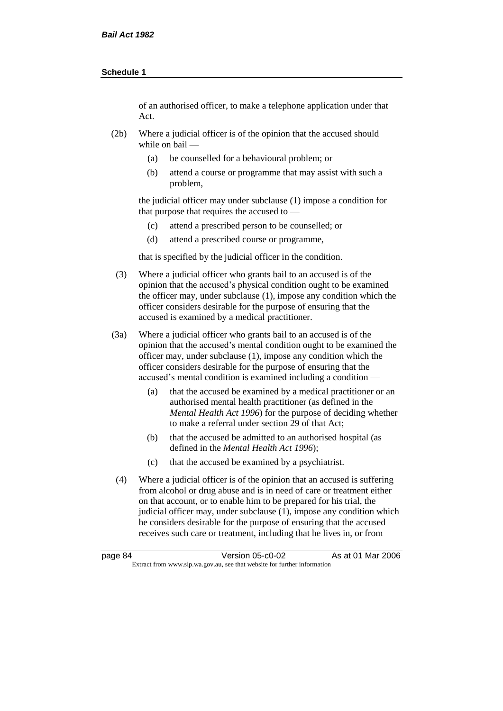of an authorised officer, to make a telephone application under that Act.

- (2b) Where a judicial officer is of the opinion that the accused should while on bail —
	- (a) be counselled for a behavioural problem; or
	- (b) attend a course or programme that may assist with such a problem,

the judicial officer may under subclause (1) impose a condition for that purpose that requires the accused to —

- (c) attend a prescribed person to be counselled; or
- (d) attend a prescribed course or programme,

that is specified by the judicial officer in the condition.

- (3) Where a judicial officer who grants bail to an accused is of the opinion that the accused's physical condition ought to be examined the officer may, under subclause (1), impose any condition which the officer considers desirable for the purpose of ensuring that the accused is examined by a medical practitioner.
- (3a) Where a judicial officer who grants bail to an accused is of the opinion that the accused's mental condition ought to be examined the officer may, under subclause (1), impose any condition which the officer considers desirable for the purpose of ensuring that the accused's mental condition is examined including a condition -
	- (a) that the accused be examined by a medical practitioner or an authorised mental health practitioner (as defined in the *Mental Health Act 1996*) for the purpose of deciding whether to make a referral under section 29 of that Act;
	- (b) that the accused be admitted to an authorised hospital (as defined in the *Mental Health Act 1996*);
	- (c) that the accused be examined by a psychiatrist.
- (4) Where a judicial officer is of the opinion that an accused is suffering from alcohol or drug abuse and is in need of care or treatment either on that account, or to enable him to be prepared for his trial, the judicial officer may, under subclause (1), impose any condition which he considers desirable for the purpose of ensuring that the accused receives such care or treatment, including that he lives in, or from

page 84 Version 05-c0-02 As at 01 Mar 2006 Extract from www.slp.wa.gov.au, see that website for further information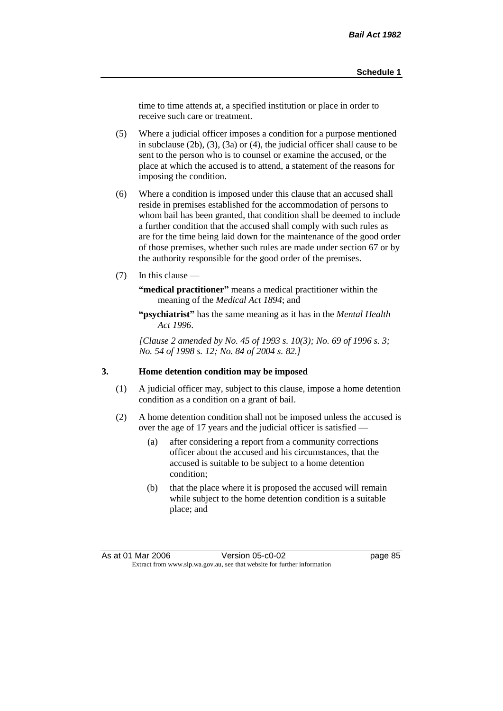time to time attends at, a specified institution or place in order to receive such care or treatment.

(5) Where a judicial officer imposes a condition for a purpose mentioned in subclause (2b), (3), (3a) or (4), the judicial officer shall cause to be sent to the person who is to counsel or examine the accused, or the place at which the accused is to attend, a statement of the reasons for imposing the condition.

- (6) Where a condition is imposed under this clause that an accused shall reside in premises established for the accommodation of persons to whom bail has been granted, that condition shall be deemed to include a further condition that the accused shall comply with such rules as are for the time being laid down for the maintenance of the good order of those premises, whether such rules are made under section 67 or by the authority responsible for the good order of the premises.
- (7) In this clause —

**"medical practitioner"** means a medical practitioner within the meaning of the *Medical Act 1894*; and

**"psychiatrist"** has the same meaning as it has in the *Mental Health Act 1996*.

*[Clause 2 amended by No. 45 of 1993 s. 10(3); No. 69 of 1996 s. 3; No. 54 of 1998 s. 12; No. 84 of 2004 s. 82.]*

#### **3. Home detention condition may be imposed**

- (1) A judicial officer may, subject to this clause, impose a home detention condition as a condition on a grant of bail.
- (2) A home detention condition shall not be imposed unless the accused is over the age of 17 years and the judicial officer is satisfied —
	- (a) after considering a report from a community corrections officer about the accused and his circumstances, that the accused is suitable to be subject to a home detention condition;
	- (b) that the place where it is proposed the accused will remain while subject to the home detention condition is a suitable place; and

As at 01 Mar 2006 **Version 05-c0-02 Page 85** Extract from www.slp.wa.gov.au, see that website for further information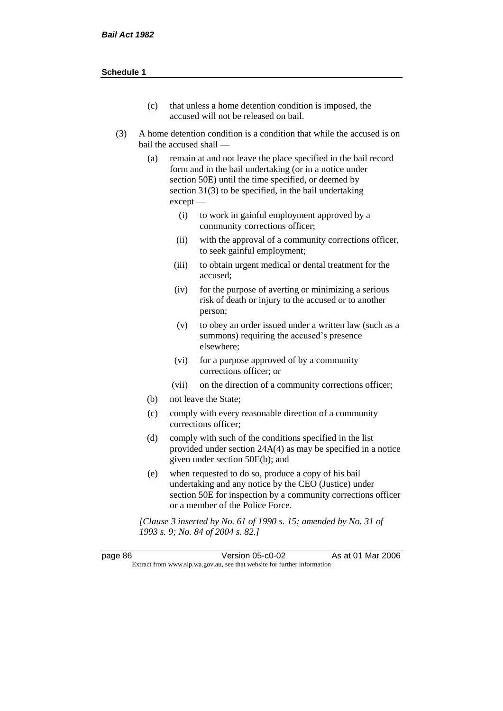- (c) that unless a home detention condition is imposed, the accused will not be released on bail.
- (3) A home detention condition is a condition that while the accused is on bail the accused shall —
	- (a) remain at and not leave the place specified in the bail record form and in the bail undertaking (or in a notice under section 50E) until the time specified, or deemed by section 31(3) to be specified, in the bail undertaking except —
		- (i) to work in gainful employment approved by a community corrections officer;
		- (ii) with the approval of a community corrections officer, to seek gainful employment;
		- (iii) to obtain urgent medical or dental treatment for the accused;
		- (iv) for the purpose of averting or minimizing a serious risk of death or injury to the accused or to another person;
		- (v) to obey an order issued under a written law (such as a summons) requiring the accused's presence elsewhere;
		- (vi) for a purpose approved of by a community corrections officer; or
		- (vii) on the direction of a community corrections officer;
	- (b) not leave the State;
	- (c) comply with every reasonable direction of a community corrections officer;
	- (d) comply with such of the conditions specified in the list provided under section 24A(4) as may be specified in a notice given under section 50E(b); and
	- (e) when requested to do so, produce a copy of his bail undertaking and any notice by the CEO (Justice) under section 50E for inspection by a community corrections officer or a member of the Police Force.

*[Clause 3 inserted by No. 61 of 1990 s. 15; amended by No. 31 of 1993 s. 9; No. 84 of 2004 s. 82.]*

page 86 Version 05-c0-02 As at 01 Mar 2006 Extract from www.slp.wa.gov.au, see that website for further information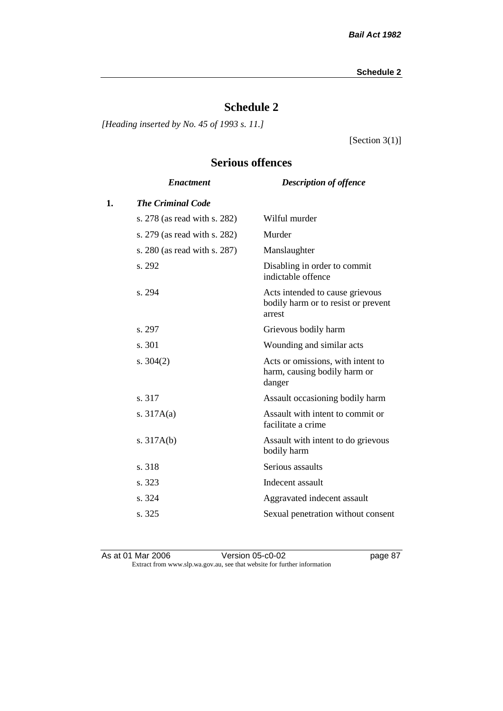## **Schedule 2**

*[Heading inserted by No. 45 of 1993 s. 11.]*

[Section 3(1)]

## **Serious offences**

|                              | <b>Description of offence</b>                                                    |
|------------------------------|----------------------------------------------------------------------------------|
| <b>The Criminal Code</b>     |                                                                                  |
| s. 278 (as read with s. 282) | Wilful murder                                                                    |
| s. 279 (as read with s. 282) | Murder                                                                           |
| s. 280 (as read with s. 287) | Manslaughter                                                                     |
| s. 292                       | Disabling in order to commit<br>indictable offence                               |
| s. 294                       | Acts intended to cause grievous<br>bodily harm or to resist or prevent<br>arrest |
| s. 297                       | Grievous bodily harm                                                             |
| s. 301                       | Wounding and similar acts                                                        |
| s. $304(2)$                  | Acts or omissions, with intent to<br>harm, causing bodily harm or<br>danger      |
| s. 317                       | Assault occasioning bodily harm                                                  |
| s. $317A(a)$                 | Assault with intent to commit or<br>facilitate a crime                           |
| s. $317A(b)$                 | Assault with intent to do grievous<br>bodily harm                                |
| s. 318                       | Serious assaults                                                                 |
| s. 323                       | Indecent assault                                                                 |
| s. 324                       | Aggravated indecent assault                                                      |
| s. 325                       | Sexual penetration without consent                                               |
|                              | <b>Enactment</b>                                                                 |

As at 01 Mar 2006 Version 05-c0-02 page 87 Extract from www.slp.wa.gov.au, see that website for further information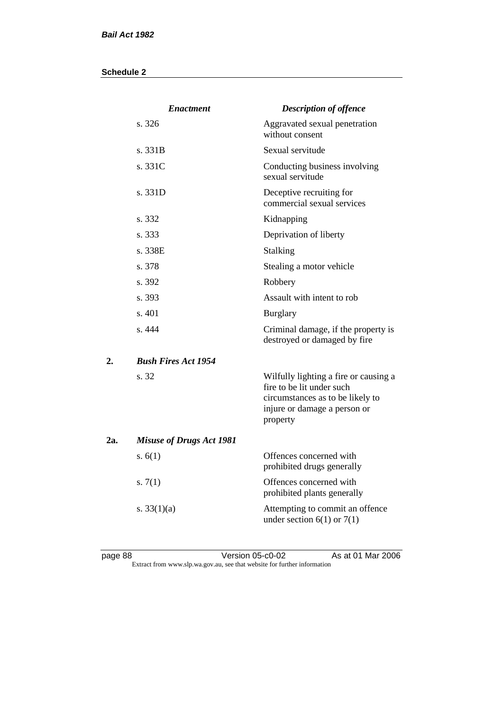|     | <b>Enactment</b>                | <b>Description of offence</b>                                                                                                                      |
|-----|---------------------------------|----------------------------------------------------------------------------------------------------------------------------------------------------|
|     | s. 326                          | Aggravated sexual penetration<br>without consent                                                                                                   |
|     | s. 331B                         | Sexual servitude                                                                                                                                   |
|     | s. 331C                         | Conducting business involving<br>sexual servitude                                                                                                  |
|     | s. 331D                         | Deceptive recruiting for<br>commercial sexual services                                                                                             |
|     | s. 332                          | Kidnapping                                                                                                                                         |
|     | s. 333                          | Deprivation of liberty                                                                                                                             |
|     | s. 338E                         | <b>Stalking</b>                                                                                                                                    |
|     | s. 378                          | Stealing a motor vehicle                                                                                                                           |
|     | s. 392                          | Robbery                                                                                                                                            |
|     | s. 393                          | Assault with intent to rob                                                                                                                         |
|     | s. 401                          | <b>Burglary</b>                                                                                                                                    |
|     | s. 444                          | Criminal damage, if the property is<br>destroyed or damaged by fire                                                                                |
| 2.  | <b>Bush Fires Act 1954</b>      |                                                                                                                                                    |
|     | s. 32                           | Wilfully lighting a fire or causing a<br>fire to be lit under such<br>circumstances as to be likely to<br>injure or damage a person or<br>property |
| 2a. | <b>Misuse of Drugs Act 1981</b> |                                                                                                                                                    |
|     | s. $6(1)$                       | Offences concerned with<br>prohibited drugs generally                                                                                              |
|     | s. $7(1)$                       | Offences concerned with<br>prohibited plants generally                                                                                             |
|     | s. $33(1)(a)$                   | Attempting to commit an offence<br>under section $6(1)$ or $7(1)$                                                                                  |

page 88 Version 05-c0-02 As at 01 Mar 2006 Extract from www.slp.wa.gov.au, see that website for further information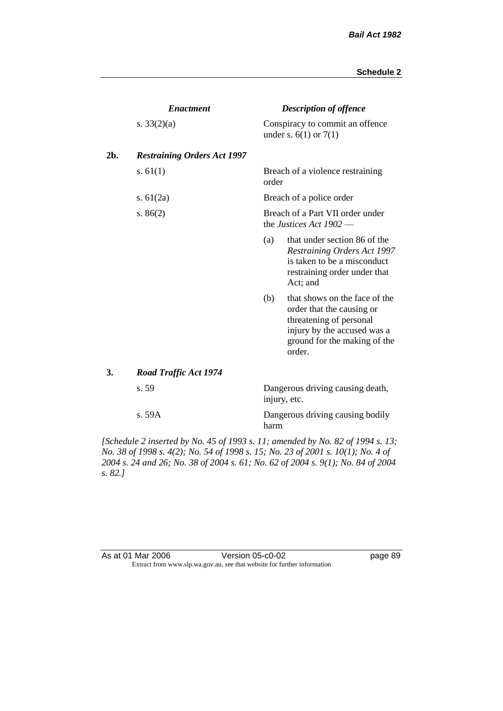|     | <b>Enactment</b>                   |       | <b>Description of offence</b>                                                                                                                                  |
|-----|------------------------------------|-------|----------------------------------------------------------------------------------------------------------------------------------------------------------------|
|     | s. $33(2)(a)$                      |       | Conspiracy to commit an offence<br>under s. $6(1)$ or $7(1)$                                                                                                   |
| 2b. | <b>Restraining Orders Act 1997</b> |       |                                                                                                                                                                |
|     | s. $61(1)$                         | order | Breach of a violence restraining                                                                                                                               |
|     | s. $61(2a)$                        |       | Breach of a police order                                                                                                                                       |
|     | s. $86(2)$                         |       | Breach of a Part VII order under<br>the Justices Act $1902$ —                                                                                                  |
|     |                                    | (a)   | that under section 86 of the<br><b>Restraining Orders Act 1997</b><br>is taken to be a misconduct<br>restraining order under that<br>Act; and                  |
|     |                                    | (b)   | that shows on the face of the<br>order that the causing or<br>threatening of personal<br>injury by the accused was a<br>ground for the making of the<br>order. |
| 3.  | <b>Road Traffic Act 1974</b>       |       |                                                                                                                                                                |
|     | s. 59                              |       | Dangerous driving causing death,<br>injury, etc.                                                                                                               |
|     | s.59A                              | harm  | Dangerous driving causing bodily                                                                                                                               |

*[Schedule 2 inserted by No. 45 of 1993 s. 11; amended by No. 82 of 1994 s. 13; No. 38 of 1998 s. 4(2); No. 54 of 1998 s. 15; No. 23 of 2001 s. 10(1); No. 4 of 2004 s. 24 and 26; No. 38 of 2004 s. 61; No. 62 of 2004 s. 9(1); No. 84 of 2004 s. 82.]* 

| As at 01 Mar 2006 | Version 05-c0-02                                                         |
|-------------------|--------------------------------------------------------------------------|
|                   | Extract from www.slp.wa.gov.au, see that website for further information |

page 89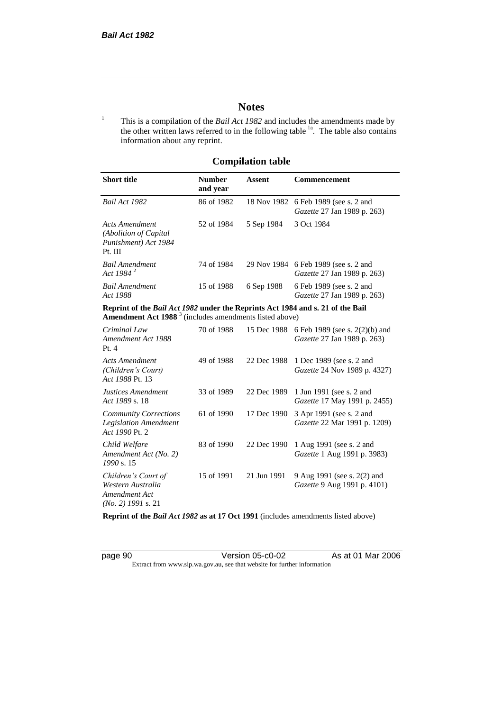## **Notes**

<sup>1</sup> This is a compilation of the *Bail Act 1982* and includes the amendments made by the other written laws referred to in the following table <sup>1a</sup>. The table also contains information about any reprint.

## **Compilation table**

| <b>Short title</b>                                                          | <b>Number</b><br>and year | Assent     | <b>Commencement</b>                                                        |
|-----------------------------------------------------------------------------|---------------------------|------------|----------------------------------------------------------------------------|
| Bail Act 1982                                                               | 86 of 1982                |            | 18 Nov 1982 6 Feb 1989 (see s. 2 and<br><i>Gazette</i> 27 Jan 1989 p. 263) |
| Acts Amendment<br>(Abolition of Capital)<br>Punishment) Act 1984<br>Pt. III | 52 of 1984                | 5 Sep 1984 | 3 Oct 1984                                                                 |
| <b>Bail Amendment</b><br>Act 1984 <sup>2</sup>                              | 74 of 1984                |            | 29 Nov 1984 6 Feb 1989 (see s. 2 and<br><i>Gazette</i> 27 Jan 1989 p. 263) |
| <b>Bail Amendment</b><br>Act 1988                                           | 15 of 1988                | 6 Sep 1988 | 6 Feb 1989 (see s. 2 and<br><i>Gazette</i> 27 Jan 1989 p. 263)             |

**Reprint of the** *Bail Act 1982* **under the Reprints Act 1984 and s. 21 of the Bail Amendment Act 1988** <sup>3</sup> (includes amendments listed above)

| Criminal Law<br>Amendment Act 1988<br>Pt. 4                                       | 70 of 1988 | 15 Dec 1988 | 6 Feb 1989 (see s. 2(2)(b) and<br><i>Gazette</i> 27 Jan 1989 p. 263) |
|-----------------------------------------------------------------------------------|------------|-------------|----------------------------------------------------------------------|
| Acts Amendment<br>(Children's Court)<br>Act 1988 Pt. 13                           | 49 of 1988 | 22 Dec 1988 | 1 Dec 1989 (see s. 2 and<br><i>Gazette</i> 24 Nov 1989 p. 4327)      |
| Justices Amendment<br>Act 1989 s. 18                                              | 33 of 1989 | 22 Dec 1989 | 1 Jun 1991 (see s. 2 and<br><i>Gazette</i> 17 May 1991 p. 2455)      |
| <b>Community Corrections</b><br><b>Legislation Amendment</b><br>Act 1990 Pt. 2    | 61 of 1990 | 17 Dec 1990 | 3 Apr 1991 (see s. 2 and<br><i>Gazette</i> 22 Mar 1991 p. 1209)      |
| Child Welfare<br>Amendment Act (No. 2)<br>1990 s. 15                              | 83 of 1990 | 22 Dec 1990 | 1 Aug 1991 (see s. 2 and<br><i>Gazette</i> 1 Aug 1991 p. 3983)       |
| Children's Court of<br>Western Australia<br>Amendment Act<br>$(No. 2)$ 1991 s. 21 | 15 of 1991 | 21 Jun 1991 | 9 Aug 1991 (see s. 2(2) and<br><i>Gazette</i> 9 Aug 1991 p. 4101)    |

**Reprint of the** *Bail Act 1982* **as at 17 Oct 1991** (includes amendments listed above)

page 90 Version 05-c0-02 As at 01 Mar 2006 Extract from www.slp.wa.gov.au, see that website for further information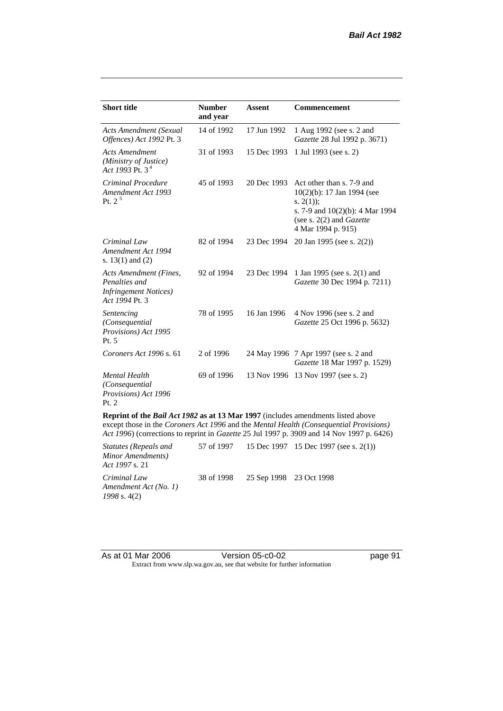| <b>Short title</b>                                                                         | <b>Number</b><br>and year | <b>Assent</b> | <b>Commencement</b>                                                                                                                                                     |
|--------------------------------------------------------------------------------------------|---------------------------|---------------|-------------------------------------------------------------------------------------------------------------------------------------------------------------------------|
| <b>Acts Amendment (Sexual</b><br>Offences) Act 1992 Pt. 3                                  | 14 of 1992                | 17 Jun 1992   | 1 Aug 1992 (see s. 2 and<br>Gazette 28 Jul 1992 p. 3671)                                                                                                                |
| <b>Acts Amendment</b><br>(Ministry of Justice)<br>Act 1993 Pt. $3^4$                       | 31 of 1993                | 15 Dec 1993   | 1 Jul 1993 (see s. 2)                                                                                                                                                   |
| Criminal Procedure<br>Amendment Act 1993<br>Pt. $2^5$                                      | 45 of 1993                | 20 Dec 1993   | Act other than s. 7-9 and<br>10(2)(b): 17 Jan 1994 (see<br>s. $2(1)$ ;<br>s. 7-9 and $10(2)(b)$ : 4 Mar 1994<br>(see s. $2(2)$ and <i>Gazette</i><br>4 Mar 1994 p. 915) |
| Criminal Law<br>Amendment Act 1994<br>s. $13(1)$ and $(2)$                                 | 82 of 1994                | 23 Dec 1994   | 20 Jan 1995 (see s. 2(2))                                                                                                                                               |
| Acts Amendment (Fines,<br>Penalties and<br><b>Infringement Notices</b> )<br>Act 1994 Pt. 3 | 92 of 1994                | 23 Dec 1994   | 1 Jan 1995 (see s. 2(1) and<br>Gazette 30 Dec 1994 p. 7211)                                                                                                             |
| Sentencing<br>(Consequential<br>Provisions) Act 1995<br>Pt. 5                              | 78 of 1995                | 16 Jan 1996   | 4 Nov 1996 (see s. 2 and<br>Gazette 25 Oct 1996 p. 5632)                                                                                                                |
| Coroners Act 1996 s. 61                                                                    | 2 of 1996                 |               | 24 May 1996 7 Apr 1997 (see s. 2 and<br>Gazette 18 Mar 1997 p. 1529)                                                                                                    |
| <b>Mental Health</b><br>(Consequential<br>Provisions) Act 1996<br>Pt. 2                    | 69 of 1996                |               | 13 Nov 1996 13 Nov 1997 (see s. 2)                                                                                                                                      |
| Reprint of the Bail Act 1982 as at 13 Mar 1997 (includes amendments listed above           |                           |               | except those in the Coroners Act 1996 and the Mental Health (Consequential Provisions)                                                                                  |

*Act 1996*) (corrections to reprint in *Gazette* 25 Jul 1997 p. 3909 and 14 Nov 1997 p. 6426)

| Statutes (Repeals and<br>Minor Amendments)<br><i>Act 1997 s. 21</i> |                                    | 57 of 1997 15 Dec 1997 15 Dec 1997 (see s. 2(1)) |
|---------------------------------------------------------------------|------------------------------------|--------------------------------------------------|
| Criminal Law<br>Amendment Act (No. 1)<br>1998 s. 4(2)               | 38 of 1998 25 Sep 1998 23 Oct 1998 |                                                  |

| As at 01 Mar 2006 | Version 05-c0-02                                                         |
|-------------------|--------------------------------------------------------------------------|
|                   | Extract from www.slp.wa.gov.au, see that website for further information |

page 91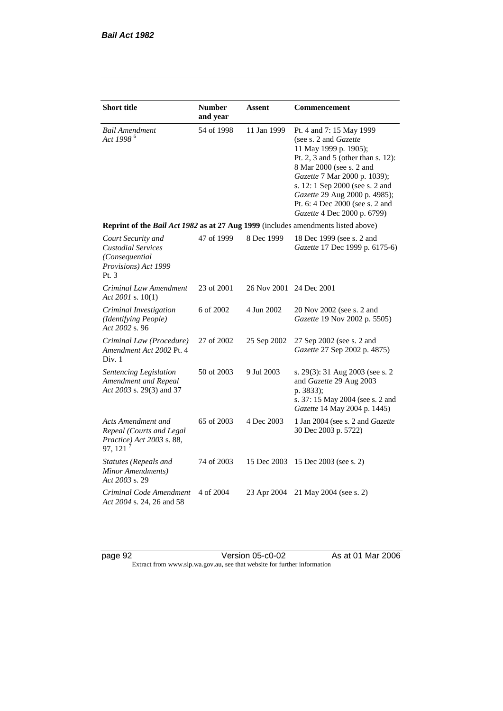| <b>Short title</b>                                                                                | <b>Number</b><br>and year | <b>Assent</b> | Commencement                                                                                                                                                                                                                                                                                                                |  |
|---------------------------------------------------------------------------------------------------|---------------------------|---------------|-----------------------------------------------------------------------------------------------------------------------------------------------------------------------------------------------------------------------------------------------------------------------------------------------------------------------------|--|
| Bail Amendment<br>Act 1998 <sup>6</sup>                                                           | 54 of 1998                | 11 Jan 1999   | Pt. 4 and 7: 15 May 1999<br>(see s. 2 and <i>Gazette</i> )<br>11 May 1999 p. 1905);<br>Pt. 2, 3 and 5 (other than s. 12):<br>8 Mar 2000 (see s. 2 and<br>Gazette 7 Mar 2000 p. 1039);<br>s. 12: 1 Sep 2000 (see s. 2 and<br>Gazette 29 Aug 2000 p. 4985);<br>Pt. 6: 4 Dec 2000 (see s. 2 and<br>Gazette 4 Dec 2000 p. 6799) |  |
| Reprint of the Bail Act 1982 as at 27 Aug 1999 (includes amendments listed above)                 |                           |               |                                                                                                                                                                                                                                                                                                                             |  |
| Court Security and<br><b>Custodial Services</b><br>(Consequential<br>Provisions) Act 1999<br>Pt.3 | 47 of 1999                | 8 Dec 1999    | 18 Dec 1999 (see s. 2 and<br>Gazette 17 Dec 1999 p. 6175-6)                                                                                                                                                                                                                                                                 |  |
| Criminal Law Amendment<br>Act 2001 s. 10(1)                                                       | 23 of 2001                | 26 Nov 2001   | 24 Dec 2001                                                                                                                                                                                                                                                                                                                 |  |
| Criminal Investigation<br>(Identifying People)<br>Act 2002 s. 96                                  | 6 of 2002                 | 4 Jun 2002    | 20 Nov 2002 (see s. 2 and<br>Gazette 19 Nov 2002 p. 5505)                                                                                                                                                                                                                                                                   |  |
| Criminal Law (Procedure)<br>Amendment Act 2002 Pt. 4<br>Div. 1                                    | 27 of 2002                | 25 Sep 2002   | 27 Sep 2002 (see s. 2 and<br>Gazette 27 Sep 2002 p. 4875)                                                                                                                                                                                                                                                                   |  |
| Sentencing Legislation<br>Amendment and Repeal<br>Act 2003 s. 29(3) and 37                        | 50 of 2003                | 9 Jul 2003    | s. 29(3): 31 Aug 2003 (see s. 2<br>and Gazette 29 Aug 2003<br>p. 3833);<br>s. 37: 15 May 2004 (see s. 2 and<br>Gazette 14 May 2004 p. 1445)                                                                                                                                                                                 |  |
| Acts Amendment and<br>Repeal (Courts and Legal<br>Practice) Act 2003 s. 88,<br>97, 121            | 65 of 2003                | 4 Dec 2003    | 1 Jan 2004 (see s. 2 and Gazette<br>30 Dec 2003 p. 5722)                                                                                                                                                                                                                                                                    |  |
| <b>Statutes (Repeals and</b><br>Minor Amendments)<br>Act 2003 s. 29                               | 74 of 2003                | 15 Dec 2003   | 15 Dec 2003 (see s. 2)                                                                                                                                                                                                                                                                                                      |  |
| Criminal Code Amendment<br>Act 2004 s. 24, 26 and 58                                              | 4 of 2004                 | 23 Apr 2004   | 21 May 2004 (see s. 2)                                                                                                                                                                                                                                                                                                      |  |

page 92 Version 05-c0-02 As at 01 Mar 2006 Extract from www.slp.wa.gov.au, see that website for further information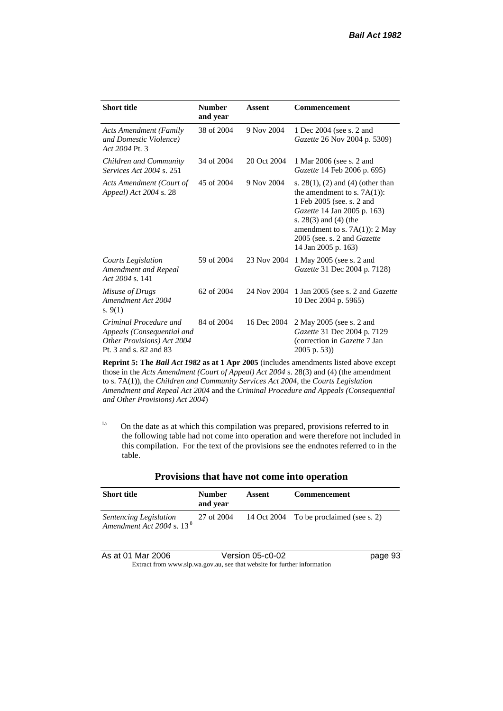| <b>Short title</b>                                                                                           | <b>Number</b><br>and year | Assent      | <b>Commencement</b>                                                                                                                                                                                                                                     |
|--------------------------------------------------------------------------------------------------------------|---------------------------|-------------|---------------------------------------------------------------------------------------------------------------------------------------------------------------------------------------------------------------------------------------------------------|
| <b>Acts Amendment (Family</b><br>and Domestic Violence)<br>Act 2004 Pt. 3                                    | 38 of 2004                | 9 Nov 2004  | 1 Dec 2004 (see s. 2 and<br><i>Gazette</i> 26 Nov 2004 p. 5309)                                                                                                                                                                                         |
| Children and Community<br><i>Services Act 2004 s. 251</i>                                                    | 34 of 2004                | 20 Oct 2004 | 1 Mar 2006 (see s. 2 and<br>Gazette 14 Feb 2006 p. 695)                                                                                                                                                                                                 |
| Acts Amendment (Court of<br>Appeal) Act 2004 s. 28                                                           | 45 of 2004                | 9 Nov 2004  | s. $28(1)$ , (2) and (4) (other than<br>the amendment to s. $7A(1)$ :<br>1 Feb 2005 (see. s. 2 and<br>Gazette 14 Jan 2005 p. 163)<br>s. $28(3)$ and $(4)$ (the<br>amendment to s. $7A(1)$ : 2 May<br>2005 (see. s. 2 and Gazette<br>14 Jan 2005 p. 163) |
| Courts Legislation<br>Amendment and Repeal<br>Act 2004 s. 141                                                | 59 of 2004                | 23 Nov 2004 | 1 May 2005 (see s. 2 and<br>Gazette 31 Dec 2004 p. 7128)                                                                                                                                                                                                |
| Misuse of Drugs<br>Amendment Act 2004<br>s. $9(1)$                                                           | $62 \text{ of } 2004$     | 24 Nov 2004 | 1 Jan 2005 (see s. 2 and <i>Gazette</i><br>10 Dec 2004 p. 5965)                                                                                                                                                                                         |
| Criminal Procedure and<br>Appeals (Consequential and<br>Other Provisions) Act 2004<br>Pt. 3 and s. 82 and 83 | 84 of 2004                | 16 Dec 2004 | 2 May 2005 (see s. 2 and<br>Gazette 31 Dec 2004 p. 7129<br>(correction in Gazette 7 Jan<br>$2005$ p. 53))                                                                                                                                               |

**Reprint 5: The** *Bail Act 1982* **as at 1 Apr 2005** (includes amendments listed above except those in the *Acts Amendment (Court of Appeal) Act 2004* s. 28(3) and (4) (the amendment to s. 7A(1)), the *Children and Community Services Act 2004*, the *Courts Legislation Amendment and Repeal Act 2004* and the *Criminal Procedure and Appeals (Consequential and Other Provisions) Act 2004*)

 $1a$  On the date as at which this compilation was prepared, provisions referred to in the following table had not come into operation and were therefore not included in this compilation. For the text of the provisions see the endnotes referred to in the table.

| <b>Short title</b>                                              | <b>Number</b><br>and vear | Assent | <b>Commencement</b>                     |
|-----------------------------------------------------------------|---------------------------|--------|-----------------------------------------|
| Sentencing Legislation<br>Amendment Act 2004 s. 13 <sup>8</sup> | 27 of 2004                |        | 14 Oct 2004 To be proclaimed (see s. 2) |

| As at 01 Mar 2006 | Version 05-c0-02                                                         | page 93 |
|-------------------|--------------------------------------------------------------------------|---------|
|                   | Extract from www.slp.wa.gov.au, see that website for further information |         |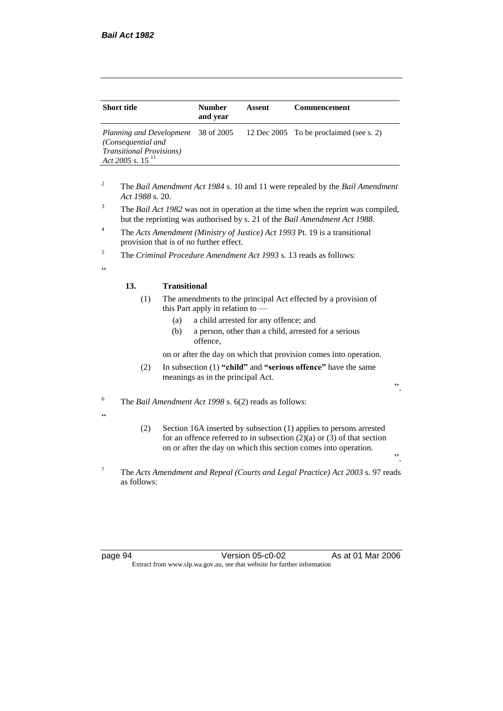| <b>Short title</b>                                                                                                      | <b>Number</b><br>and year | Assent | Commencement                            |
|-------------------------------------------------------------------------------------------------------------------------|---------------------------|--------|-----------------------------------------|
| Planning and Development 38 of 2005<br>(Consequential and<br><b>Transitional Provisions</b> )<br>Act 2005 s. 15 $^{11}$ |                           |        | 12 Dec 2005 To be proclaimed (see s. 2) |

- <sup>2</sup> The *Bail Amendment Act 1984* s. 10 and 11 were repealed by the *Bail Amendment Act 1988* s. 20.
- <sup>3</sup> The *Bail Act 1982* was not in operation at the time when the reprint was compiled, but the reprinting was authorised by s. 21 of the *Bail Amendment Act 1988*.
- <sup>4</sup> The *Acts Amendment (Ministry of Justice) Act 1993* Pt. 19 is a transitional provision that is of no further effect.
- <sup>5</sup> The *Criminal Procedure Amendment Act 1993* s. 13 reads as follows:
- <u>، د</u>

#### **13. Transitional**

- (1) The amendments to the principal Act effected by a provision of this Part apply in relation to —
	- (a) a child arrested for any offence; and
	- (b) a person, other than a child, arrested for a serious offence,

on or after the day on which that provision comes into operation.

- (2) In subsection (1) **"child"** and **"serious offence"** have the same meanings as in the principal Act.
- <sup>6</sup> The *Bail Amendment Act 1998* s. 6(2) reads as follows:
- $\epsilon$
- (2) Section 16A inserted by subsection (1) applies to persons arrested for an offence referred to in subsection  $(2)(a)$  or  $(3)$  of that section on or after the day on which this section comes into operation.
- <sup>7</sup> The *Acts Amendment and Repeal (Courts and Legal Practice) Act 2003* s. 97 reads as follows:

page 94 Version 05-c0-02 As at 01 Mar 2006 Extract from www.slp.wa.gov.au, see that website for further information

".

".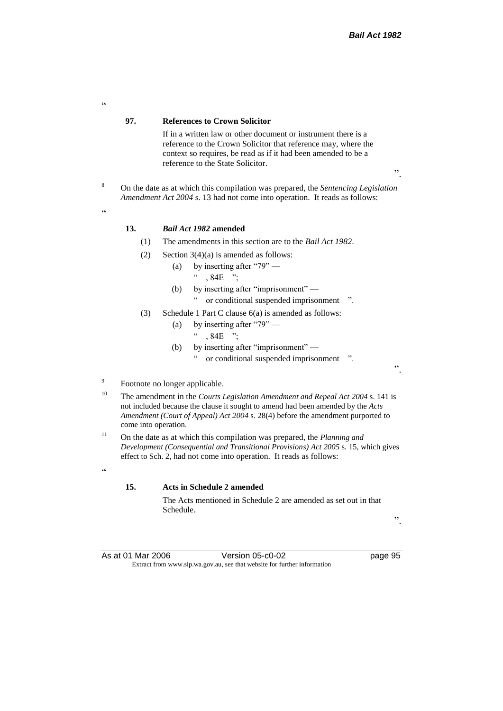**97. References to Crown Solicitor** If in a written law or other document or instrument there is a reference to the Crown Solicitor that reference may, where the context so requires, be read as if it had been amended to be a reference to the State Solicitor. ". <sup>8</sup> On the date as at which this compilation was prepared, the *Sentencing Legislation Amendment Act 2004* s. 13 had not come into operation. It reads as follows: **13.** *Bail Act 1982* **amended** (1) The amendments in this section are to the *Bail Act 1982*. (2) Section  $3(4)(a)$  is amended as follows: (a) by inserting after "79" —  $\cdot$  , 84E ": (b) by inserting after "imprisonment" — " or conditional suspended imprisonment ". (3) Schedule 1 Part C clause 6(a) is amended as follows: (a) by inserting after "79" —  $\cdot\cdot\cdot$ , 84E "; (b) by inserting after "imprisonment" or conditional suspended imprisonment ". Footnote no longer applicable. <sup>10</sup> The amendment in the *Courts Legislation Amendment and Repeal Act 2004* s. 141 is not included because the clause it sought to amend had been amended by the *Acts Amendment (Court of Appeal) Act 2004* s. 28(4) before the amendment purported to come into operation.

<sup>11</sup> On the date as at which this compilation was prepared, the *Planning and Development (Consequential and Transitional Provisions) Act 2005* s. 15, which gives effect to Sch. 2, had not come into operation. It reads as follows:

#### **15. Acts in Schedule 2 amended**

The Acts mentioned in Schedule 2 are amended as set out in that Schedule.

".

As at 01 Mar 2006 Version 05-c0-02 page 95 Extract from www.slp.wa.gov.au, see that website for further information

.<br>C

.<br>ده

9

 $\alpha$